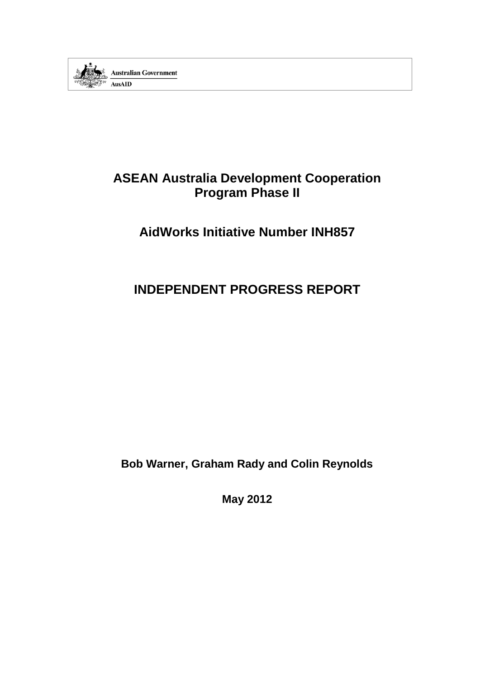

# **ASEAN Australia Development Cooperation Program Phase II**

# **AidWorks Initiative Number INH857**

# **INDEPENDENT PROGRESS REPORT**

**Bob Warner, Graham Rady and Colin Reynolds**

**May 2012**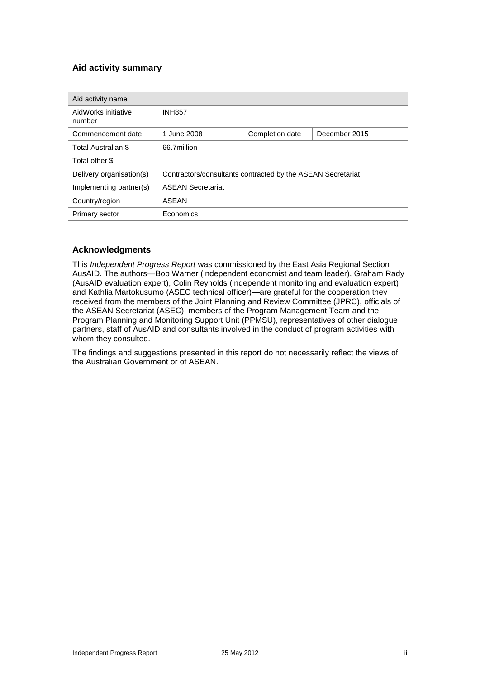## **Aid activity summary**

| Aid activity name             |                                                             |  |  |  |
|-------------------------------|-------------------------------------------------------------|--|--|--|
| AidWorks initiative<br>number | <b>INH857</b>                                               |  |  |  |
| Commencement date             | 1 June 2008<br>Completion date<br>December 2015             |  |  |  |
| Total Australian \$           | 66.7million                                                 |  |  |  |
| Total other \$                |                                                             |  |  |  |
| Delivery organisation(s)      | Contractors/consultants contracted by the ASEAN Secretariat |  |  |  |
| Implementing partner(s)       | <b>ASEAN Secretariat</b>                                    |  |  |  |
| Country/region                | ASEAN                                                       |  |  |  |
| Primary sector                | Economics                                                   |  |  |  |

## **Acknowledgments**

This *Independent Progress Report* was commissioned by the East Asia Regional Section AusAID. The authors—Bob Warner (independent economist and team leader), Graham Rady (AusAID evaluation expert), Colin Reynolds (independent monitoring and evaluation expert) and Kathlia Martokusumo (ASEC technical officer)—are grateful for the cooperation they received from the members of the Joint Planning and Review Committee (JPRC), officials of the ASEAN Secretariat (ASEC), members of the Program Management Team and the Program Planning and Monitoring Support Unit (PPMSU), representatives of other dialogue partners, staff of AusAID and consultants involved in the conduct of program activities with whom they consulted.

The findings and suggestions presented in this report do not necessarily reflect the views of the Australian Government or of ASEAN.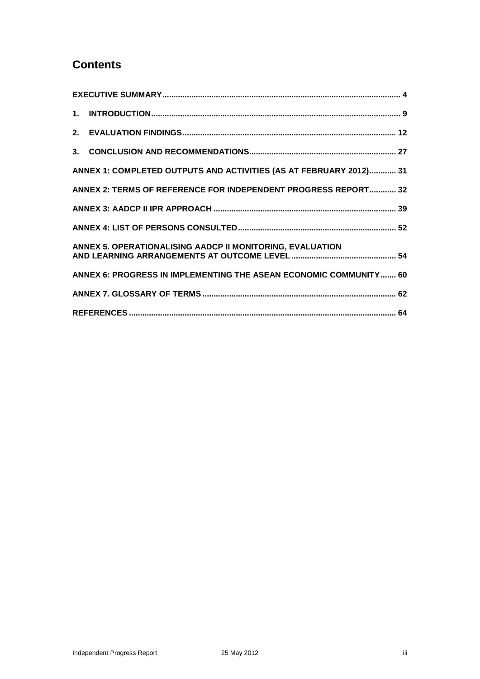# **Contents**

| ANNEX 1: COMPLETED OUTPUTS AND ACTIVITIES (AS AT FEBRUARY 2012) 31 |  |
|--------------------------------------------------------------------|--|
| ANNEX 2: TERMS OF REFERENCE FOR INDEPENDENT PROGRESS REPORT 32     |  |
|                                                                    |  |
|                                                                    |  |
| ANNEX 5. OPERATIONALISING AADCP II MONITORING, EVALUATION          |  |
| ANNEX 6: PROGRESS IN IMPLEMENTING THE ASEAN ECONOMIC COMMUNITY 60  |  |
|                                                                    |  |
|                                                                    |  |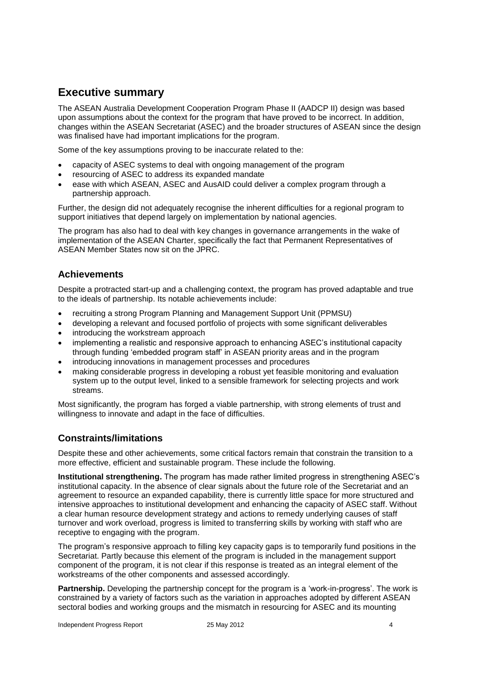# **Executive summary**

The ASEAN Australia Development Cooperation Program Phase II (AADCP II) design was based upon assumptions about the context for the program that have proved to be incorrect. In addition, changes within the ASEAN Secretariat (ASEC) and the broader structures of ASEAN since the design was finalised have had important implications for the program.

Some of the key assumptions proving to be inaccurate related to the:

- capacity of ASEC systems to deal with ongoing management of the program
- resourcing of ASEC to address its expanded mandate
- ease with which ASEAN, ASEC and AusAID could deliver a complex program through a partnership approach.

Further, the design did not adequately recognise the inherent difficulties for a regional program to support initiatives that depend largely on implementation by national agencies.

The program has also had to deal with key changes in governance arrangements in the wake of implementation of the ASEAN Charter, specifically the fact that Permanent Representatives of ASEAN Member States now sit on the JPRC.

# **Achievements**

Despite a protracted start-up and a challenging context, the program has proved adaptable and true to the ideals of partnership. Its notable achievements include:

- recruiting a strong Program Planning and Management Support Unit (PPMSU)
- developing a relevant and focused portfolio of projects with some significant deliverables
- introducing the workstream approach
- implementing a realistic and responsive approach to enhancing ASEC's institutional capacity through funding 'embedded program staff' in ASEAN priority areas and in the program
- introducing innovations in management processes and procedures
- making considerable progress in developing a robust yet feasible monitoring and evaluation system up to the output level, linked to a sensible framework for selecting projects and work streams.

Most significantly, the program has forged a viable partnership, with strong elements of trust and willingness to innovate and adapt in the face of difficulties.

# **Constraints/limitations**

Despite these and other achievements, some critical factors remain that constrain the transition to a more effective, efficient and sustainable program. These include the following.

**Institutional strengthening.** The program has made rather limited progress in strengthening ASEC's institutional capacity. In the absence of clear signals about the future role of the Secretariat and an agreement to resource an expanded capability, there is currently little space for more structured and intensive approaches to institutional development and enhancing the capacity of ASEC staff. Without a clear human resource development strategy and actions to remedy underlying causes of staff turnover and work overload, progress is limited to transferring skills by working with staff who are receptive to engaging with the program.

The program's responsive approach to filling key capacity gaps is to temporarily fund positions in the Secretariat. Partly because this element of the program is included in the management support component of the program, it is not clear if this response is treated as an integral element of the workstreams of the other components and assessed accordingly.

**Partnership.** Developing the partnership concept for the program is a 'work-in-progress'. The work is constrained by a variety of factors such as the variation in approaches adopted by different ASEAN sectoral bodies and working groups and the mismatch in resourcing for ASEC and its mounting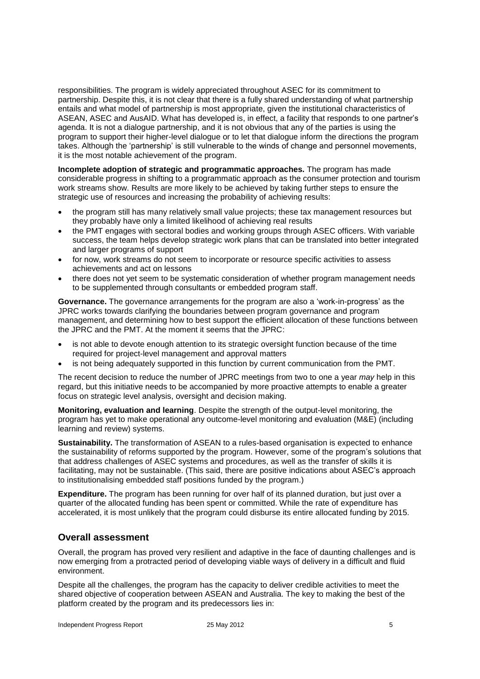responsibilities. The program is widely appreciated throughout ASEC for its commitment to partnership. Despite this, it is not clear that there is a fully shared understanding of what partnership entails and what model of partnership is most appropriate, given the institutional characteristics of ASEAN, ASEC and AusAID. What has developed is, in effect, a facility that responds to one partner's agenda. It is not a dialogue partnership, and it is not obvious that any of the parties is using the program to support their higher-level dialogue or to let that dialogue inform the directions the program takes. Although the 'partnership' is still vulnerable to the winds of change and personnel movements, it is the most notable achievement of the program.

**Incomplete adoption of strategic and programmatic approaches.** The program has made considerable progress in shifting to a programmatic approach as the consumer protection and tourism work streams show. Results are more likely to be achieved by taking further steps to ensure the strategic use of resources and increasing the probability of achieving results:

- the program still has many relatively small value projects; these tax management resources but they probably have only a limited likelihood of achieving real results
- the PMT engages with sectoral bodies and working groups through ASEC officers. With variable success, the team helps develop strategic work plans that can be translated into better integrated and larger programs of support
- for now, work streams do not seem to incorporate or resource specific activities to assess achievements and act on lessons
- there does not yet seem to be systematic consideration of whether program management needs to be supplemented through consultants or embedded program staff.

**Governance.** The governance arrangements for the program are also a 'work-in-progress' as the JPRC works towards clarifying the boundaries between program governance and program management, and determining how to best support the efficient allocation of these functions between the JPRC and the PMT. At the moment it seems that the JPRC:

- is not able to devote enough attention to its strategic oversight function because of the time required for project-level management and approval matters
- is not being adequately supported in this function by current communication from the PMT.

The recent decision to reduce the number of JPRC meetings from two to one a year *may* help in this regard, but this initiative needs to be accompanied by more proactive attempts to enable a greater focus on strategic level analysis, oversight and decision making.

**Monitoring, evaluation and learning**. Despite the strength of the output-level monitoring, the program has yet to make operational any outcome-level monitoring and evaluation (M&E) (including learning and review) systems.

**Sustainability.** The transformation of ASEAN to a rules-based organisation is expected to enhance the sustainability of reforms supported by the program. However, some of the program's solutions that that address challenges of ASEC systems and procedures, as well as the transfer of skills it is facilitating, may not be sustainable. (This said, there are positive indications about ASEC's approach to institutionalising embedded staff positions funded by the program.)

**Expenditure.** The program has been running for over half of its planned duration, but just over a quarter of the allocated funding has been spent or committed. While the rate of expenditure has accelerated, it is most unlikely that the program could disburse its entire allocated funding by 2015.

## **Overall assessment**

Overall, the program has proved very resilient and adaptive in the face of daunting challenges and is now emerging from a protracted period of developing viable ways of delivery in a difficult and fluid environment.

Despite all the challenges, the program has the capacity to deliver credible activities to meet the shared objective of cooperation between ASEAN and Australia. The key to making the best of the platform created by the program and its predecessors lies in: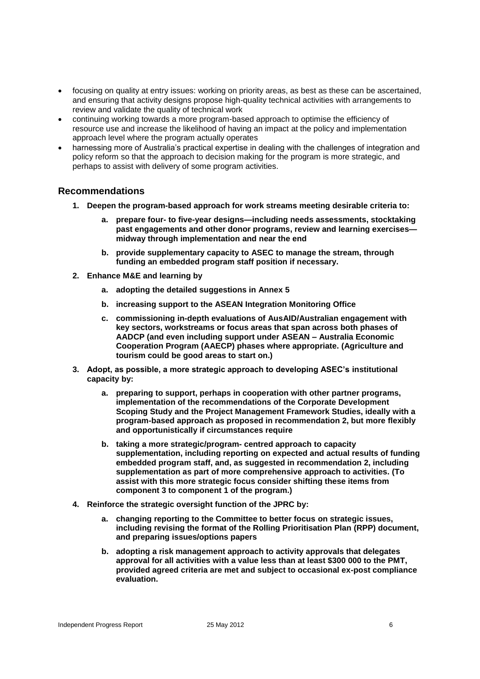- focusing on quality at entry issues: working on priority areas, as best as these can be ascertained, and ensuring that activity designs propose high-quality technical activities with arrangements to review and validate the quality of technical work
- continuing working towards a more program-based approach to optimise the efficiency of resource use and increase the likelihood of having an impact at the policy and implementation approach level where the program actually operates
- harnessing more of Australia's practical expertise in dealing with the challenges of integration and policy reform so that the approach to decision making for the program is more strategic, and perhaps to assist with delivery of some program activities.

# **Recommendations**

- **1. Deepen the program-based approach for work streams meeting desirable criteria to:**
	- **a. prepare four- to five-year designs—including needs assessments, stocktaking past engagements and other donor programs, review and learning exercises midway through implementation and near the end**
	- **b. provide supplementary capacity to ASEC to manage the stream, through funding an embedded program staff position if necessary.**
- **2. Enhance M&E and learning by**
	- **a. adopting the detailed suggestions in Annex 5**
	- **b. increasing support to the ASEAN Integration Monitoring Office**
	- **c. commissioning in-depth evaluations of AusAID/Australian engagement with key sectors, workstreams or focus areas that span across both phases of AADCP (and even including support under ASEAN – Australia Economic Cooperation Program (AAECP) phases where appropriate. (Agriculture and tourism could be good areas to start on.)**
- **3. Adopt, as possible, a more strategic approach to developing ASEC's institutional capacity by:**
	- **a. preparing to support, perhaps in cooperation with other partner programs, implementation of the recommendations of the Corporate Development Scoping Study and the Project Management Framework Studies, ideally with a program-based approach as proposed in recommendation 2, but more flexibly and opportunistically if circumstances require**
	- **b. taking a more strategic/program- centred approach to capacity supplementation, including reporting on expected and actual results of funding embedded program staff, and, as suggested in recommendation 2, including supplementation as part of more comprehensive approach to activities. (To assist with this more strategic focus consider shifting these items from component 3 to component 1 of the program.)**
- **4. Reinforce the strategic oversight function of the JPRC by:**
	- **a. changing reporting to the Committee to better focus on strategic issues, including revising the format of the Rolling Prioritisation Plan (RPP) document, and preparing issues/options papers**
	- **b. adopting a risk management approach to activity approvals that delegates approval for all activities with a value less than at least \$300 000 to the PMT, provided agreed criteria are met and subject to occasional ex-post compliance evaluation.**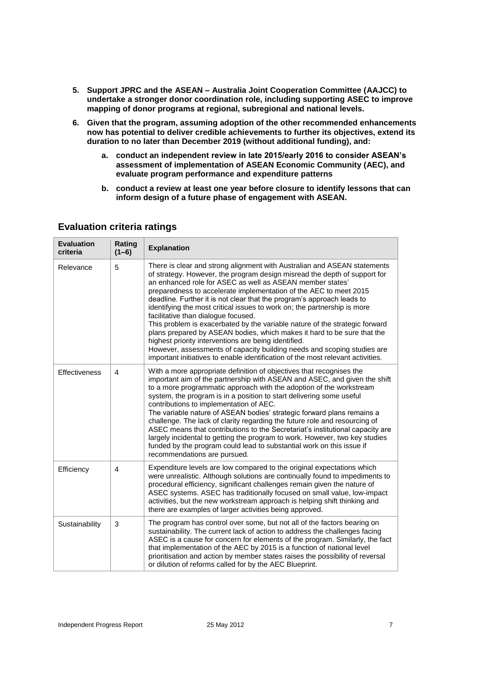- **5. Support JPRC and the ASEAN – Australia Joint Cooperation Committee (AAJCC) to undertake a stronger donor coordination role, including supporting ASEC to improve mapping of donor programs at regional, subregional and national levels.**
- **6. Given that the program, assuming adoption of the other recommended enhancements now has potential to deliver credible achievements to further its objectives, extend its duration to no later than December 2019 (without additional funding), and:**
	- **a. conduct an independent review in late 2015/early 2016 to consider ASEAN's assessment of implementation of ASEAN Economic Community (AEC), and evaluate program performance and expenditure patterns**
	- **b. conduct a review at least one year before closure to identify lessons that can inform design of a future phase of engagement with ASEAN.**

| <b>Evaluation</b><br>criteria | Rating<br>$(1-6)$ | <b>Explanation</b>                                                                                                                                                                                                                                                                                                                                                                                                                                                                                                                                                                                                                                                                                                                                                                                                                                                   |
|-------------------------------|-------------------|----------------------------------------------------------------------------------------------------------------------------------------------------------------------------------------------------------------------------------------------------------------------------------------------------------------------------------------------------------------------------------------------------------------------------------------------------------------------------------------------------------------------------------------------------------------------------------------------------------------------------------------------------------------------------------------------------------------------------------------------------------------------------------------------------------------------------------------------------------------------|
| Relevance                     | 5                 | There is clear and strong alignment with Australian and ASEAN statements<br>of strategy. However, the program design misread the depth of support for<br>an enhanced role for ASEC as well as ASEAN member states'<br>preparedness to accelerate implementation of the AEC to meet 2015<br>deadline. Further it is not clear that the program's approach leads to<br>identifying the most critical issues to work on; the partnership is more<br>facilitative than dialogue focused.<br>This problem is exacerbated by the variable nature of the strategic forward<br>plans prepared by ASEAN bodies, which makes it hard to be sure that the<br>highest priority interventions are being identified.<br>However, assessments of capacity building needs and scoping studies are<br>important initiatives to enable identification of the most relevant activities. |
| Effectiveness                 | 4                 | With a more appropriate definition of objectives that recognises the<br>important aim of the partnership with ASEAN and ASEC, and given the shift<br>to a more programmatic approach with the adoption of the workstream<br>system, the program is in a position to start delivering some useful<br>contributions to implementation of AEC.<br>The variable nature of ASEAN bodies' strategic forward plans remains a<br>challenge. The lack of clarity regarding the future role and resourcing of<br>ASEC means that contributions to the Secretariat's institutional capacity are<br>largely incidental to getting the program to work. However, two key studies<br>funded by the program could lead to substantial work on this issue if<br>recommendations are pursued.                                                                                         |
| Efficiency                    | 4                 | Expenditure levels are low compared to the original expectations which<br>were unrealistic. Although solutions are continually found to impediments to<br>procedural efficiency, significant challenges remain given the nature of<br>ASEC systems. ASEC has traditionally focused on small value, low-impact<br>activities, but the new workstream approach is helping shift thinking and<br>there are examples of larger activities being approved.                                                                                                                                                                                                                                                                                                                                                                                                                |
| Sustainability                | 3                 | The program has control over some, but not all of the factors bearing on<br>sustainability. The current lack of action to address the challenges facing<br>ASEC is a cause for concern for elements of the program. Similarly, the fact<br>that implementation of the AEC by 2015 is a function of national level<br>prioritisation and action by member states raises the possibility of reversal<br>or dilution of reforms called for by the AEC Blueprint.                                                                                                                                                                                                                                                                                                                                                                                                        |

## **Evaluation criteria ratings**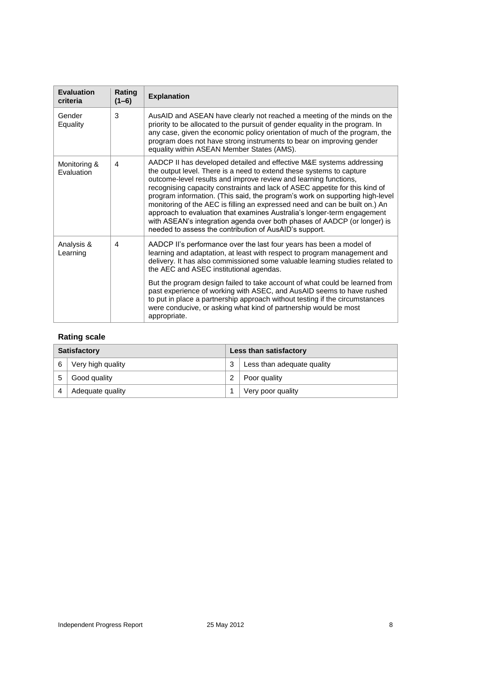| <b>Evaluation</b><br>criteria | Rating<br>$(1-6)$ | <b>Explanation</b>                                                                                                                                                                                                                                                                                                                                                                                                                                                                                                                                                                                                                                                              |
|-------------------------------|-------------------|---------------------------------------------------------------------------------------------------------------------------------------------------------------------------------------------------------------------------------------------------------------------------------------------------------------------------------------------------------------------------------------------------------------------------------------------------------------------------------------------------------------------------------------------------------------------------------------------------------------------------------------------------------------------------------|
| Gender<br>Equality            | 3                 | AusAID and ASEAN have clearly not reached a meeting of the minds on the<br>priority to be allocated to the pursuit of gender equality in the program. In<br>any case, given the economic policy orientation of much of the program, the<br>program does not have strong instruments to bear on improving gender<br>equality within ASEAN Member States (AMS).                                                                                                                                                                                                                                                                                                                   |
| Monitoring &<br>Evaluation    | 4                 | AADCP II has developed detailed and effective M&E systems addressing<br>the output level. There is a need to extend these systems to capture<br>outcome-level results and improve review and learning functions,<br>recognising capacity constraints and lack of ASEC appetite for this kind of<br>program information. (This said, the program's work on supporting high-level<br>monitoring of the AEC is filling an expressed need and can be built on.) An<br>approach to evaluation that examines Australia's longer-term engagement<br>with ASEAN's integration agenda over both phases of AADCP (or longer) is<br>needed to assess the contribution of AusAID's support. |
| Analysis &<br>Learning        | 4                 | AADCP II's performance over the last four years has been a model of<br>learning and adaptation, at least with respect to program management and<br>delivery. It has also commissioned some valuable learning studies related to<br>the AEC and ASEC institutional agendas.                                                                                                                                                                                                                                                                                                                                                                                                      |
|                               |                   | But the program design failed to take account of what could be learned from<br>past experience of working with ASEC, and AusAID seems to have rushed<br>to put in place a partnership approach without testing if the circumstances<br>were conducive, or asking what kind of partnership would be most<br>appropriate.                                                                                                                                                                                                                                                                                                                                                         |

# **Rating scale**

| <b>Satisfactory</b> |                   | Less than satisfactory |                            |
|---------------------|-------------------|------------------------|----------------------------|
|                     | Very high quality | 3                      | Less than adequate quality |
| 5                   | Good quality      |                        | Poor quality               |
|                     | Adequate quality  |                        | Very poor quality          |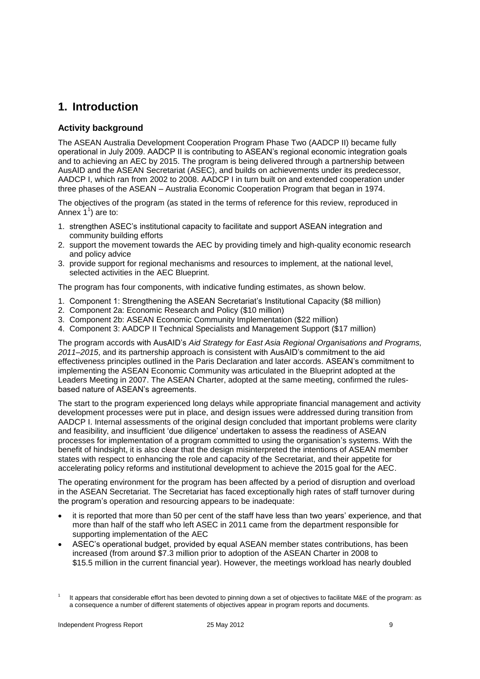# **1. Introduction**

## **Activity background**

The ASEAN Australia Development Cooperation Program Phase Two (AADCP II) became fully operational in July 2009. AADCP II is contributing to ASEAN's regional economic integration goals and to achieving an AEC by 2015. The program is being delivered through a partnership between AusAID and the ASEAN Secretariat (ASEC), and builds on achievements under its predecessor, AADCP I, which ran from 2002 to 2008. AADCP I in turn built on and extended cooperation under three phases of the ASEAN – Australia Economic Cooperation Program that began in 1974.

The objectives of the program (as stated in the terms of reference for this review, reproduced in Annex  $1^1$ ) are to:

- 1. strengthen ASEC's institutional capacity to facilitate and support ASEAN integration and community building efforts
- 2. support the movement towards the AEC by providing timely and high-quality economic research and policy advice
- 3. provide support for regional mechanisms and resources to implement, at the national level, selected activities in the AEC Blueprint.

The program has four components, with indicative funding estimates, as shown below.

- 1. Component 1: Strengthening the ASEAN Secretariat's Institutional Capacity (\$8 million)
- 2. Component 2a: Economic Research and Policy (\$10 million)
- 3. Component 2b: ASEAN Economic Community Implementation (\$22 million)
- 4. Component 3: AADCP II Technical Specialists and Management Support (\$17 million)

The program accords with AusAID's *Aid Strategy for East Asia Regional Organisations and Programs, 2011–2015*, and its partnership approach is consistent with AusAID's commitment to the aid effectiveness principles outlined in the Paris Declaration and later accords. ASEAN's commitment to implementing the ASEAN Economic Community was articulated in the Blueprint adopted at the Leaders Meeting in 2007. The ASEAN Charter, adopted at the same meeting, confirmed the rulesbased nature of ASEAN's agreements.

The start to the program experienced long delays while appropriate financial management and activity development processes were put in place, and design issues were addressed during transition from AADCP I. Internal assessments of the original design concluded that important problems were clarity and feasibility, and insufficient 'due diligence' undertaken to assess the readiness of ASEAN processes for implementation of a program committed to using the organisation's systems. With the benefit of hindsight, it is also clear that the design misinterpreted the intentions of ASEAN member states with respect to enhancing the role and capacity of the Secretariat, and their appetite for accelerating policy reforms and institutional development to achieve the 2015 goal for the AEC.

The operating environment for the program has been affected by a period of disruption and overload in the ASEAN Secretariat. The Secretariat has faced exceptionally high rates of staff turnover during the program's operation and resourcing appears to be inadequate:

- it is reported that more than 50 per cent of the staff have less than two years' experience, and that more than half of the staff who left ASEC in 2011 came from the department responsible for supporting implementation of the AEC
- ASEC's operational budget, provided by equal ASEAN member states contributions, has been increased (from around \$7.3 million prior to adoption of the ASEAN Charter in 2008 to \$15.5 million in the current financial year). However, the meetings workload has nearly doubled

<sup>1</sup> It appears that considerable effort has been devoted to pinning down a set of objectives to facilitate M&E of the program: as a consequence a number of different statements of objectives appear in program reports and documents.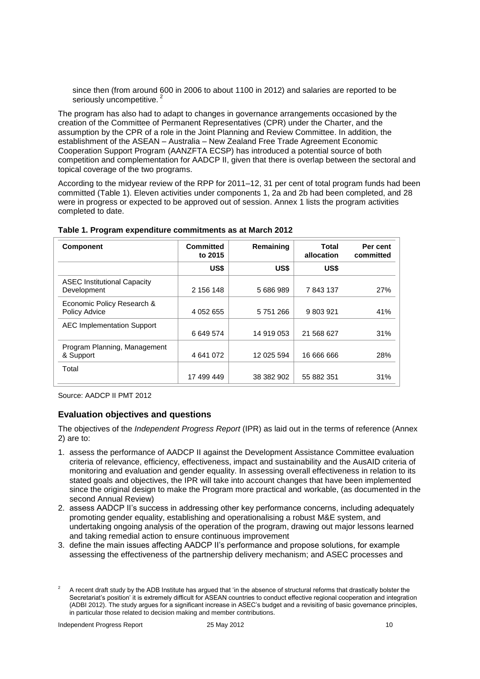since then (from around 600 in 2006 to about 1100 in 2012) and salaries are reported to be seriously uncompetitive.<sup>2</sup>

The program has also had to adapt to changes in governance arrangements occasioned by the creation of the Committee of Permanent Representatives (CPR) under the Charter, and the assumption by the CPR of a role in the Joint Planning and Review Committee. In addition, the establishment of the ASEAN – Australia – New Zealand Free Trade Agreement Economic Cooperation Support Program (AANZFTA ECSP) has introduced a potential source of both competition and complementation for AADCP II, given that there is overlap between the sectoral and topical coverage of the two programs.

According to the midyear review of the RPP for 2011–12, 31 per cent of total program funds had been committed (Table 1). Eleven activities under components 1, 2a and 2b had been completed, and 28 were in progress or expected to be approved out of session. Annex 1 lists the program activities completed to date.

| <b>Component</b>                                   | <b>Committed</b><br>Remaining<br>to 2015 |            | Total<br>allocation | Per cent<br>committed |
|----------------------------------------------------|------------------------------------------|------------|---------------------|-----------------------|
|                                                    | US\$                                     | US\$       | US\$                |                       |
| <b>ASEC Institutional Capacity</b><br>Development  | 2 156 148                                | 5 686 989  | 7843137             | 27%                   |
| Economic Policy Research &<br><b>Policy Advice</b> | 4 052 655                                | 5751266    | 9 803 921           | 41%                   |
| <b>AEC Implementation Support</b>                  | 6 649 574                                | 14 919 053 | 21 568 627          | 31%                   |
| Program Planning, Management<br>& Support          | 4 641 072                                | 12 025 594 | 16 666 666          | 28%                   |
| Total                                              | 17 499 449                               | 38 382 902 | 55 882 351          | 31%                   |

**Table 1. Program expenditure commitments as at March 2012**

Source: AADCP II PMT 2012

### **Evaluation objectives and questions**

The objectives of the *Independent Progress Report* (IPR) as laid out in the terms of reference (Annex 2) are to:

- 1. assess the performance of AADCP II against the Development Assistance Committee evaluation criteria of relevance, efficiency, effectiveness, impact and sustainability and the AusAID criteria of monitoring and evaluation and gender equality. In assessing overall effectiveness in relation to its stated goals and objectives, the IPR will take into account changes that have been implemented since the original design to make the Program more practical and workable, (as documented in the second Annual Review)
- 2. assess AADCP II's success in addressing other key performance concerns, including adequately promoting gender equality, establishing and operationalising a robust M&E system, and undertaking ongoing analysis of the operation of the program, drawing out major lessons learned and taking remedial action to ensure continuous improvement
- 3. define the main issues affecting AADCP II's performance and propose solutions, for example assessing the effectiveness of the partnership delivery mechanism; and ASEC processes and

<sup>2</sup> A recent draft study by the ADB Institute has argued that 'in the absence of structural reforms that drastically bolster the Secretariat's position' it is extremely difficult for ASEAN countries to conduct effective regional cooperation and integration (ADBI 2012). The study argues for a significant increase in ASEC's budget and a revisiting of basic governance principles, in particular those related to decision making and member contributions.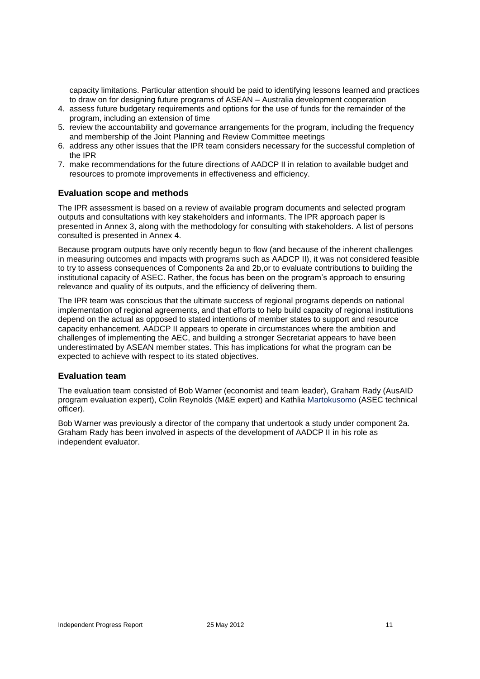capacity limitations. Particular attention should be paid to identifying lessons learned and practices to draw on for designing future programs of ASEAN – Australia development cooperation

- 4. assess future budgetary requirements and options for the use of funds for the remainder of the program, including an extension of time
- 5. review the accountability and governance arrangements for the program, including the frequency and membership of the Joint Planning and Review Committee meetings
- 6. address any other issues that the IPR team considers necessary for the successful completion of the IPR
- 7. make recommendations for the future directions of AADCP II in relation to available budget and resources to promote improvements in effectiveness and efficiency.

#### **Evaluation scope and methods**

The IPR assessment is based on a review of available program documents and selected program outputs and consultations with key stakeholders and informants. The IPR approach paper is presented in Annex 3, along with the methodology for consulting with stakeholders. A list of persons consulted is presented in Annex 4.

Because program outputs have only recently begun to flow (and because of the inherent challenges in measuring outcomes and impacts with programs such as AADCP II), it was not considered feasible to try to assess consequences of Components 2a and 2b,or to evaluate contributions to building the institutional capacity of ASEC. Rather, the focus has been on the program's approach to ensuring relevance and quality of its outputs, and the efficiency of delivering them.

The IPR team was conscious that the ultimate success of regional programs depends on national implementation of regional agreements, and that efforts to help build capacity of regional institutions depend on the actual as opposed to stated intentions of member states to support and resource capacity enhancement. AADCP II appears to operate in circumstances where the ambition and challenges of implementing the AEC, and building a stronger Secretariat appears to have been underestimated by ASEAN member states. This has implications for what the program can be expected to achieve with respect to its stated objectives.

#### **Evaluation team**

The evaluation team consisted of Bob Warner (economist and team leader), Graham Rady (AusAID program evaluation expert), Colin Reynolds (M&E expert) and Kathlia Martokusomo (ASEC technical officer).

Bob Warner was previously a director of the company that undertook a study under component 2a. Graham Rady has been involved in aspects of the development of AADCP II in his role as independent evaluator.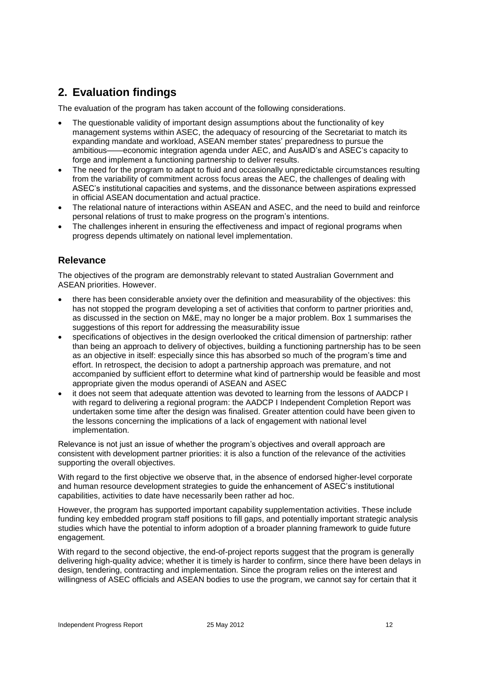# **2. Evaluation findings**

The evaluation of the program has taken account of the following considerations.

- The questionable validity of important design assumptions about the functionality of key management systems within ASEC, the adequacy of resourcing of the Secretariat to match its expanding mandate and workload, ASEAN member states' preparedness to pursue the ambitious—economic integration agenda under AEC, and AusAID's and ASEC's capa economic integration agenda under AEC, and AusAID's and ASEC's capacity to forge and implement a functioning partnership to deliver results.
- The need for the program to adapt to fluid and occasionally unpredictable circumstances resulting from the variability of commitment across focus areas the AEC, the challenges of dealing with ASEC's institutional capacities and systems, and the dissonance between aspirations expressed in official ASEAN documentation and actual practice.
- The relational nature of interactions within ASEAN and ASEC, and the need to build and reinforce personal relations of trust to make progress on the program's intentions.
- The challenges inherent in ensuring the effectiveness and impact of regional programs when progress depends ultimately on national level implementation.

# **Relevance**

The objectives of the program are demonstrably relevant to stated Australian Government and ASEAN priorities. However.

- there has been considerable anxiety over the definition and measurability of the objectives: this has not stopped the program developing a set of activities that conform to partner priorities and, as discussed in the section on M&E, may no longer be a major problem. Box 1 summarises the suggestions of this report for addressing the measurability issue
- specifications of objectives in the design overlooked the critical dimension of partnership: rather than being an approach to delivery of objectives, building a functioning partnership has to be seen as an objective in itself: especially since this has absorbed so much of the program's time and effort. In retrospect, the decision to adopt a partnership approach was premature, and not accompanied by sufficient effort to determine what kind of partnership would be feasible and most appropriate given the modus operandi of ASEAN and ASEC
- it does not seem that adequate attention was devoted to learning from the lessons of AADCP I with regard to delivering a regional program: the AADCP I Independent Completion Report was undertaken some time after the design was finalised. Greater attention could have been given to the lessons concerning the implications of a lack of engagement with national level implementation.

Relevance is not just an issue of whether the program's objectives and overall approach are consistent with development partner priorities: it is also a function of the relevance of the activities supporting the overall objectives.

With regard to the first objective we observe that, in the absence of endorsed higher-level corporate and human resource development strategies to guide the enhancement of ASEC's institutional capabilities, activities to date have necessarily been rather ad hoc.

However, the program has supported important capability supplementation activities. These include funding key embedded program staff positions to fill gaps, and potentially important strategic analysis studies which have the potential to inform adoption of a broader planning framework to guide future engagement.

With regard to the second objective, the end-of-project reports suggest that the program is generally delivering high-quality advice; whether it is timely is harder to confirm, since there have been delays in design, tendering, contracting and implementation. Since the program relies on the interest and willingness of ASEC officials and ASEAN bodies to use the program, we cannot say for certain that it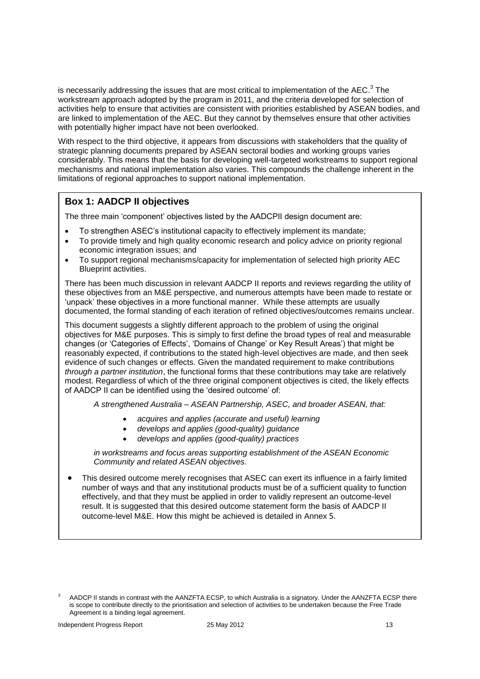is necessarily addressing the issues that are most critical to implementation of the AEC. $^3$  The workstream approach adopted by the program in 2011, and the criteria developed for selection of activities help to ensure that activities are consistent with priorities established by ASEAN bodies, and are linked to implementation of the AEC. But they cannot by themselves ensure that other activities with potentially higher impact have not been overlooked.

With respect to the third objective, it appears from discussions with stakeholders that the quality of strategic planning documents prepared by ASEAN sectoral bodies and working groups varies considerably. This means that the basis for developing well-targeted workstreams to support regional mechanisms and national implementation also varies. This compounds the challenge inherent in the limitations of regional approaches to support national implementation.

# **Box 1: AADCP II objectives**

The three main 'component' objectives listed by the AADCPII design document are:

- To strengthen ASEC's institutional capacity to effectively implement its mandate;
- To provide timely and high quality economic research and policy advice on priority regional economic integration issues; and
- To support regional mechanisms/capacity for implementation of selected high priority AEC Blueprint activities.

There has been much discussion in relevant AADCP II reports and reviews regarding the utility of these objectives from an M&E perspective, and numerous attempts have been made to restate or 'unpack' these objectives in a more functional manner. While these attempts are usually documented, the formal standing of each iteration of refined objectives/outcomes remains unclear.

This document suggests a slightly different approach to the problem of using the original objectives for M&E purposes. This is simply to first define the broad types of real and measurable changes (or 'Categories of Effects', 'Domains of Change' or Key Result Areas') that might be reasonably expected, if contributions to the stated high-level objectives are made, and then seek evidence of such changes or effects. Given the mandated requirement to make contributions *through a partner institution*, the functional forms that these contributions may take are relatively modest. Regardless of which of the three original component objectives is cited, the likely effects of AADCP II can be identified using the 'desired outcome' of:

*A strengthened Australia – ASEAN Partnership, ASEC, and broader ASEAN, that:* 

- *acquires and applies (accurate and useful) learning*
- *develops and applies (good-quality) guidance*
- *develops and applies (good-quality) practices*

*in workstreams and focus areas supporting establishment of the ASEAN Economic Community and related ASEAN objectives.* 

 This desired outcome merely recognises that ASEC can exert its influence in a fairly limited number of ways and that any institutional products must be of a sufficient quality to function effectively, and that they must be applied in order to validly represent an outcome-level result. It is suggested that this desired outcome statement form the basis of AADCP II outcome-level M&E. How this might be achieved is detailed in Annex 5.

AADCP II stands in contrast with the AANZFTA ECSP, to which Australia is a signatory. Under the AANZFTA ECSP there is scope to contribute directly to the prioritisation and selection of activities to be undertaken because the Free Trade Agreement is a binding legal agreement.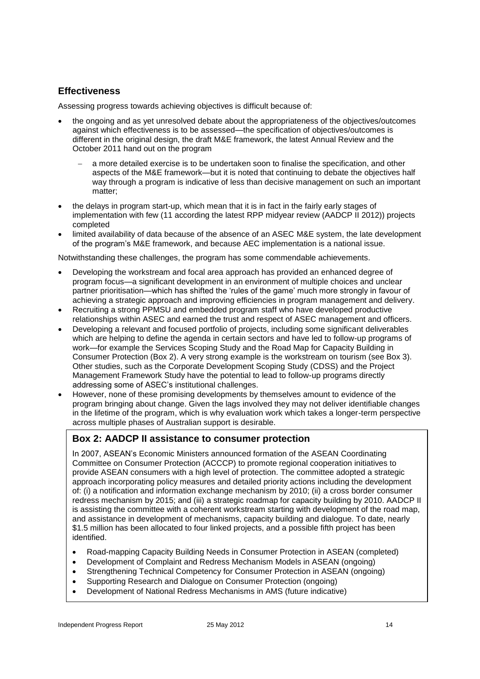# **Effectiveness**

Assessing progress towards achieving objectives is difficult because of:

- the ongoing and as yet unresolved debate about the appropriateness of the objectives/outcomes against which effectiveness is to be assessed—the specification of objectives/outcomes is different in the original design, the draft M&E framework, the latest Annual Review and the October 2011 hand out on the program
	- a more detailed exercise is to be undertaken soon to finalise the specification, and other aspects of the M&E framework—but it is noted that continuing to debate the objectives half way through a program is indicative of less than decisive management on such an important matter;
- the delays in program start-up, which mean that it is in fact in the fairly early stages of implementation with few (11 according the latest RPP midyear review (AADCP II 2012)) projects completed
- limited availability of data because of the absence of an ASEC M&E system, the late development of the program's M&E framework, and because AEC implementation is a national issue.

Notwithstanding these challenges, the program has some commendable achievements.

- Developing the workstream and focal area approach has provided an enhanced degree of program focus—a significant development in an environment of multiple choices and unclear partner prioritisation—which has shifted the 'rules of the game' much more strongly in favour of achieving a strategic approach and improving efficiencies in program management and delivery.
- Recruiting a strong PPMSU and embedded program staff who have developed productive relationships within ASEC and earned the trust and respect of ASEC management and officers.
- Developing a relevant and focused portfolio of projects, including some significant deliverables which are helping to define the agenda in certain sectors and have led to follow-up programs of work—for example the Services Scoping Study and the Road Map for Capacity Building in Consumer Protection (Box 2). A very strong example is the workstream on tourism (see Box 3). Other studies, such as the Corporate Development Scoping Study (CDSS) and the Project Management Framework Study have the potential to lead to follow-up programs directly addressing some of ASEC's institutional challenges.
- However, none of these promising developments by themselves amount to evidence of the program bringing about change. Given the lags involved they may not deliver identifiable changes in the lifetime of the program, which is why evaluation work which takes a longer-term perspective across multiple phases of Australian support is desirable.

# **Box 2: AADCP II assistance to consumer protection**

In 2007, ASEAN's Economic Ministers announced formation of the ASEAN Coordinating Committee on Consumer Protection (ACCCP) to promote regional cooperation initiatives to provide ASEAN consumers with a high level of protection. The committee adopted a strategic approach incorporating policy measures and detailed priority actions including the development of: (i) a notification and information exchange mechanism by 2010; (ii) a cross border consumer redress mechanism by 2015; and (iii) a strategic roadmap for capacity building by 2010. AADCP II is assisting the committee with a coherent workstream starting with development of the road map, and assistance in development of mechanisms, capacity building and dialogue. To date, nearly \$1.5 million has been allocated to four linked projects, and a possible fifth project has been identified.

- Road-mapping Capacity Building Needs in Consumer Protection in ASEAN (completed)
- Development of Complaint and Redress Mechanism Models in ASEAN (ongoing)
- Strengthening Technical Competency for Consumer Protection in ASEAN (ongoing)
- Supporting Research and Dialogue on Consumer Protection (ongoing)
- Development of National Redress Mechanisms in AMS (future indicative)

 $\overline{a}$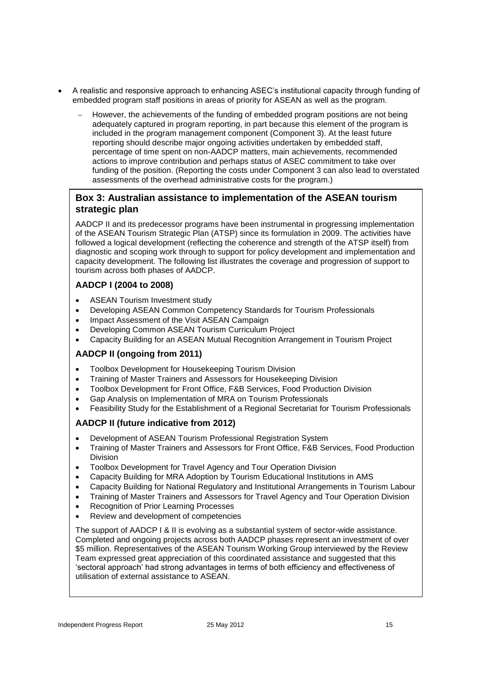- A realistic and responsive approach to enhancing ASEC's institutional capacity through funding of embedded program staff positions in areas of priority for ASEAN as well as the program.
	- However, the achievements of the funding of embedded program positions are not being adequately captured in program reporting, in part because this element of the program is included in the program management component (Component 3). At the least future reporting should describe major ongoing activities undertaken by embedded staff, percentage of time spent on non-AADCP matters, main achievements, recommended actions to improve contribution and perhaps status of ASEC commitment to take over funding of the position. (Reporting the costs under Component 3 can also lead to overstated assessments of the overhead administrative costs for the program.)

# **Box 3: Australian assistance to implementation of the ASEAN tourism strategic plan**

AADCP II and its predecessor programs have been instrumental in progressing implementation of the ASEAN Tourism Strategic Plan (ATSP) since its formulation in 2009. The activities have followed a logical development (reflecting the coherence and strength of the ATSP itself) from diagnostic and scoping work through to support for policy development and implementation and capacity development. The following list illustrates the coverage and progression of support to tourism across both phases of AADCP.

# **AADCP I (2004 to 2008)**

- ASEAN Tourism Investment study
- Developing ASEAN Common Competency Standards for Tourism Professionals
- Impact Assessment of the Visit ASEAN Campaign
- Developing Common ASEAN Tourism Curriculum Project
- Capacity Building for an ASEAN Mutual Recognition Arrangement in Tourism Project

## **AADCP II (ongoing from 2011)**

- Toolbox Development for Housekeeping Tourism Division
- Training of Master Trainers and Assessors for Housekeeping Division
- Toolbox Development for Front Office, F&B Services, Food Production Division
- Gap Analysis on Implementation of MRA on Tourism Professionals
- Feasibility Study for the Establishment of a Regional Secretariat for Tourism Professionals

## **AADCP II (future indicative from 2012)**

- Development of ASEAN Tourism Professional Registration System
- Training of Master Trainers and Assessors for Front Office, F&B Services, Food Production Division
- Toolbox Development for Travel Agency and Tour Operation Division
- Capacity Building for MRA Adoption by Tourism Educational Institutions in AMS
- Capacity Building for National Regulatory and Institutional Arrangements in Tourism Labour
- Training of Master Trainers and Assessors for Travel Agency and Tour Operation Division
- Recognition of Prior Learning Processes
- Review and development of competencies

The support of AADCP I & II is evolving as a substantial system of sector-wide assistance. Completed and ongoing projects across both AADCP phases represent an investment of over \$5 million. Representatives of the ASEAN Tourism Working Group interviewed by the Review Team expressed great appreciation of this coordinated assistance and suggested that this 'sectoral approach' had strong advantages in terms of both efficiency and effectiveness of utilisation of external assistance to ASEAN.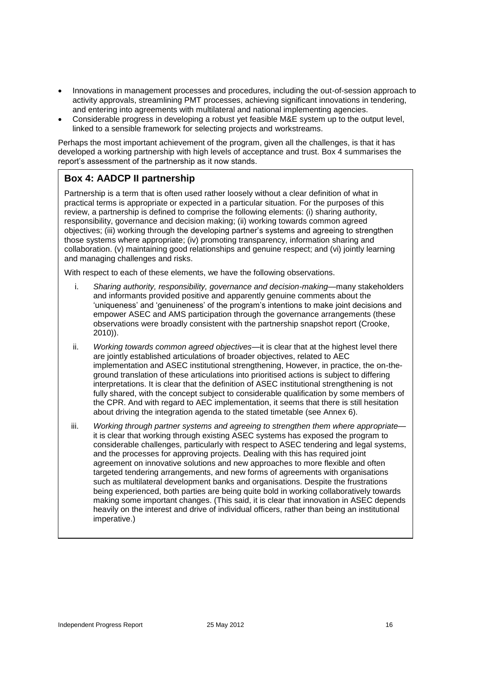- Innovations in management processes and procedures, including the out-of-session approach to activity approvals, streamlining PMT processes, achieving significant innovations in tendering, and entering into agreements with multilateral and national implementing agencies.
- Considerable progress in developing a robust yet feasible M&E system up to the output level, linked to a sensible framework for selecting projects and workstreams.

Perhaps the most important achievement of the program, given all the challenges, is that it has developed a working partnership with high levels of acceptance and trust. Box 4 summarises the report's assessment of the partnership as it now stands.

# **Box 4: AADCP II partnership**

Partnership is a term that is often used rather loosely without a clear definition of what in practical terms is appropriate or expected in a particular situation. For the purposes of this review, a partnership is defined to comprise the following elements: (i) sharing authority, responsibility, governance and decision making; (ii) working towards common agreed objectives; (iii) working through the developing partner's systems and agreeing to strengthen those systems where appropriate; (iv) promoting transparency, information sharing and collaboration. (v) maintaining good relationships and genuine respect; and (vi) jointly learning and managing challenges and risks.

With respect to each of these elements, we have the following observations.

- i. *Sharing authority, responsibility, governance and decision-making*—many stakeholders and informants provided positive and apparently genuine comments about the 'uniqueness' and 'genuineness' of the program's intentions to make joint decisions and empower ASEC and AMS participation through the governance arrangements (these observations were broadly consistent with the partnership snapshot report (Crooke, 2010)).
- ii. *Working towards common agreed objectives*—it is clear that at the highest level there are jointly established articulations of broader objectives, related to AEC implementation and ASEC institutional strengthening, However, in practice, the on-theground translation of these articulations into prioritised actions is subject to differing interpretations. It is clear that the definition of ASEC institutional strengthening is not fully shared, with the concept subject to considerable qualification by some members of the CPR. And with regard to AEC implementation, it seems that there is still hesitation about driving the integration agenda to the stated timetable (see Annex 6).
- iii. Working through partner systems and agreeing to strengthen them where appropriate it is clear that working through existing ASEC systems has exposed the program to considerable challenges, particularly with respect to ASEC tendering and legal systems, and the processes for approving projects. Dealing with this has required joint agreement on innovative solutions and new approaches to more flexible and often targeted tendering arrangements, and new forms of agreements with organisations such as multilateral development banks and organisations. Despite the frustrations being experienced, both parties are being quite bold in working collaboratively towards making some important changes. (This said, it is clear that innovation in ASEC depends heavily on the interest and drive of individual officers, rather than being an institutional imperative.)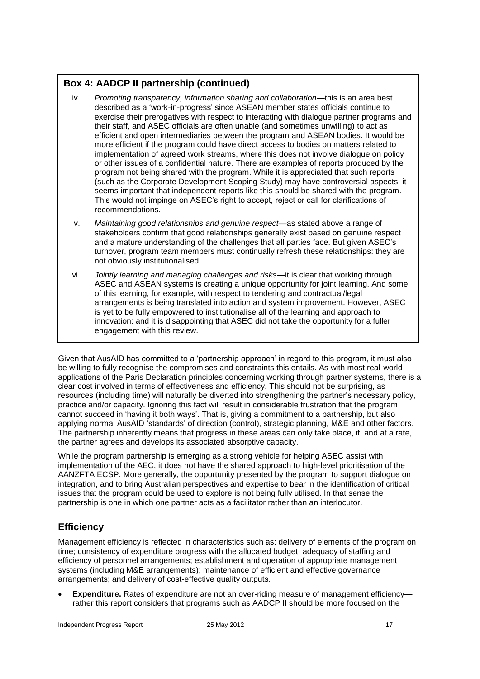# **Box 4: AADCP II partnership (continued)**

- iv. *Promoting transparency, information sharing and collaboration*—this is an area best described as a 'work-in-progress' since ASEAN member states officials continue to exercise their prerogatives with respect to interacting with dialogue partner programs and their staff, and ASEC officials are often unable (and sometimes unwilling) to act as efficient and open intermediaries between the program and ASEAN bodies. It would be more efficient if the program could have direct access to bodies on matters related to implementation of agreed work streams, where this does not involve dialogue on policy or other issues of a confidential nature. There are examples of reports produced by the program not being shared with the program. While it is appreciated that such reports (such as the Corporate Development Scoping Study) may have controversial aspects, it seems important that independent reports like this should be shared with the program. This would not impinge on ASEC's right to accept, reject or call for clarifications of recommendations.
- v. *Maintaining good relationships and genuine respect*—as stated above a range of stakeholders confirm that good relationships generally exist based on genuine respect and a mature understanding of the challenges that all parties face. But given ASEC's turnover, program team members must continually refresh these relationships: they are not obviously institutionalised.
- vi. *Jointly learning and managing challenges and risks*—it is clear that working through ASEC and ASEAN systems is creating a unique opportunity for joint learning. And some of this learning, for example, with respect to tendering and contractual/legal arrangements is being translated into action and system improvement. However, ASEC is yet to be fully empowered to institutionalise all of the learning and approach to innovation: and it is disappointing that ASEC did not take the opportunity for a fuller engagement with this review.

Given that AusAID has committed to a 'partnership approach' in regard to this program, it must also be willing to fully recognise the compromises and constraints this entails. As with most real-world applications of the Paris Declaration principles concerning working through partner systems, there is a clear cost involved in terms of effectiveness and efficiency. This should not be surprising, as resources (including time) will naturally be diverted into strengthening the partner's necessary policy, practice and/or capacity. Ignoring this fact will result in considerable frustration that the program cannot succeed in 'having it both ways'. That is, giving a commitment to a partnership, but also applying normal AusAID 'standards' of direction (control), strategic planning, M&E and other factors. The partnership inherently means that progress in these areas can only take place, if, and at a rate, the partner agrees and develops its associated absorptive capacity.

While the program partnership is emerging as a strong vehicle for helping ASEC assist with implementation of the AEC, it does not have the shared approach to high-level prioritisation of the AANZFTA ECSP. More generally, the opportunity presented by the program to support dialogue on integration, and to bring Australian perspectives and expertise to bear in the identification of critical issues that the program could be used to explore is not being fully utilised. In that sense the partnership is one in which one partner acts as a facilitator rather than an interlocutor.

# **Efficiency**

Management efficiency is reflected in characteristics such as: delivery of elements of the program on time; consistency of expenditure progress with the allocated budget; adequacy of staffing and efficiency of personnel arrangements; establishment and operation of appropriate management systems (including M&E arrangements); maintenance of efficient and effective governance arrangements; and delivery of cost-effective quality outputs.

 **Expenditure.** Rates of expenditure are not an over-riding measure of management efficiency rather this report considers that programs such as AADCP II should be more focused on the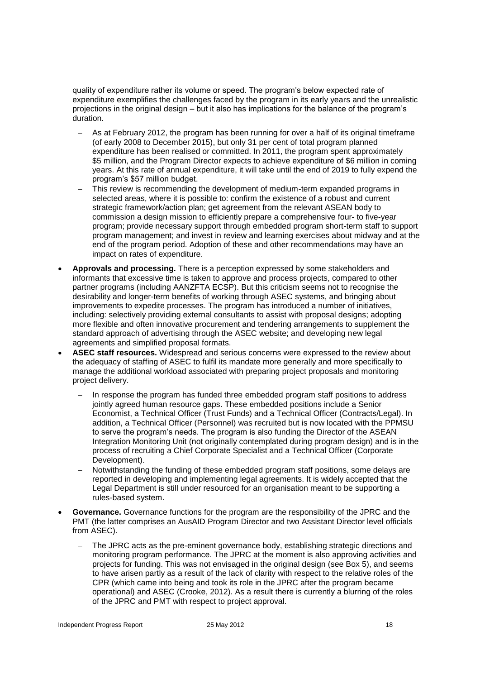quality of expenditure rather its volume or speed. The program's below expected rate of expenditure exemplifies the challenges faced by the program in its early years and the unrealistic projections in the original design – but it also has implications for the balance of the program's duration.

- As at February 2012, the program has been running for over a half of its original timeframe (of early 2008 to December 2015), but only 31 per cent of total program planned expenditure has been realised or committed. In 2011, the program spent approximately \$5 million, and the Program Director expects to achieve expenditure of \$6 million in coming years. At this rate of annual expenditure, it will take until the end of 2019 to fully expend the program's \$57 million budget.
- This review is recommending the development of medium-term expanded programs in selected areas, where it is possible to: confirm the existence of a robust and current strategic framework/action plan; get agreement from the relevant ASEAN body to commission a design mission to efficiently prepare a comprehensive four- to five-year program; provide necessary support through embedded program short-term staff to support program management; and invest in review and learning exercises about midway and at the end of the program period. Adoption of these and other recommendations may have an impact on rates of expenditure.
- **Approvals and processing.** There is a perception expressed by some stakeholders and informants that excessive time is taken to approve and process projects, compared to other partner programs (including AANZFTA ECSP). But this criticism seems not to recognise the desirability and longer-term benefits of working through ASEC systems, and bringing about improvements to expedite processes. The program has introduced a number of initiatives, including: selectively providing external consultants to assist with proposal designs; adopting more flexible and often innovative procurement and tendering arrangements to supplement the standard approach of advertising through the ASEC website; and developing new legal agreements and simplified proposal formats.
- **ASEC staff resources.** Widespread and serious concerns were expressed to the review about the adequacy of staffing of ASEC to fulfil its mandate more generally and more specifically to manage the additional workload associated with preparing project proposals and monitoring project delivery.
	- In response the program has funded three embedded program staff positions to address jointly agreed human resource gaps. These embedded positions include a Senior Economist, a Technical Officer (Trust Funds) and a Technical Officer (Contracts/Legal). In addition, a Technical Officer (Personnel) was recruited but is now located with the PPMSU to serve the program's needs. The program is also funding the Director of the ASEAN Integration Monitoring Unit (not originally contemplated during program design) and is in the process of recruiting a Chief Corporate Specialist and a Technical Officer (Corporate Development).
	- Notwithstanding the funding of these embedded program staff positions, some delays are reported in developing and implementing legal agreements. It is widely accepted that the Legal Department is still under resourced for an organisation meant to be supporting a rules-based system.
- **Governance.** Governance functions for the program are the responsibility of the JPRC and the PMT (the latter comprises an AusAID Program Director and two Assistant Director level officials from ASEC).
	- The JPRC acts as the pre-eminent governance body, establishing strategic directions and monitoring program performance. The JPRC at the moment is also approving activities and projects for funding. This was not envisaged in the original design (see Box 5), and seems to have arisen partly as a result of the lack of clarity with respect to the relative roles of the CPR (which came into being and took its role in the JPRC after the program became operational) and ASEC (Crooke, 2012). As a result there is currently a blurring of the roles of the JPRC and PMT with respect to project approval.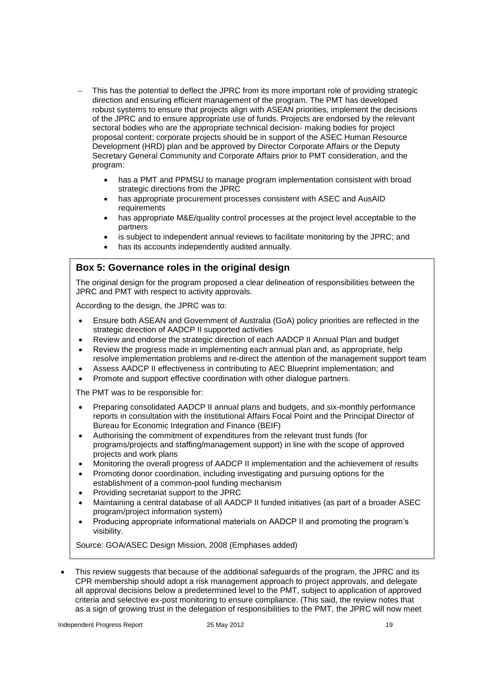- This has the potential to deflect the JPRC from its more important role of providing strategic direction and ensuring efficient management of the program. The PMT has developed robust systems to ensure that projects align with ASEAN priorities, implement the decisions of the JPRC and to ensure appropriate use of funds. Projects are endorsed by the relevant sectoral bodies who are the appropriate technical decision- making bodies for project proposal content; corporate projects should be in support of the ASEC Human Resource Development (HRD) plan and be approved by Director Corporate Affairs or the Deputy Secretary General Community and Corporate Affairs prior to PMT consideration, and the program:
	- has a PMT and PPMSU to manage program implementation consistent with broad strategic directions from the JPRC
	- has appropriate procurement processes consistent with ASEC and AusAID requirements
	- has appropriate M&E/quality control processes at the project level acceptable to the partners
	- is subject to independent annual reviews to facilitate monitoring by the JPRC; and
	- has its accounts independently audited annually.

## **Box 5: Governance roles in the original design**

The original design for the program proposed a clear delineation of responsibilities between the JPRC and PMT with respect to activity approvals.

According to the design, the JPRC was to:

- Ensure both ASEAN and Government of Australia (GoA) policy priorities are reflected in the strategic direction of AADCP II supported activities
- Review and endorse the strategic direction of each AADCP II Annual Plan and budget
- Review the progress made in implementing each annual plan and, as appropriate, help resolve implementation problems and re-direct the attention of the management support team
- Assess AADCP II effectiveness in contributing to AEC Blueprint implementation; and
- Promote and support effective coordination with other dialogue partners.

The PMT was to be responsible for:

- Preparing consolidated AADCP II annual plans and budgets, and six-monthly performance reports in consultation with the Institutional Affairs Focal Point and the Principal Director of Bureau for Economic Integration and Finance (BEIF)
- Authorising the commitment of expenditures from the relevant trust funds (for programs/projects and staffing/management support) in line with the scope of approved projects and work plans
- Monitoring the overall progress of AADCP II implementation and the achievement of results
- Promoting donor coordination, including investigating and pursuing options for the establishment of a common-pool funding mechanism
- Providing secretariat support to the JPRC
- Maintaining a central database of all AADCP II funded initiatives (as part of a broader ASEC program/project information system)
- Producing appropriate informational materials on AADCP II and promoting the program's visibility.

Source: GOA/ASEC Design Mission, 2008 (Emphases added)

 This review suggests that because of the additional safeguards of the program, the JPRC and its CPR membership should adopt a risk management approach to project approvals, and delegate all approval decisions below a predetermined level to the PMT, subject to application of approved criteria and selective ex-post monitoring to ensure compliance. (This said, the review notes that as a sign of growing trust in the delegation of responsibilities to the PMT, the JPRC will now meet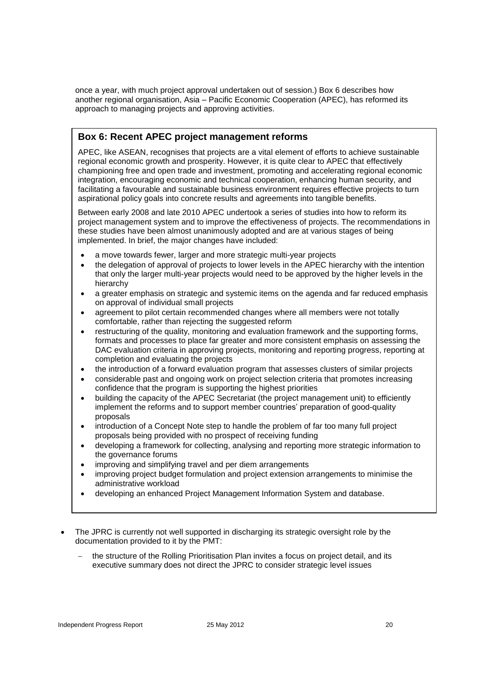once a year, with much project approval undertaken out of session.) Box 6 describes how another regional organisation, Asia – Pacific Economic Cooperation (APEC), has reformed its approach to managing projects and approving activities.

# **Box 6: Recent APEC project management reforms**

APEC, like ASEAN, recognises that projects are a vital element of efforts to achieve sustainable regional economic growth and prosperity. However, it is quite clear to APEC that effectively championing free and open trade and investment, promoting and accelerating regional economic integration, encouraging economic and technical cooperation, enhancing human security, and facilitating a favourable and sustainable business environment requires effective projects to turn aspirational policy goals into concrete results and agreements into tangible benefits.

Between early 2008 and late 2010 APEC undertook a series of studies into how to reform its project management system and to improve the effectiveness of projects. The recommendations in these studies have been almost unanimously adopted and are at various stages of being implemented. In brief, the major changes have included:

- a move towards fewer, larger and more strategic multi-year projects
- the delegation of approval of projects to lower levels in the APEC hierarchy with the intention that only the larger multi-year projects would need to be approved by the higher levels in the hierarchy
- a greater emphasis on strategic and systemic items on the agenda and far reduced emphasis on approval of individual small projects
- agreement to pilot certain recommended changes where all members were not totally comfortable, rather than rejecting the suggested reform
- restructuring of the quality, monitoring and evaluation framework and the supporting forms, formats and processes to place far greater and more consistent emphasis on assessing the DAC evaluation criteria in approving projects, monitoring and reporting progress, reporting at completion and evaluating the projects
- the introduction of a forward evaluation program that assesses clusters of similar projects
- considerable past and ongoing work on project selection criteria that promotes increasing confidence that the program is supporting the highest priorities
- building the capacity of the APEC Secretariat (the project management unit) to efficiently implement the reforms and to support member countries' preparation of good-quality proposals
- introduction of a Concept Note step to handle the problem of far too many full project proposals being provided with no prospect of receiving funding
- developing a framework for collecting, analysing and reporting more strategic information to the governance forums
- improving and simplifying travel and per diem arrangements
- improving project budget formulation and project extension arrangements to minimise the administrative workload
- developing an enhanced Project Management Information System and database.
- The JPRC is currently not well supported in discharging its strategic oversight role by the documentation provided to it by the PMT:
	- the structure of the Rolling Prioritisation Plan invites a focus on project detail, and its executive summary does not direct the JPRC to consider strategic level issues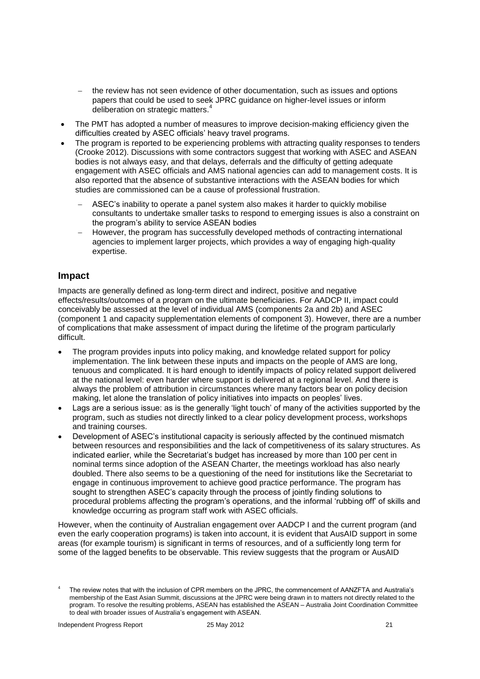- the review has not seen evidence of other documentation, such as issues and options papers that could be used to seek JPRC guidance on higher-level issues or inform deliberation on strategic matters.
- The PMT has adopted a number of measures to improve decision-making efficiency given the difficulties created by ASEC officials' heavy travel programs.
- The program is reported to be experiencing problems with attracting quality responses to tenders (Crooke 2012). Discussions with some contractors suggest that working with ASEC and ASEAN bodies is not always easy, and that delays, deferrals and the difficulty of getting adequate engagement with ASEC officials and AMS national agencies can add to management costs. It is also reported that the absence of substantive interactions with the ASEAN bodies for which studies are commissioned can be a cause of professional frustration.
	- ASEC's inability to operate a panel system also makes it harder to quickly mobilise consultants to undertake smaller tasks to respond to emerging issues is also a constraint on the program's ability to service ASEAN bodies
	- However, the program has successfully developed methods of contracting international agencies to implement larger projects, which provides a way of engaging high-quality expertise.

# **Impact**

Impacts are generally defined as long-term direct and indirect, positive and negative effects/results/outcomes of a program on the ultimate beneficiaries. For AADCP II, impact could conceivably be assessed at the level of individual AMS (components 2a and 2b) and ASEC (component 1 and capacity supplementation elements of component 3). However, there are a number of complications that make assessment of impact during the lifetime of the program particularly difficult.

- The program provides inputs into policy making, and knowledge related support for policy implementation. The link between these inputs and impacts on the people of AMS are long, tenuous and complicated. It is hard enough to identify impacts of policy related support delivered at the national level: even harder where support is delivered at a regional level. And there is always the problem of attribution in circumstances where many factors bear on policy decision making, let alone the translation of policy initiatives into impacts on peoples' lives.
- Lags are a serious issue: as is the generally 'light touch' of many of the activities supported by the program, such as studies not directly linked to a clear policy development process, workshops and training courses.
- Development of ASEC's institutional capacity is seriously affected by the continued mismatch between resources and responsibilities and the lack of competitiveness of its salary structures. As indicated earlier, while the Secretariat's budget has increased by more than 100 per cent in nominal terms since adoption of the ASEAN Charter, the meetings workload has also nearly doubled. There also seems to be a questioning of the need for institutions like the Secretariat to engage in continuous improvement to achieve good practice performance. The program has sought to strengthen ASEC's capacity through the process of jointly finding solutions to procedural problems affecting the program's operations, and the informal 'rubbing off' of skills and knowledge occurring as program staff work with ASEC officials.

However, when the continuity of Australian engagement over AADCP I and the current program (and even the early cooperation programs) is taken into account, it is evident that AusAID support in some areas (for example tourism) is significant in terms of resources, and of a sufficiently long term for some of the lagged benefits to be observable. This review suggests that the program or AusAID

<sup>4</sup> The review notes that with the inclusion of CPR members on the JPRC, the commencement of AANZFTA and Australia's membership of the East Asian Summit, discussions at the JPRC were being drawn in to matters not directly related to the program. To resolve the resulting problems, ASEAN has established the ASEAN – Australia Joint Coordination Committee to deal with broader issues of Australia's engagement with ASEAN.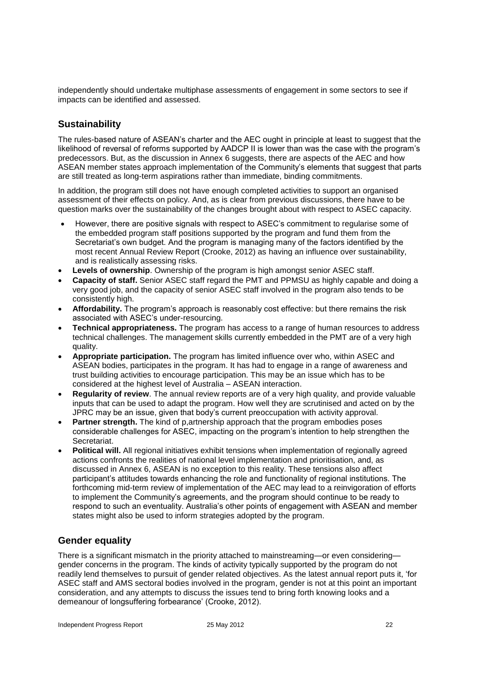independently should undertake multiphase assessments of engagement in some sectors to see if impacts can be identified and assessed.

# **Sustainability**

The rules-based nature of ASEAN's charter and the AEC ought in principle at least to suggest that the likelihood of reversal of reforms supported by AADCP II is lower than was the case with the program's predecessors. But, as the discussion in Annex 6 suggests, there are aspects of the AEC and how ASEAN member states approach implementation of the Community's elements that suggest that parts are still treated as long-term aspirations rather than immediate, binding commitments.

In addition, the program still does not have enough completed activities to support an organised assessment of their effects on policy. And, as is clear from previous discussions, there have to be question marks over the sustainability of the changes brought about with respect to ASEC capacity.

- However, there are positive signals with respect to ASEC's commitment to regularise some of the embedded program staff positions supported by the program and fund them from the Secretariat's own budget. And the program is managing many of the factors identified by the most recent Annual Review Report (Crooke, 2012) as having an influence over sustainability, and is realistically assessing risks.
- **Levels of ownership**. Ownership of the program is high amongst senior ASEC staff.
- **Capacity of staff.** Senior ASEC staff regard the PMT and PPMSU as highly capable and doing a very good job, and the capacity of senior ASEC staff involved in the program also tends to be consistently high.
- **Affordability.** The program's approach is reasonably cost effective: but there remains the risk associated with ASEC's under-resourcing.
- **Technical appropriateness.** The program has access to a range of human resources to address technical challenges. The management skills currently embedded in the PMT are of a very high quality.
- **Appropriate participation.** The program has limited influence over who, within ASEC and ASEAN bodies, participates in the program. It has had to engage in a range of awareness and trust building activities to encourage participation. This may be an issue which has to be considered at the highest level of Australia – ASEAN interaction.
- **Regularity of review**. The annual review reports are of a very high quality, and provide valuable inputs that can be used to adapt the program. How well they are scrutinised and acted on by the JPRC may be an issue, given that body's current preoccupation with activity approval.
- **Partner strength.** The kind of p,artnership approach that the program embodies poses considerable challenges for ASEC, impacting on the program's intention to help strengthen the Secretariat.
- **Political will.** All regional initiatives exhibit tensions when implementation of regionally agreed actions confronts the realities of national level implementation and prioritisation, and, as discussed in Annex 6, ASEAN is no exception to this reality. These tensions also affect participant's attitudes towards enhancing the role and functionality of regional institutions. The forthcoming mid-term review of implementation of the AEC may lead to a reinvigoration of efforts to implement the Community's agreements, and the program should continue to be ready to respond to such an eventuality. Australia's other points of engagement with ASEAN and member states might also be used to inform strategies adopted by the program.

# **Gender equality**

There is a significant mismatch in the priority attached to mainstreaming—or even considering gender concerns in the program. The kinds of activity typically supported by the program do not readily lend themselves to pursuit of gender related objectives. As the latest annual report puts it, 'for ASEC staff and AMS sectoral bodies involved in the program, gender is not at this point an important consideration, and any attempts to discuss the issues tend to bring forth knowing looks and a demeanour of longsuffering forbearance' (Crooke, 2012).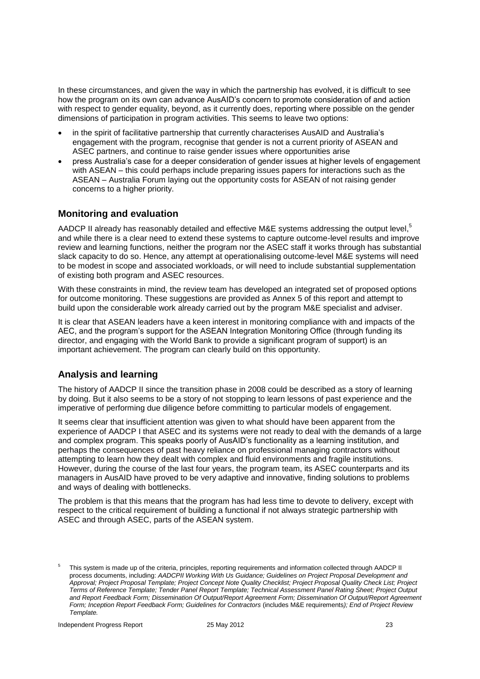In these circumstances, and given the way in which the partnership has evolved, it is difficult to see how the program on its own can advance AusAID's concern to promote consideration of and action with respect to gender equality, beyond, as it currently does, reporting where possible on the gender dimensions of participation in program activities. This seems to leave two options:

- in the spirit of facilitative partnership that currently characterises AusAID and Australia's engagement with the program, recognise that gender is not a current priority of ASEAN and ASEC partners, and continue to raise gender issues where opportunities arise
- press Australia's case for a deeper consideration of gender issues at higher levels of engagement with ASEAN – this could perhaps include preparing issues papers for interactions such as the ASEAN – Australia Forum laying out the opportunity costs for ASEAN of not raising gender concerns to a higher priority.

# **Monitoring and evaluation**

AADCP II already has reasonably detailed and effective M&E systems addressing the output level,<sup>5</sup> and while there is a clear need to extend these systems to capture outcome-level results and improve review and learning functions, neither the program nor the ASEC staff it works through has substantial slack capacity to do so. Hence, any attempt at operationalising outcome-level M&E systems will need to be modest in scope and associated workloads, or will need to include substantial supplementation of existing both program and ASEC resources.

With these constraints in mind, the review team has developed an integrated set of proposed options for outcome monitoring. These suggestions are provided as Annex 5 of this report and attempt to build upon the considerable work already carried out by the program M&E specialist and adviser.

It is clear that ASEAN leaders have a keen interest in monitoring compliance with and impacts of the AEC, and the program's support for the ASEAN Integration Monitoring Office (through funding its director, and engaging with the World Bank to provide a significant program of support) is an important achievement. The program can clearly build on this opportunity.

# **Analysis and learning**

The history of AADCP II since the transition phase in 2008 could be described as a story of learning by doing. But it also seems to be a story of not stopping to learn lessons of past experience and the imperative of performing due diligence before committing to particular models of engagement.

It seems clear that insufficient attention was given to what should have been apparent from the experience of AADCP I that ASEC and its systems were not ready to deal with the demands of a large and complex program. This speaks poorly of AusAID's functionality as a learning institution, and perhaps the consequences of past heavy reliance on professional managing contractors without attempting to learn how they dealt with complex and fluid environments and fragile institutions. However, during the course of the last four years, the program team, its ASEC counterparts and its managers in AusAID have proved to be very adaptive and innovative, finding solutions to problems and ways of dealing with bottlenecks.

The problem is that this means that the program has had less time to devote to delivery, except with respect to the critical requirement of building a functional if not always strategic partnership with ASEC and through ASEC, parts of the ASEAN system.

<sup>5</sup> This system is made up of the criteria, principles, reporting requirements and information collected through AADCP II process documents, including: *AADCPII Working With Us Guidance; Guidelines on Project Proposal Development and Approval; Project Proposal Template; Project Concept Note Quality Checklist; Project Proposal Quality Check List; Project Terms of Reference Template; Tender Panel Report Template; Technical Assessment Panel Rating Sheet; Project Output and Report Feedback Form; Dissemination Of Output/Report Agreement Form; Dissemination Of Output/Report Agreement Form; Inception Report Feedback Form; Guidelines for Contractors* (includes M&E requirements*); End of Project Review Template.*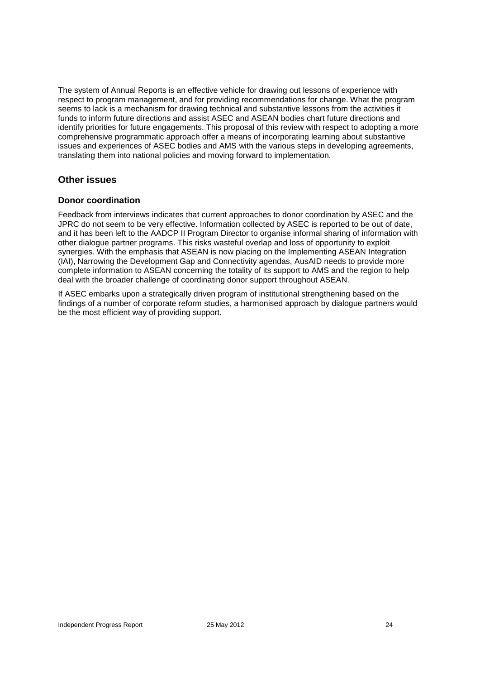The system of Annual Reports is an effective vehicle for drawing out lessons of experience with respect to program management, and for providing recommendations for change. What the program seems to lack is a mechanism for drawing technical and substantive lessons from the activities it funds to inform future directions and assist ASEC and ASEAN bodies chart future directions and identify priorities for future engagements. This proposal of this review with respect to adopting a more comprehensive programmatic approach offer a means of incorporating learning about substantive issues and experiences of ASEC bodies and AMS with the various steps in developing agreements, translating them into national policies and moving forward to implementation.

# **Other issues**

### **Donor coordination**

Feedback from interviews indicates that current approaches to donor coordination by ASEC and the JPRC do not seem to be very effective. Information collected by ASEC is reported to be out of date, and it has been left to the AADCP II Program Director to organise informal sharing of information with other dialogue partner programs. This risks wasteful overlap and loss of opportunity to exploit synergies. With the emphasis that ASEAN is now placing on the Implementing ASEAN Integration (IAI), Narrowing the Development Gap and Connectivity agendas, AusAID needs to provide more complete information to ASEAN concerning the totality of its support to AMS and the region to help deal with the broader challenge of coordinating donor support throughout ASEAN.

If ASEC embarks upon a strategically driven program of institutional strengthening based on the findings of a number of corporate reform studies, a harmonised approach by dialogue partners would be the most efficient way of providing support.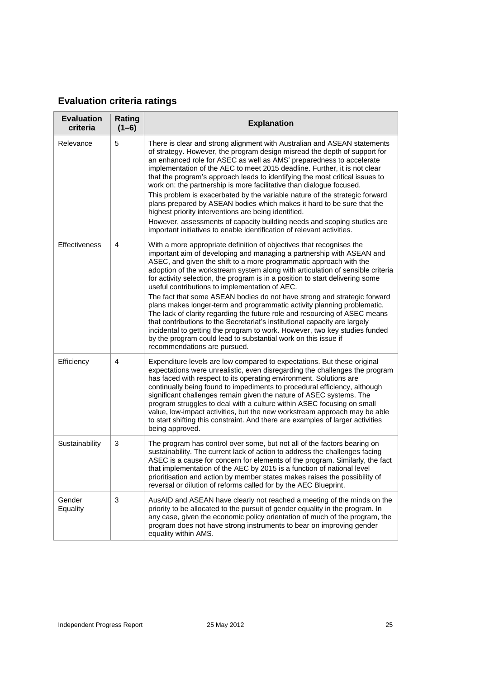# **Evaluation criteria ratings**

| <b>Evaluation</b><br>criteria | Rating<br>$(1-6)$ | <b>Explanation</b>                                                                                                                                                                                                                                                                                                                                                                                                                                                                                                                                                                                                                                                                                                                                                                                                                                                                                                                          |
|-------------------------------|-------------------|---------------------------------------------------------------------------------------------------------------------------------------------------------------------------------------------------------------------------------------------------------------------------------------------------------------------------------------------------------------------------------------------------------------------------------------------------------------------------------------------------------------------------------------------------------------------------------------------------------------------------------------------------------------------------------------------------------------------------------------------------------------------------------------------------------------------------------------------------------------------------------------------------------------------------------------------|
| Relevance                     | 5                 | There is clear and strong alignment with Australian and ASEAN statements<br>of strategy. However, the program design misread the depth of support for<br>an enhanced role for ASEC as well as AMS' preparedness to accelerate<br>implementation of the AEC to meet 2015 deadline. Further, it is not clear<br>that the program's approach leads to identifying the most critical issues to<br>work on: the partnership is more facilitative than dialogue focused.<br>This problem is exacerbated by the variable nature of the strategic forward<br>plans prepared by ASEAN bodies which makes it hard to be sure that the<br>highest priority interventions are being identified.<br>However, assessments of capacity building needs and scoping studies are<br>important initiatives to enable identification of relevant activities.                                                                                                    |
| Effectiveness                 | $\overline{4}$    | With a more appropriate definition of objectives that recognises the<br>important aim of developing and managing a partnership with ASEAN and<br>ASEC, and given the shift to a more programmatic approach with the<br>adoption of the workstream system along with articulation of sensible criteria<br>for activity selection, the program is in a position to start delivering some<br>useful contributions to implementation of AEC.<br>The fact that some ASEAN bodies do not have strong and strategic forward<br>plans makes longer-term and programmatic activity planning problematic.<br>The lack of clarity regarding the future role and resourcing of ASEC means<br>that contributions to the Secretariat's institutional capacity are largely<br>incidental to getting the program to work. However, two key studies funded<br>by the program could lead to substantial work on this issue if<br>recommendations are pursued. |
| Efficiency                    | 4                 | Expenditure levels are low compared to expectations. But these original<br>expectations were unrealistic, even disregarding the challenges the program<br>has faced with respect to its operating environment. Solutions are<br>continually being found to impediments to procedural efficiency, although<br>significant challenges remain given the nature of ASEC systems. The<br>program struggles to deal with a culture within ASEC focusing on small<br>value, low-impact activities, but the new workstream approach may be able<br>to start shifting this constraint. And there are examples of larger activities<br>being approved.                                                                                                                                                                                                                                                                                                |
| Sustainability                | 3                 | The program has control over some, but not all of the factors bearing on<br>sustainability. The current lack of action to address the challenges facing<br>ASEC is a cause for concern for elements of the program. Similarly, the fact<br>that implementation of the AEC by 2015 is a function of national level<br>prioritisation and action by member states makes raises the possibility of<br>reversal or dilution of reforms called for by the AEC Blueprint.                                                                                                                                                                                                                                                                                                                                                                                                                                                                         |
| Gender<br>Equality            | 3                 | AusAID and ASEAN have clearly not reached a meeting of the minds on the<br>priority to be allocated to the pursuit of gender equality in the program. In<br>any case, given the economic policy orientation of much of the program, the<br>program does not have strong instruments to bear on improving gender<br>equality within AMS.                                                                                                                                                                                                                                                                                                                                                                                                                                                                                                                                                                                                     |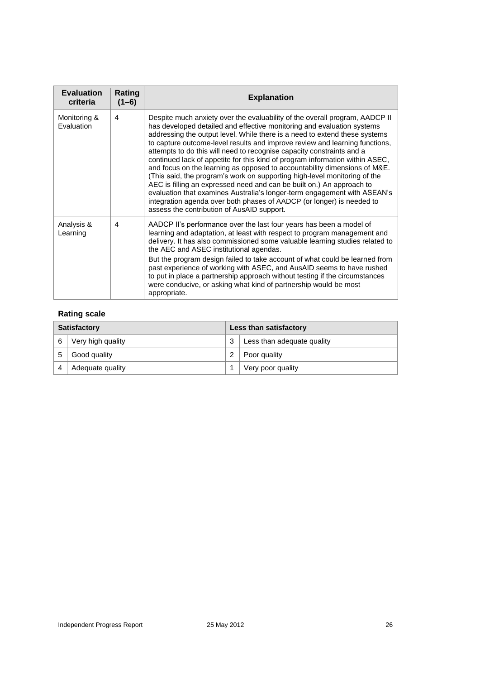| <b>Evaluation</b><br>criteria | Rating<br>$(1-6)$ | <b>Explanation</b>                                                                                                                                                                                                                                                                                                                                                                                                                                                                                                                                                                                                                                                                                                                                                                                                                                                                                                |
|-------------------------------|-------------------|-------------------------------------------------------------------------------------------------------------------------------------------------------------------------------------------------------------------------------------------------------------------------------------------------------------------------------------------------------------------------------------------------------------------------------------------------------------------------------------------------------------------------------------------------------------------------------------------------------------------------------------------------------------------------------------------------------------------------------------------------------------------------------------------------------------------------------------------------------------------------------------------------------------------|
| Monitoring &<br>Evaluation    | 4                 | Despite much anxiety over the evaluability of the overall program, AADCP II<br>has developed detailed and effective monitoring and evaluation systems<br>addressing the output level. While there is a need to extend these systems<br>to capture outcome-level results and improve review and learning functions,<br>attempts to do this will need to recognise capacity constraints and a<br>continued lack of appetite for this kind of program information within ASEC,<br>and focus on the learning as opposed to accountability dimensions of M&E.<br>(This said, the program's work on supporting high-level monitoring of the<br>AEC is filling an expressed need and can be built on.) An approach to<br>evaluation that examines Australia's longer-term engagement with ASEAN's<br>integration agenda over both phases of AADCP (or longer) is needed to<br>assess the contribution of AusAID support. |
| Analysis &<br>Learning        | 4                 | AADCP II's performance over the last four years has been a model of<br>learning and adaptation, at least with respect to program management and<br>delivery. It has also commissioned some valuable learning studies related to<br>the AEC and ASEC institutional agendas.<br>But the program design failed to take account of what could be learned from<br>past experience of working with ASEC, and AusAID seems to have rushed<br>to put in place a partnership approach without testing if the circumstances<br>were conducive, or asking what kind of partnership would be most<br>appropriate.                                                                                                                                                                                                                                                                                                             |

## **Rating scale**

| <b>Satisfactory</b> |                   | <b>Less than satisfactory</b> |                            |
|---------------------|-------------------|-------------------------------|----------------------------|
| 6                   | Very high quality | 3                             | Less than adequate quality |
| 5                   | Good quality      |                               | Poor quality               |
|                     | Adequate quality  |                               | Very poor quality          |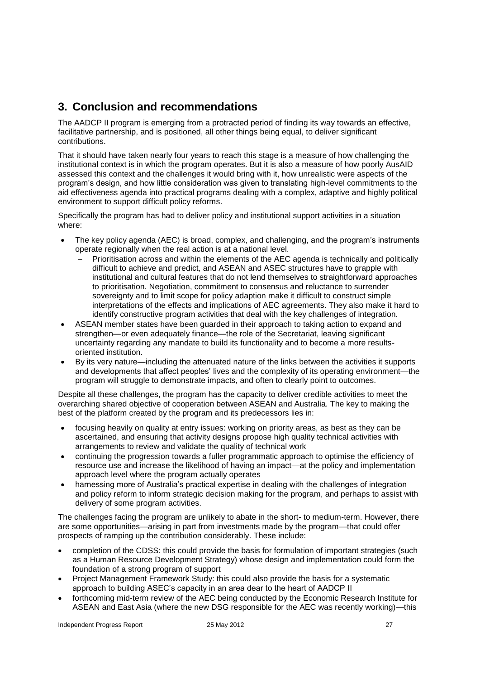# **3. Conclusion and recommendations**

The AADCP II program is emerging from a protracted period of finding its way towards an effective, facilitative partnership, and is positioned, all other things being equal, to deliver significant contributions.

That it should have taken nearly four years to reach this stage is a measure of how challenging the institutional context is in which the program operates. But it is also a measure of how poorly AusAID assessed this context and the challenges it would bring with it, how unrealistic were aspects of the program's design, and how little consideration was given to translating high-level commitments to the aid effectiveness agenda into practical programs dealing with a complex, adaptive and highly political environment to support difficult policy reforms.

Specifically the program has had to deliver policy and institutional support activities in a situation where:

- The key policy agenda (AEC) is broad, complex, and challenging, and the program's instruments operate regionally when the real action is at a national level.
	- Prioritisation across and within the elements of the AEC agenda is technically and politically difficult to achieve and predict, and ASEAN and ASEC structures have to grapple with institutional and cultural features that do not lend themselves to straightforward approaches to prioritisation. Negotiation, commitment to consensus and reluctance to surrender sovereignty and to limit scope for policy adaption make it difficult to construct simple interpretations of the effects and implications of AEC agreements. They also make it hard to identify constructive program activities that deal with the key challenges of integration.
- ASEAN member states have been guarded in their approach to taking action to expand and strengthen—or even adequately finance—the role of the Secretariat, leaving significant uncertainty regarding any mandate to build its functionality and to become a more resultsoriented institution.
- By its very nature—including the attenuated nature of the links between the activities it supports and developments that affect peoples' lives and the complexity of its operating environment—the program will struggle to demonstrate impacts, and often to clearly point to outcomes.

Despite all these challenges, the program has the capacity to deliver credible activities to meet the overarching shared objective of cooperation between ASEAN and Australia. The key to making the best of the platform created by the program and its predecessors lies in:

- focusing heavily on quality at entry issues: working on priority areas, as best as they can be ascertained, and ensuring that activity designs propose high quality technical activities with arrangements to review and validate the quality of technical work
- continuing the progression towards a fuller programmatic approach to optimise the efficiency of resource use and increase the likelihood of having an impact—at the policy and implementation approach level where the program actually operates
- harnessing more of Australia's practical expertise in dealing with the challenges of integration and policy reform to inform strategic decision making for the program, and perhaps to assist with delivery of some program activities.

The challenges facing the program are unlikely to abate in the short- to medium-term. However, there are some opportunities—arising in part from investments made by the program—that could offer prospects of ramping up the contribution considerably. These include:

- completion of the CDSS: this could provide the basis for formulation of important strategies (such as a Human Resource Development Strategy) whose design and implementation could form the foundation of a strong program of support
- Project Management Framework Study: this could also provide the basis for a systematic approach to building ASEC's capacity in an area dear to the heart of AADCP II
- forthcoming mid-term review of the AEC being conducted by the Economic Research Institute for ASEAN and East Asia (where the new DSG responsible for the AEC was recently working)—this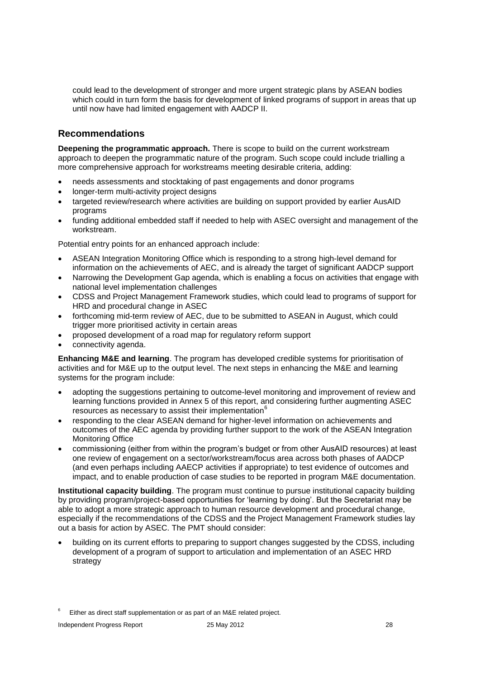could lead to the development of stronger and more urgent strategic plans by ASEAN bodies which could in turn form the basis for development of linked programs of support in areas that up until now have had limited engagement with AADCP II.

# **Recommendations**

**Deepening the programmatic approach.** There is scope to build on the current workstream approach to deepen the programmatic nature of the program. Such scope could include trialling a more comprehensive approach for workstreams meeting desirable criteria, adding:

- needs assessments and stocktaking of past engagements and donor programs
- longer-term multi-activity project designs
- targeted review/research where activities are building on support provided by earlier AusAID programs
- funding additional embedded staff if needed to help with ASEC oversight and management of the workstream.

Potential entry points for an enhanced approach include:

- ASEAN Integration Monitoring Office which is responding to a strong high-level demand for information on the achievements of AEC, and is already the target of significant AADCP support
- Narrowing the Development Gap agenda, which is enabling a focus on activities that engage with national level implementation challenges
- CDSS and Project Management Framework studies, which could lead to programs of support for HRD and procedural change in ASEC
- forthcoming mid-term review of AEC, due to be submitted to ASEAN in August, which could trigger more prioritised activity in certain areas
- proposed development of a road map for regulatory reform support
- connectivity agenda.

**Enhancing M&E and learning**. The program has developed credible systems for prioritisation of activities and for M&E up to the output level. The next steps in enhancing the M&E and learning systems for the program include:

- adopting the suggestions pertaining to outcome-level monitoring and improvement of review and learning functions provided in Annex 5 of this report, and considering further augmenting ASEC resources as necessary to assist their implementation<sup>6</sup>
- responding to the clear ASEAN demand for higher-level information on achievements and outcomes of the AEC agenda by providing further support to the work of the ASEAN Integration Monitoring Office
- commissioning (either from within the program's budget or from other AusAID resources) at least one review of engagement on a sector/workstream/focus area across both phases of AADCP (and even perhaps including AAECP activities if appropriate) to test evidence of outcomes and impact, and to enable production of case studies to be reported in program M&E documentation.

**Institutional capacity building**. The program must continue to pursue institutional capacity building by providing program/project-based opportunities for 'learning by doing'. But the Secretariat may be able to adopt a more strategic approach to human resource development and procedural change, especially if the recommendations of the CDSS and the Project Management Framework studies lay out a basis for action by ASEC. The PMT should consider:

 building on its current efforts to preparing to support changes suggested by the CDSS, including development of a program of support to articulation and implementation of an ASEC HRD strategy

Either as direct staff supplementation or as part of an M&E related project.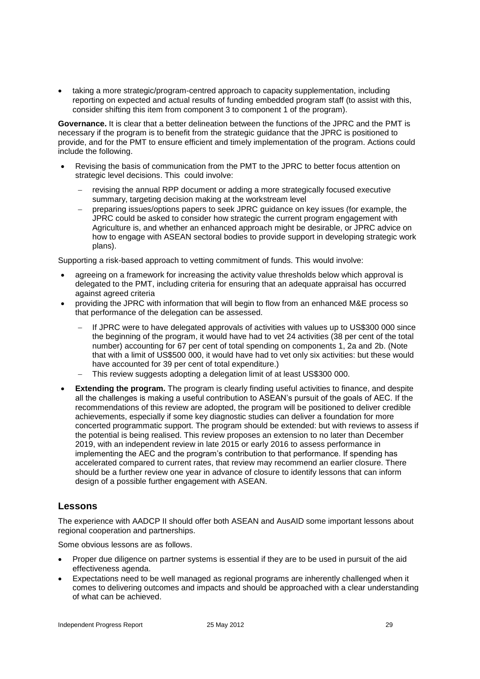taking a more strategic/program-centred approach to capacity supplementation, including reporting on expected and actual results of funding embedded program staff (to assist with this, consider shifting this item from component 3 to component 1 of the program).

**Governance.** It is clear that a better delineation between the functions of the JPRC and the PMT is necessary if the program is to benefit from the strategic guidance that the JPRC is positioned to provide, and for the PMT to ensure efficient and timely implementation of the program. Actions could include the following.

- Revising the basis of communication from the PMT to the JPRC to better focus attention on strategic level decisions. This could involve:
	- revising the annual RPP document or adding a more strategically focused executive summary, targeting decision making at the workstream level
	- preparing issues/options papers to seek JPRC guidance on key issues (for example, the JPRC could be asked to consider how strategic the current program engagement with Agriculture is, and whether an enhanced approach might be desirable, or JPRC advice on how to engage with ASEAN sectoral bodies to provide support in developing strategic work plans).

Supporting a risk-based approach to vetting commitment of funds. This would involve:

- agreeing on a framework for increasing the activity value thresholds below which approval is delegated to the PMT, including criteria for ensuring that an adequate appraisal has occurred against agreed criteria
- providing the JPRC with information that will begin to flow from an enhanced M&E process so that performance of the delegation can be assessed.
	- If JPRC were to have delegated approvals of activities with values up to US\$300 000 since the beginning of the program, it would have had to vet 24 activities (38 per cent of the total number) accounting for 67 per cent of total spending on components 1, 2a and 2b. (Note that with a limit of US\$500 000, it would have had to vet only six activities: but these would have accounted for 39 per cent of total expenditure.)
	- This review suggests adopting a delegation limit of at least US\$300 000.
- **Extending the program.** The program is clearly finding useful activities to finance, and despite all the challenges is making a useful contribution to ASEAN's pursuit of the goals of AEC. If the recommendations of this review are adopted, the program will be positioned to deliver credible achievements, especially if some key diagnostic studies can deliver a foundation for more concerted programmatic support. The program should be extended: but with reviews to assess if the potential is being realised. This review proposes an extension to no later than December 2019, with an independent review in late 2015 or early 2016 to assess performance in implementing the AEC and the program's contribution to that performance. If spending has accelerated compared to current rates, that review may recommend an earlier closure. There should be a further review one year in advance of closure to identify lessons that can inform design of a possible further engagement with ASEAN.

## **Lessons**

The experience with AADCP II should offer both ASEAN and AusAID some important lessons about regional cooperation and partnerships.

Some obvious lessons are as follows.

- Proper due diligence on partner systems is essential if they are to be used in pursuit of the aid effectiveness agenda.
- Expectations need to be well managed as regional programs are inherently challenged when it comes to delivering outcomes and impacts and should be approached with a clear understanding of what can be achieved.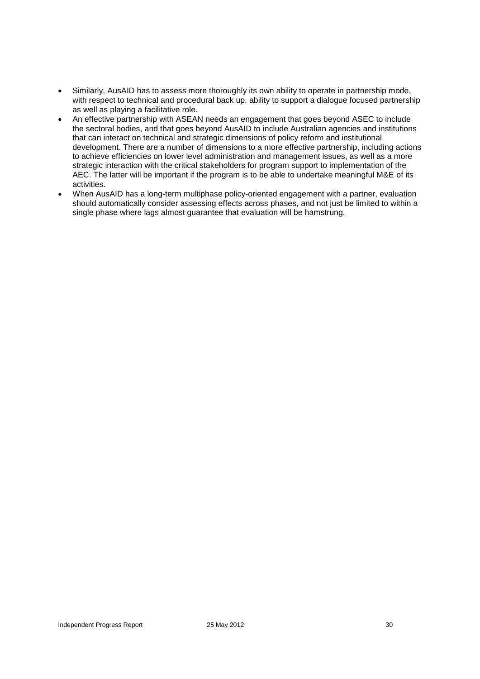- Similarly, AusAID has to assess more thoroughly its own ability to operate in partnership mode, with respect to technical and procedural back up, ability to support a dialogue focused partnership as well as playing a facilitative role.
- An effective partnership with ASEAN needs an engagement that goes beyond ASEC to include the sectoral bodies, and that goes beyond AusAID to include Australian agencies and institutions that can interact on technical and strategic dimensions of policy reform and institutional development. There are a number of dimensions to a more effective partnership, including actions to achieve efficiencies on lower level administration and management issues, as well as a more strategic interaction with the critical stakeholders for program support to implementation of the AEC. The latter will be important if the program is to be able to undertake meaningful M&E of its activities.
- When AusAID has a long-term multiphase policy-oriented engagement with a partner, evaluation should automatically consider assessing effects across phases, and not just be limited to within a single phase where lags almost guarantee that evaluation will be hamstrung.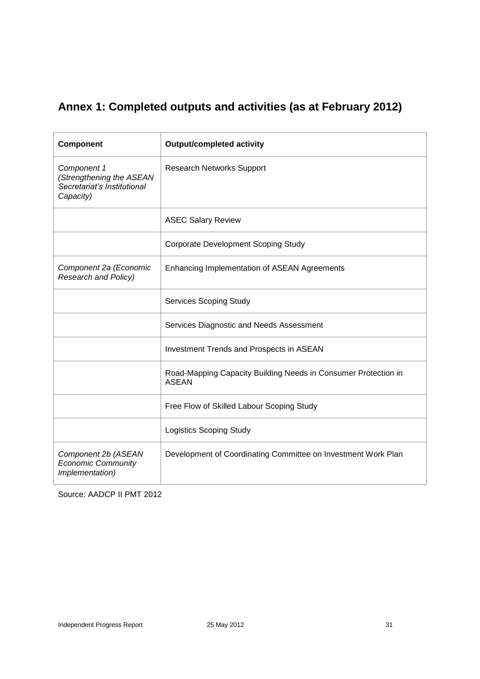# **Annex 1: Completed outputs and activities (as at February 2012)**

| Component                                                                           | <b>Output/completed activity</b>                                               |  |  |
|-------------------------------------------------------------------------------------|--------------------------------------------------------------------------------|--|--|
| Component 1<br>(Strengthening the ASEAN<br>Secretariat's Institutional<br>Capacity) | <b>Research Networks Support</b>                                               |  |  |
|                                                                                     | <b>ASEC Salary Review</b>                                                      |  |  |
|                                                                                     | <b>Corporate Development Scoping Study</b>                                     |  |  |
| Component 2a (Economic<br>Research and Policy)                                      | Enhancing Implementation of ASEAN Agreements                                   |  |  |
|                                                                                     | <b>Services Scoping Study</b>                                                  |  |  |
|                                                                                     | Services Diagnostic and Needs Assessment                                       |  |  |
|                                                                                     | Investment Trends and Prospects in ASEAN                                       |  |  |
|                                                                                     | Road-Mapping Capacity Building Needs in Consumer Protection in<br><b>ASEAN</b> |  |  |
|                                                                                     | Free Flow of Skilled Labour Scoping Study                                      |  |  |
|                                                                                     | <b>Logistics Scoping Study</b>                                                 |  |  |
| Component 2b (ASEAN<br><b>Economic Community</b><br>Implementation)                 | Development of Coordinating Committee on Investment Work Plan                  |  |  |

Source: AADCP II PMT 2012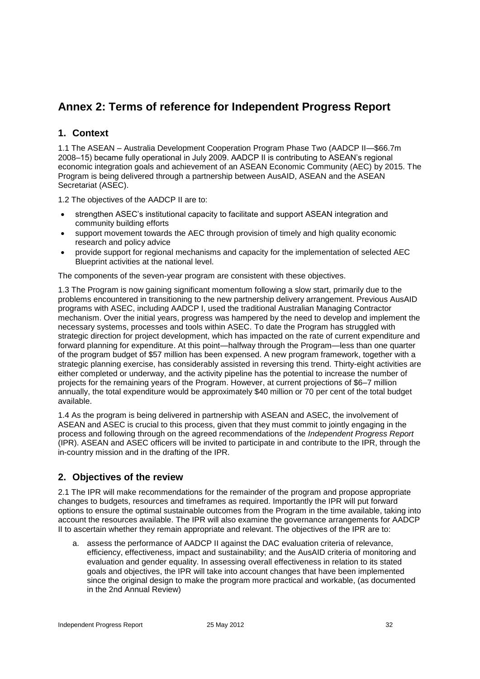# **Annex 2: Terms of reference for Independent Progress Report**

# **1. Context**

1.1 The ASEAN – Australia Development Cooperation Program Phase Two (AADCP II—\$66.7m 2008–15) became fully operational in July 2009. AADCP II is contributing to ASEAN's regional economic integration goals and achievement of an ASEAN Economic Community (AEC) by 2015. The Program is being delivered through a partnership between AusAID, ASEAN and the ASEAN Secretariat (ASEC).

1.2 The objectives of the AADCP II are to:

- strengthen ASEC's institutional capacity to facilitate and support ASEAN integration and community building efforts
- support movement towards the AEC through provision of timely and high quality economic research and policy advice
- provide support for regional mechanisms and capacity for the implementation of selected AEC Blueprint activities at the national level.

The components of the seven-year program are consistent with these objectives.

1.3 The Program is now gaining significant momentum following a slow start, primarily due to the problems encountered in transitioning to the new partnership delivery arrangement. Previous AusAID programs with ASEC, including AADCP I, used the traditional Australian Managing Contractor mechanism. Over the initial years, progress was hampered by the need to develop and implement the necessary systems, processes and tools within ASEC. To date the Program has struggled with strategic direction for project development, which has impacted on the rate of current expenditure and forward planning for expenditure. At this point—halfway through the Program—less than one quarter of the program budget of \$57 million has been expensed. A new program framework, together with a strategic planning exercise, has considerably assisted in reversing this trend. Thirty-eight activities are either completed or underway, and the activity pipeline has the potential to increase the number of projects for the remaining years of the Program. However, at current projections of \$6–7 million annually, the total expenditure would be approximately \$40 million or 70 per cent of the total budget available.

1.4 As the program is being delivered in partnership with ASEAN and ASEC, the involvement of ASEAN and ASEC is crucial to this process, given that they must commit to jointly engaging in the process and following through on the agreed recommendations of the *Independent Progress Report* (IPR). ASEAN and ASEC officers will be invited to participate in and contribute to the IPR, through the in-country mission and in the drafting of the IPR.

# **2. Objectives of the review**

2.1 The IPR will make recommendations for the remainder of the program and propose appropriate changes to budgets, resources and timeframes as required. Importantly the IPR will put forward options to ensure the optimal sustainable outcomes from the Program in the time available, taking into account the resources available. The IPR will also examine the governance arrangements for AADCP II to ascertain whether they remain appropriate and relevant. The objectives of the IPR are to:

a. assess the performance of AADCP II against the DAC evaluation criteria of relevance, efficiency, effectiveness, impact and sustainability; and the AusAID criteria of monitoring and evaluation and gender equality. In assessing overall effectiveness in relation to its stated goals and objectives, the IPR will take into account changes that have been implemented since the original design to make the program more practical and workable, (as documented in the 2nd Annual Review)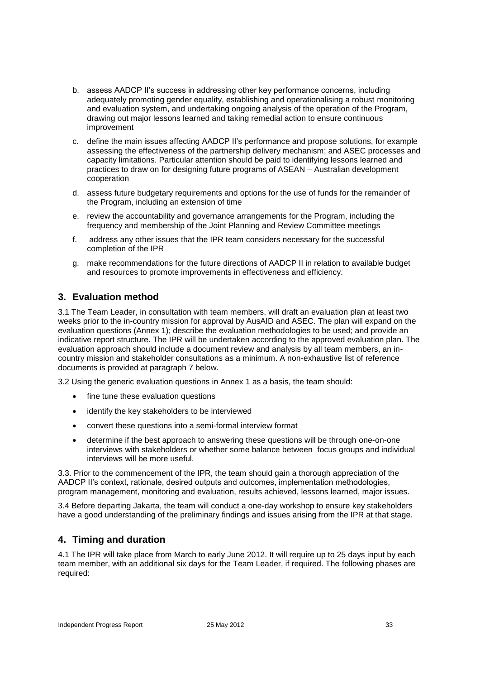- b. assess AADCP II's success in addressing other key performance concerns, including adequately promoting gender equality, establishing and operationalising a robust monitoring and evaluation system, and undertaking ongoing analysis of the operation of the Program, drawing out major lessons learned and taking remedial action to ensure continuous improvement
- c. define the main issues affecting AADCP II's performance and propose solutions, for example assessing the effectiveness of the partnership delivery mechanism; and ASEC processes and capacity limitations. Particular attention should be paid to identifying lessons learned and practices to draw on for designing future programs of ASEAN – Australian development cooperation
- d. assess future budgetary requirements and options for the use of funds for the remainder of the Program, including an extension of time
- e. review the accountability and governance arrangements for the Program, including the frequency and membership of the Joint Planning and Review Committee meetings
- f. address any other issues that the IPR team considers necessary for the successful completion of the IPR
- g. make recommendations for the future directions of AADCP II in relation to available budget and resources to promote improvements in effectiveness and efficiency.

# **3. Evaluation method**

3.1 The Team Leader, in consultation with team members, will draft an evaluation plan at least two weeks prior to the in-country mission for approval by AusAID and ASEC. The plan will expand on the evaluation questions (Annex 1); describe the evaluation methodologies to be used; and provide an indicative report structure. The IPR will be undertaken according to the approved evaluation plan. The evaluation approach should include a document review and analysis by all team members, an incountry mission and stakeholder consultations as a minimum. A non-exhaustive list of reference documents is provided at paragraph 7 below.

3.2 Using the generic evaluation questions in Annex 1 as a basis, the team should:

- fine tune these evaluation questions
- identify the key stakeholders to be interviewed
- convert these questions into a semi-formal interview format
- determine if the best approach to answering these questions will be through one-on-one interviews with stakeholders or whether some balance between focus groups and individual interviews will be more useful.

3.3. Prior to the commencement of the IPR, the team should gain a thorough appreciation of the AADCP II's context, rationale, desired outputs and outcomes, implementation methodologies, program management, monitoring and evaluation, results achieved, lessons learned, major issues.

3.4 Before departing Jakarta, the team will conduct a one-day workshop to ensure key stakeholders have a good understanding of the preliminary findings and issues arising from the IPR at that stage.

## **4. Timing and duration**

4.1 The IPR will take place from March to early June 2012. It will require up to 25 days input by each team member, with an additional six days for the Team Leader, if required. The following phases are required: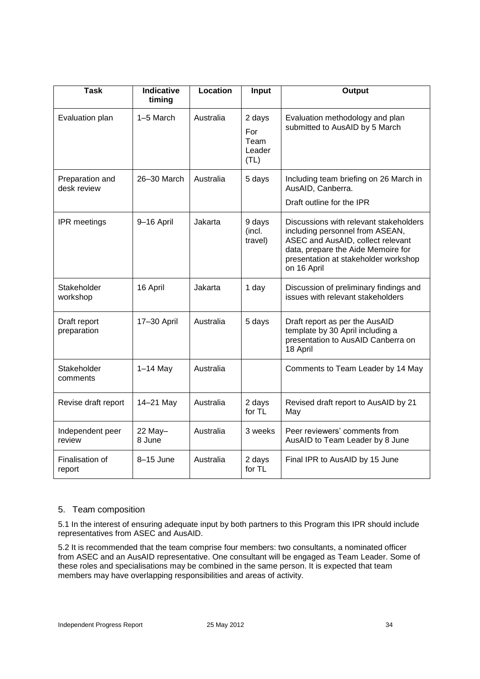| <b>Task</b>                    | <b>Indicative</b><br>timing | Location  | Input                                   | Output                                                                                                                                                                                                      |
|--------------------------------|-----------------------------|-----------|-----------------------------------------|-------------------------------------------------------------------------------------------------------------------------------------------------------------------------------------------------------------|
| Evaluation plan                | 1-5 March                   | Australia | 2 days<br>For<br>Team<br>Leader<br>(TL) | Evaluation methodology and plan<br>submitted to AusAID by 5 March                                                                                                                                           |
| Preparation and<br>desk review | 26-30 March                 | Australia | 5 days                                  | Including team briefing on 26 March in<br>AusAID, Canberra.<br>Draft outline for the IPR                                                                                                                    |
| <b>IPR</b> meetings            | 9-16 April                  | Jakarta   | 9 days<br>(incl.<br>travel)             | Discussions with relevant stakeholders<br>including personnel from ASEAN,<br>ASEC and AusAID, collect relevant<br>data, prepare the Aide Memoire for<br>presentation at stakeholder workshop<br>on 16 April |
| Stakeholder<br>workshop        | 16 April                    | Jakarta   | 1 day                                   | Discussion of preliminary findings and<br>issues with relevant stakeholders                                                                                                                                 |
| Draft report<br>preparation    | 17-30 April                 | Australia | 5 days                                  | Draft report as per the AusAID<br>template by 30 April including a<br>presentation to AusAID Canberra on<br>18 April                                                                                        |
| Stakeholder<br>comments        | $1-14$ May                  | Australia |                                         | Comments to Team Leader by 14 May                                                                                                                                                                           |
| Revise draft report            | 14-21 May                   | Australia | 2 days<br>for TL                        | Revised draft report to AusAID by 21<br>May                                                                                                                                                                 |
| Independent peer<br>review     | 22 May-<br>8 June           | Australia | 3 weeks                                 | Peer reviewers' comments from<br>AusAID to Team Leader by 8 June                                                                                                                                            |
| Finalisation of<br>report      | 8-15 June                   | Australia | 2 days<br>for TL                        | Final IPR to AusAID by 15 June                                                                                                                                                                              |

## 5. Team composition

5.1 In the interest of ensuring adequate input by both partners to this Program this IPR should include representatives from ASEC and AusAID.

5.2 It is recommended that the team comprise four members: two consultants, a nominated officer from ASEC and an AusAID representative. One consultant will be engaged as Team Leader. Some of these roles and specialisations may be combined in the same person. It is expected that team members may have overlapping responsibilities and areas of activity.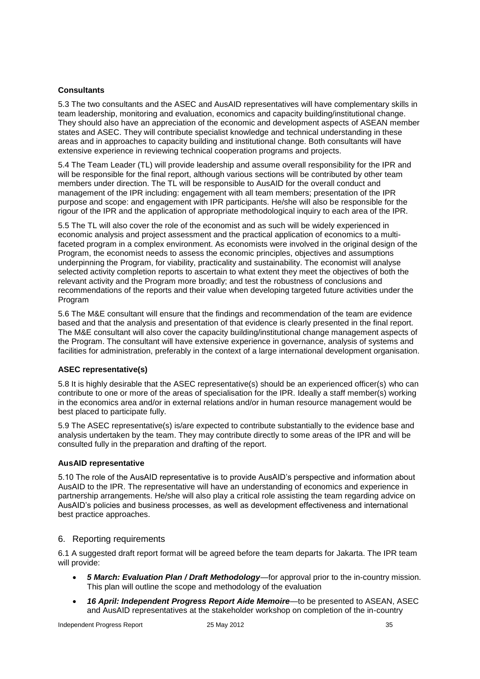### **Consultants**

5.3 The two consultants and the ASEC and AusAID representatives will have complementary skills in team leadership, monitoring and evaluation, economics and capacity building/institutional change. They should also have an appreciation of the economic and development aspects of ASEAN member states and ASEC. They will contribute specialist knowledge and technical understanding in these areas and in approaches to capacity building and institutional change. Both consultants will have extensive experience in reviewing technical cooperation programs and projects.

5.4 The Team Leader (TL) will provide leadership and assume overall responsibility for the IPR and will be responsible for the final report, although various sections will be contributed by other team members under direction. The TL will be responsible to AusAID for the overall conduct and management of the IPR including: engagement with all team members; presentation of the IPR purpose and scope: and engagement with IPR participants. He/she will also be responsible for the rigour of the IPR and the application of appropriate methodological inquiry to each area of the IPR.

5.5 The TL will also cover the role of the economist and as such will be widely experienced in economic analysis and project assessment and the practical application of economics to a multifaceted program in a complex environment. As economists were involved in the original design of the Program, the economist needs to assess the economic principles, objectives and assumptions underpinning the Program, for viability, practicality and sustainability. The economist will analyse selected activity completion reports to ascertain to what extent they meet the objectives of both the relevant activity and the Program more broadly; and test the robustness of conclusions and recommendations of the reports and their value when developing targeted future activities under the Program

5.6 The M&E consultant will ensure that the findings and recommendation of the team are evidence based and that the analysis and presentation of that evidence is clearly presented in the final report. The M&E consultant will also cover the capacity building/institutional change management aspects of the Program. The consultant will have extensive experience in governance, analysis of systems and facilities for administration, preferably in the context of a large international development organisation.

### **ASEC representative(s)**

5.8 It is highly desirable that the ASEC representative(s) should be an experienced officer(s) who can contribute to one or more of the areas of specialisation for the IPR. Ideally a staff member(s) working in the economics area and/or in external relations and/or in human resource management would be best placed to participate fully.

5.9 The ASEC representative(s) is/are expected to contribute substantially to the evidence base and analysis undertaken by the team. They may contribute directly to some areas of the IPR and will be consulted fully in the preparation and drafting of the report.

### **AusAID representative**

5.10 The role of the AusAID representative is to provide AusAID's perspective and information about AusAID to the IPR. The representative will have an understanding of economics and experience in partnership arrangements. He/she will also play a critical role assisting the team regarding advice on AusAID's policies and business processes, as well as development effectiveness and international best practice approaches.

## 6. Reporting requirements

6.1 A suggested draft report format will be agreed before the team departs for Jakarta. The IPR team will provide:

- *5 March: Evaluation Plan / Draft Methodology*—for approval prior to the in-country mission. This plan will outline the scope and methodology of the evaluation
- *16 April: Independent Progress Report Aide Memoire*—to be presented to ASEAN, ASEC and AusAID representatives at the stakeholder workshop on completion of the in-country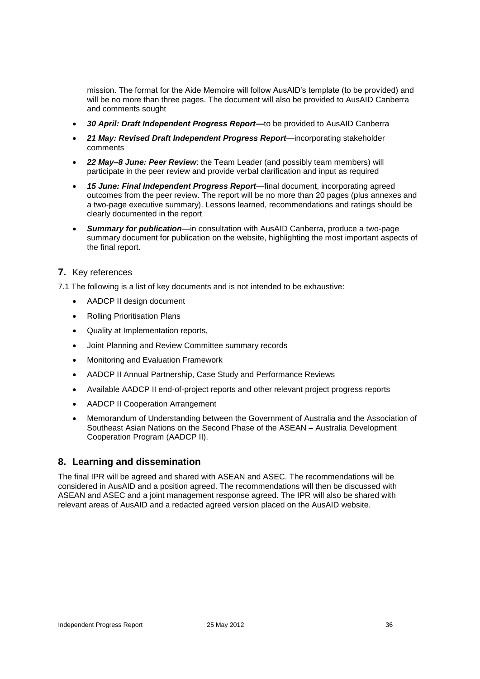mission. The format for the Aide Memoire will follow AusAID's template (to be provided) and will be no more than three pages. The document will also be provided to AusAID Canberra and comments sought

- *30 April: Draft Independent Progress Report—*to be provided to AusAID Canberra
- *21 May: Revised Draft Independent Progress Report*—incorporating stakeholder comments
- *22 May–8 June: Peer Review*: the Team Leader (and possibly team members) will participate in the peer review and provide verbal clarification and input as required
- *15 June: Final Independent Progress Report*—final document, incorporating agreed outcomes from the peer review. The report will be no more than 20 pages (plus annexes and a two-page executive summary). Lessons learned, recommendations and ratings should be clearly documented in the report
- *Summary for publication*—in consultation with AusAID Canberra, produce a two-page summary document for publication on the website, highlighting the most important aspects of the final report.

## **7.** Key references

7.1 The following is a list of key documents and is not intended to be exhaustive:

- AADCP II design document
- Rolling Prioritisation Plans
- Quality at Implementation reports,
- Joint Planning and Review Committee summary records
- Monitoring and Evaluation Framework
- AADCP II Annual Partnership, Case Study and Performance Reviews
- Available AADCP II end-of-project reports and other relevant project progress reports
- AADCP II Cooperation Arrangement
- Memorandum of Understanding between the Government of Australia and the Association of Southeast Asian Nations on the Second Phase of the ASEAN – Australia Development Cooperation Program (AADCP II).

## **8. Learning and dissemination**

The final IPR will be agreed and shared with ASEAN and ASEC. The recommendations will be considered in AusAID and a position agreed. The recommendations will then be discussed with ASEAN and ASEC and a joint management response agreed. The IPR will also be shared with relevant areas of AusAID and a redacted agreed version placed on the AusAID website.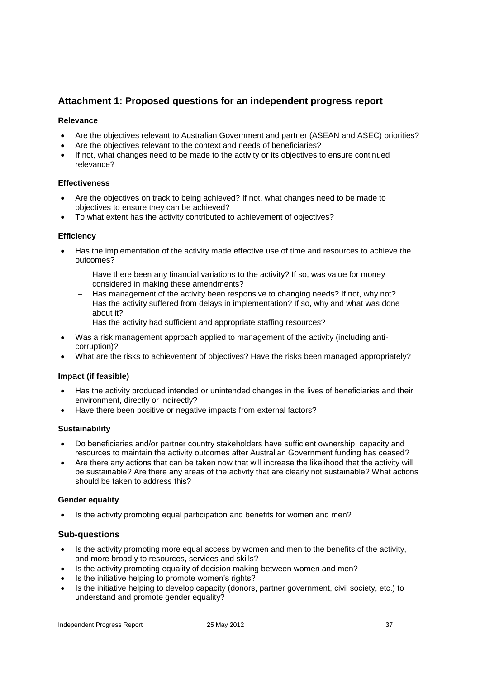# **Attachment 1: Proposed questions for an independent progress report**

### **Relevance**

- Are the objectives relevant to Australian Government and partner (ASEAN and ASEC) priorities?
- Are the objectives relevant to the context and needs of beneficiaries?
- If not, what changes need to be made to the activity or its objectives to ensure continued relevance?

#### **Effectiveness**

- Are the objectives on track to being achieved? If not, what changes need to be made to objectives to ensure they can be achieved?
- To what extent has the activity contributed to achievement of objectives?

### **Efficiency**

- Has the implementation of the activity made effective use of time and resources to achieve the outcomes?
	- Have there been any financial variations to the activity? If so, was value for money considered in making these amendments?
	- Has management of the activity been responsive to changing needs? If not, why not?
	- Has the activity suffered from delays in implementation? If so, why and what was done about it?
	- Has the activity had sufficient and appropriate staffing resources?
- Was a risk management approach applied to management of the activity (including anticorruption)?
- What are the risks to achievement of objectives? Have the risks been managed appropriately?

### **Imp**a**ct (if feasible)**

- Has the activity produced intended or unintended changes in the lives of beneficiaries and their environment, directly or indirectly?
- Have there been positive or negative impacts from external factors?

### **Sustainability**

- Do beneficiaries and/or partner country stakeholders have sufficient ownership, capacity and resources to maintain the activity outcomes after Australian Government funding has ceased?
- Are there any actions that can be taken now that will increase the likelihood that the activity will be sustainable? Are there any areas of the activity that are clearly not sustainable? What actions should be taken to address this?

### **Gender equality**

Is the activity promoting equal participation and benefits for women and men?

### **Sub-questions**

- Is the activity promoting more equal access by women and men to the benefits of the activity, and more broadly to resources, services and skills?
- Is the activity promoting equality of decision making between women and men?
- Is the initiative helping to promote women's rights?
- Is the initiative helping to develop capacity (donors, partner government, civil society, etc.) to understand and promote gender equality?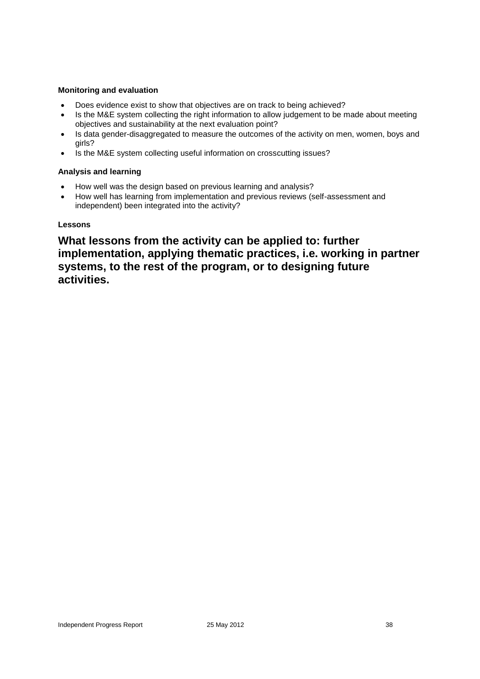### **Monitoring and evaluation**

- Does evidence exist to show that objectives are on track to being achieved?
- Is the M&E system collecting the right information to allow judgement to be made about meeting objectives and sustainability at the next evaluation point?
- Is data gender-disaggregated to measure the outcomes of the activity on men, women, boys and girls?
- Is the M&E system collecting useful information on crosscutting issues?

### **Analysis and learning**

- How well was the design based on previous learning and analysis?
- How well has learning from implementation and previous reviews (self-assessment and independent) been integrated into the activity?

### **Lessons**

**What lessons from the activity can be applied to: further implementation, applying thematic practices, i.e. working in partner systems, to the rest of the program, or to designing future activities.**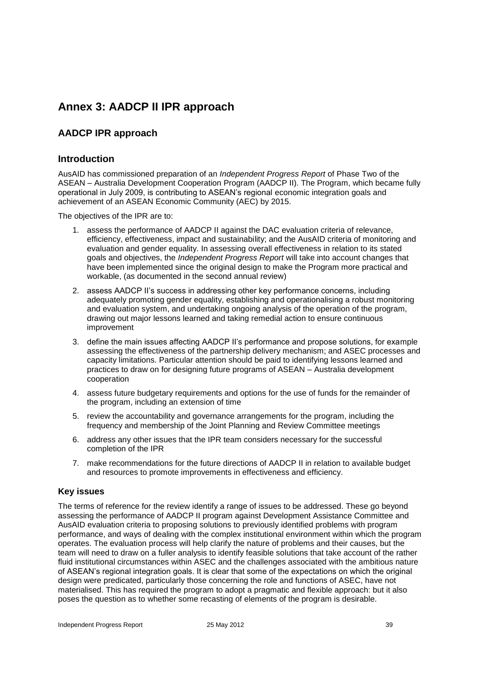# **Annex 3: AADCP II IPR approach**

# **AADCP IPR approach**

## **Introduction**

AusAID has commissioned preparation of an *Independent Progress Report* of Phase Two of the ASEAN – Australia Development Cooperation Program (AADCP II). The Program, which became fully operational in July 2009, is contributing to ASEAN's regional economic integration goals and achievement of an ASEAN Economic Community (AEC) by 2015.

The objectives of the IPR are to:

- 1. assess the performance of AADCP II against the DAC evaluation criteria of relevance, efficiency, effectiveness, impact and sustainability; and the AusAID criteria of monitoring and evaluation and gender equality. In assessing overall effectiveness in relation to its stated goals and objectives, the *Independent Progress Report* will take into account changes that have been implemented since the original design to make the Program more practical and workable, (as documented in the second annual review)
- 2. assess AADCP II's success in addressing other key performance concerns, including adequately promoting gender equality, establishing and operationalising a robust monitoring and evaluation system, and undertaking ongoing analysis of the operation of the program, drawing out major lessons learned and taking remedial action to ensure continuous improvement
- 3. define the main issues affecting AADCP II's performance and propose solutions, for example assessing the effectiveness of the partnership delivery mechanism; and ASEC processes and capacity limitations. Particular attention should be paid to identifying lessons learned and practices to draw on for designing future programs of ASEAN – Australia development cooperation
- 4. assess future budgetary requirements and options for the use of funds for the remainder of the program, including an extension of time
- 5. review the accountability and governance arrangements for the program, including the frequency and membership of the Joint Planning and Review Committee meetings
- 6. address any other issues that the IPR team considers necessary for the successful completion of the IPR
- 7. make recommendations for the future directions of AADCP II in relation to available budget and resources to promote improvements in effectiveness and efficiency.

### **Key issues**

The terms of reference for the review identify a range of issues to be addressed. These go beyond assessing the performance of AADCP II program against Development Assistance Committee and AusAID evaluation criteria to proposing solutions to previously identified problems with program performance, and ways of dealing with the complex institutional environment within which the program operates. The evaluation process will help clarify the nature of problems and their causes, but the team will need to draw on a fuller analysis to identify feasible solutions that take account of the rather fluid institutional circumstances within ASEC and the challenges associated with the ambitious nature of ASEAN's regional integration goals. It is clear that some of the expectations on which the original design were predicated, particularly those concerning the role and functions of ASEC, have not materialised. This has required the program to adopt a pragmatic and flexible approach: but it also poses the question as to whether some recasting of elements of the program is desirable.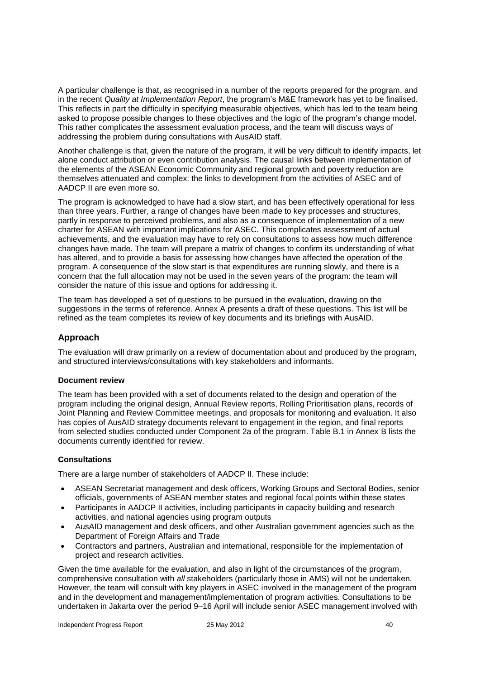A particular challenge is that, as recognised in a number of the reports prepared for the program, and in the recent *Quality at Implementation Report*, the program's M&E framework has yet to be finalised. This reflects in part the difficulty in specifying measurable objectives, which has led to the team being asked to propose possible changes to these objectives and the logic of the program's change model. This rather complicates the assessment evaluation process, and the team will discuss ways of addressing the problem during consultations with AusAID staff.

Another challenge is that, given the nature of the program, it will be very difficult to identify impacts, let alone conduct attribution or even contribution analysis. The causal links between implementation of the elements of the ASEAN Economic Community and regional growth and poverty reduction are themselves attenuated and complex: the links to development from the activities of ASEC and of AADCP II are even more so.

The program is acknowledged to have had a slow start, and has been effectively operational for less than three years. Further, a range of changes have been made to key processes and structures, partly in response to perceived problems, and also as a consequence of implementation of a new charter for ASEAN with important implications for ASEC. This complicates assessment of actual achievements, and the evaluation may have to rely on consultations to assess how much difference changes have made. The team will prepare a matrix of changes to confirm its understanding of what has altered, and to provide a basis for assessing how changes have affected the operation of the program. A consequence of the slow start is that expenditures are running slowly, and there is a concern that the full allocation may not be used in the seven years of the program: the team will consider the nature of this issue and options for addressing it.

The team has developed a set of questions to be pursued in the evaluation, drawing on the suggestions in the terms of reference. Annex A presents a draft of these questions. This list will be refined as the team completes its review of key documents and its briefings with AusAID.

### **Approach**

The evaluation will draw primarily on a review of documentation about and produced by the program, and structured interviews/consultations with key stakeholders and informants.

### **Document review**

The team has been provided with a set of documents related to the design and operation of the program including the original design, Annual Review reports, Rolling Prioritisation plans, records of Joint Planning and Review Committee meetings, and proposals for monitoring and evaluation. It also has copies of AusAID strategy documents relevant to engagement in the region, and final reports from selected studies conducted under Component 2a of the program. Table B.1 in Annex B lists the documents currently identified for review.

#### **Consultations**

There are a large number of stakeholders of AADCP II. These include:

- ASEAN Secretariat management and desk officers, Working Groups and Sectoral Bodies, senior officials, governments of ASEAN member states and regional focal points within these states
- Participants in AADCP II activities, including participants in capacity building and research activities, and national agencies using program outputs
- AusAID management and desk officers, and other Australian government agencies such as the Department of Foreign Affairs and Trade
- Contractors and partners, Australian and international, responsible for the implementation of project and research activities.

Given the time available for the evaluation, and also in light of the circumstances of the program, comprehensive consultation with *all* stakeholders (particularly those in AMS) will not be undertaken. However, the team will consult with key players in ASEC involved in the management of the program and in the development and management/implementation of program activities. Consultations to be undertaken in Jakarta over the period 9–16 April will include senior ASEC management involved with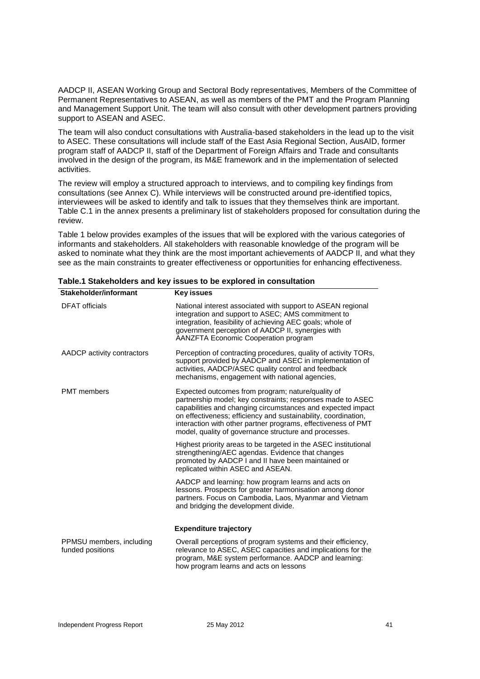AADCP II, ASEAN Working Group and Sectoral Body representatives, Members of the Committee of Permanent Representatives to ASEAN, as well as members of the PMT and the Program Planning and Management Support Unit. The team will also consult with other development partners providing support to ASEAN and ASEC.

The team will also conduct consultations with Australia-based stakeholders in the lead up to the visit to ASEC. These consultations will include staff of the East Asia Regional Section, AusAID, former program staff of AADCP II, staff of the Department of Foreign Affairs and Trade and consultants involved in the design of the program, its M&E framework and in the implementation of selected activities.

The review will employ a structured approach to interviews, and to compiling key findings from consultations (see Annex C). While interviews will be constructed around pre-identified topics, interviewees will be asked to identify and talk to issues that they themselves think are important. Table C.1 in the annex presents a preliminary list of stakeholders proposed for consultation during the review.

Table 1 below provides examples of the issues that will be explored with the various categories of informants and stakeholders. All stakeholders with reasonable knowledge of the program will be asked to nominate what they think are the most important achievements of AADCP II, and what they see as the main constraints to greater effectiveness or opportunities for enhancing effectiveness.

| JIANCIIVIUCI/IIIIVI IIIAIII                  | <b>NGY ISSUES</b>                                                                                                                                                                                                                                                                                                                                                          |
|----------------------------------------------|----------------------------------------------------------------------------------------------------------------------------------------------------------------------------------------------------------------------------------------------------------------------------------------------------------------------------------------------------------------------------|
| <b>DFAT</b> officials                        | National interest associated with support to ASEAN regional<br>integration and support to ASEC; AMS commitment to<br>integration, feasibility of achieving AEC goals; whole of<br>government perception of AADCP II, synergies with<br><b>AANZFTA Economic Cooperation program</b>                                                                                         |
| AADCP activity contractors                   | Perception of contracting procedures, quality of activity TORs,<br>support provided by AADCP and ASEC in implementation of<br>activities, AADCP/ASEC quality control and feedback<br>mechanisms, engagement with national agencies,                                                                                                                                        |
| <b>PMT</b> members                           | Expected outcomes from program; nature/quality of<br>partnership model; key constraints; responses made to ASEC<br>capabilities and changing circumstances and expected impact<br>on effectiveness; efficiency and sustainability, coordination,<br>interaction with other partner programs, effectiveness of PMT<br>model, quality of governance structure and processes. |
|                                              | Highest priority areas to be targeted in the ASEC institutional<br>strengthening/AEC agendas. Evidence that changes<br>promoted by AADCP I and II have been maintained or<br>replicated within ASEC and ASEAN.                                                                                                                                                             |
|                                              | AADCP and learning: how program learns and acts on<br>lessons. Prospects for greater harmonisation among donor<br>partners. Focus on Cambodia, Laos, Myanmar and Vietnam<br>and bridging the development divide.                                                                                                                                                           |
|                                              | <b>Expenditure trajectory</b>                                                                                                                                                                                                                                                                                                                                              |
| PPMSU members, including<br>funded positions | Overall perceptions of program systems and their efficiency,<br>relevance to ASEC, ASEC capacities and implications for the<br>program, M&E system performance. AADCP and learning:<br>how program learns and acts on lessons                                                                                                                                              |

**Table.1 Stakeholders and key issues to be explored in consultation**

**Stakeholder/informant Key issues**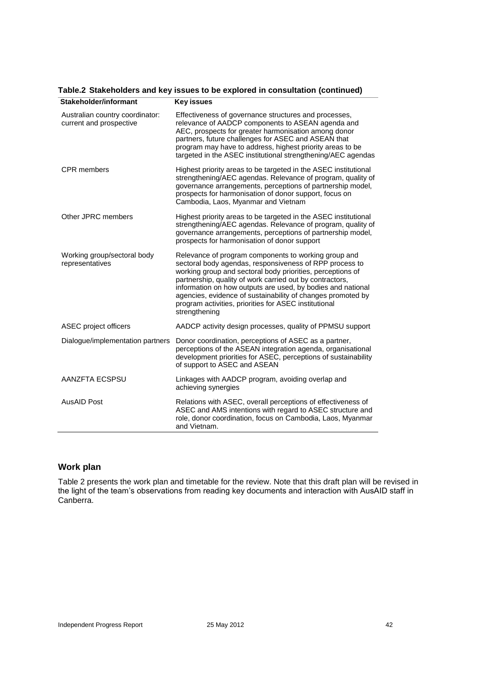| Stakeholder/informant                                      | Key issues                                                                                                                                                                                                                                                                                                                                                                                                                                        |
|------------------------------------------------------------|---------------------------------------------------------------------------------------------------------------------------------------------------------------------------------------------------------------------------------------------------------------------------------------------------------------------------------------------------------------------------------------------------------------------------------------------------|
| Australian country coordinator:<br>current and prospective | Effectiveness of governance structures and processes,<br>relevance of AADCP components to ASEAN agenda and<br>AEC, prospects for greater harmonisation among donor<br>partners, future challenges for ASEC and ASEAN that<br>program may have to address, highest priority areas to be<br>targeted in the ASEC institutional strengthening/AEC agendas                                                                                            |
| <b>CPR</b> members                                         | Highest priority areas to be targeted in the ASEC institutional<br>strengthening/AEC agendas. Relevance of program, quality of<br>governance arrangements, perceptions of partnership model,<br>prospects for harmonisation of donor support, focus on<br>Cambodia, Laos, Myanmar and Vietnam                                                                                                                                                     |
| Other JPRC members                                         | Highest priority areas to be targeted in the ASEC institutional<br>strengthening/AEC agendas. Relevance of program, quality of<br>governance arrangements, perceptions of partnership model,<br>prospects for harmonisation of donor support                                                                                                                                                                                                      |
| Working group/sectoral body<br>representatives             | Relevance of program components to working group and<br>sectoral body agendas, responsiveness of RPP process to<br>working group and sectoral body priorities, perceptions of<br>partnership, quality of work carried out by contractors,<br>information on how outputs are used, by bodies and national<br>agencies, evidence of sustainability of changes promoted by<br>program activities, priorities for ASEC institutional<br>strengthening |
| ASEC project officers                                      | AADCP activity design processes, quality of PPMSU support                                                                                                                                                                                                                                                                                                                                                                                         |
| Dialogue/implementation partners                           | Donor coordination, perceptions of ASEC as a partner,<br>perceptions of the ASEAN integration agenda, organisational<br>development priorities for ASEC, perceptions of sustainability<br>of support to ASEC and ASEAN                                                                                                                                                                                                                            |
| AANZFTA ECSPSU                                             | Linkages with AADCP program, avoiding overlap and<br>achieving synergies                                                                                                                                                                                                                                                                                                                                                                          |
| <b>AusAID Post</b>                                         | Relations with ASEC, overall perceptions of effectiveness of<br>ASEC and AMS intentions with regard to ASEC structure and<br>role, donor coordination, focus on Cambodia, Laos, Myanmar<br>and Vietnam.                                                                                                                                                                                                                                           |

#### **Table.2 Stakeholders and key issues to be explored in consultation (continued)**

# **Work plan**

Table 2 presents the work plan and timetable for the review. Note that this draft plan will be revised in the light of the team's observations from reading key documents and interaction with AusAID staff in Canberra.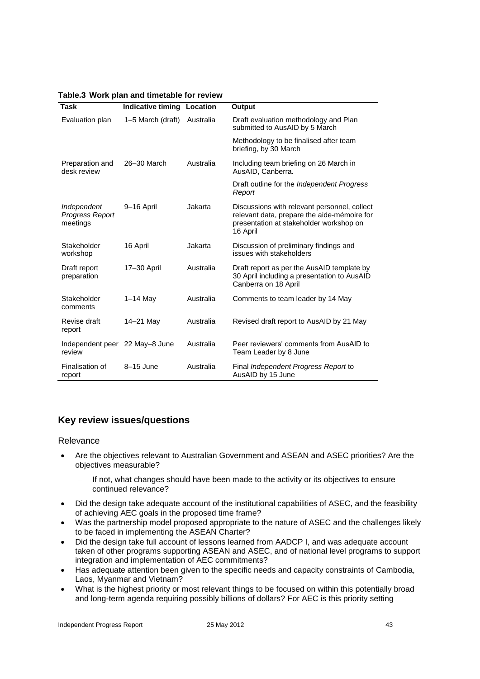|  | Table.3 Work plan and timetable for review |  |  |  |  |
|--|--------------------------------------------|--|--|--|--|
|--|--------------------------------------------|--|--|--|--|

| <b>Task</b>                                | Indicative timing Location |           | Output                                                                                                                                             |
|--------------------------------------------|----------------------------|-----------|----------------------------------------------------------------------------------------------------------------------------------------------------|
| Evaluation plan                            | 1-5 March (draft)          | Australia | Draft evaluation methodology and Plan<br>submitted to AusAID by 5 March                                                                            |
|                                            |                            |           | Methodology to be finalised after team<br>briefing, by 30 March                                                                                    |
| Preparation and<br>desk review             | 26-30 March                | Australia | Including team briefing on 26 March in<br>AusAID, Canberra.                                                                                        |
|                                            |                            |           | Draft outline for the <i>Independent Progress</i><br>Report                                                                                        |
| Independent<br>Progress Report<br>meetings | 9-16 April                 | Jakarta   | Discussions with relevant personnel, collect<br>relevant data, prepare the aide-mémoire for<br>presentation at stakeholder workshop on<br>16 April |
| Stakeholder<br>workshop                    | 16 April                   | Jakarta   | Discussion of preliminary findings and<br>issues with stakeholders                                                                                 |
| Draft report<br>preparation                | 17-30 April                | Australia | Draft report as per the AusAID template by<br>30 April including a presentation to AusAID<br>Canberra on 18 April                                  |
| Stakeholder<br>comments                    | $1-14$ May                 | Australia | Comments to team leader by 14 May                                                                                                                  |
| Revise draft<br>report                     | 14-21 May                  | Australia | Revised draft report to AusAID by 21 May                                                                                                           |
| Independent peer 22 May-8 June<br>review   |                            | Australia | Peer reviewers' comments from AusAID to<br>Team Leader by 8 June                                                                                   |
| Finalisation of<br>report                  | 8-15 June                  | Australia | Final Independent Progress Report to<br>AusAID by 15 June                                                                                          |

# **Key review issues/questions**

#### Relevance

- Are the objectives relevant to Australian Government and ASEAN and ASEC priorities? Are the objectives measurable?
	- If not, what changes should have been made to the activity or its objectives to ensure continued relevance?
- Did the design take adequate account of the institutional capabilities of ASEC, and the feasibility of achieving AEC goals in the proposed time frame?
- Was the partnership model proposed appropriate to the nature of ASEC and the challenges likely to be faced in implementing the ASEAN Charter?
- Did the design take full account of lessons learned from AADCP I, and was adequate account taken of other programs supporting ASEAN and ASEC, and of national level programs to support integration and implementation of AEC commitments?
- Has adequate attention been given to the specific needs and capacity constraints of Cambodia, Laos, Myanmar and Vietnam?
- What is the highest priority or most relevant things to be focused on within this potentially broad and long-term agenda requiring possibly billions of dollars? For AEC is this priority setting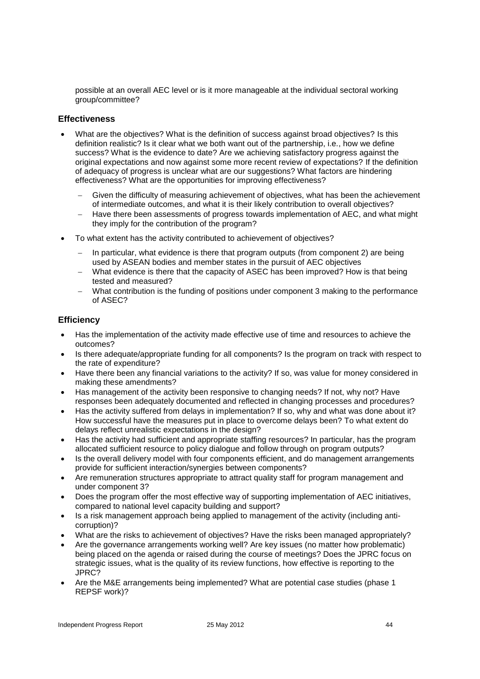possible at an overall AEC level or is it more manageable at the individual sectoral working group/committee?

### **Effectiveness**

- What are the objectives? What is the definition of success against broad objectives? Is this definition realistic? Is it clear what we both want out of the partnership, i.e., how we define success? What is the evidence to date? Are we achieving satisfactory progress against the original expectations and now against some more recent review of expectations? If the definition of adequacy of progress is unclear what are our suggestions? What factors are hindering effectiveness? What are the opportunities for improving effectiveness?
	- Given the difficulty of measuring achievement of objectives, what has been the achievement of intermediate outcomes, and what it is their likely contribution to overall objectives?
	- Have there been assessments of progress towards implementation of AEC, and what might they imply for the contribution of the program?
- To what extent has the activity contributed to achievement of objectives?
	- In particular, what evidence is there that program outputs (from component 2) are being used by ASEAN bodies and member states in the pursuit of AEC objectives
	- What evidence is there that the capacity of ASEC has been improved? How is that being tested and measured?
	- What contribution is the funding of positions under component 3 making to the performance of ASEC?

## **Efficiency**

- Has the implementation of the activity made effective use of time and resources to achieve the outcomes?
- Is there adequate/appropriate funding for all components? Is the program on track with respect to the rate of expenditure?
- Have there been any financial variations to the activity? If so, was value for money considered in making these amendments?
- Has management of the activity been responsive to changing needs? If not, why not? Have responses been adequately documented and reflected in changing processes and procedures?
- Has the activity suffered from delays in implementation? If so, why and what was done about it? How successful have the measures put in place to overcome delays been? To what extent do delays reflect unrealistic expectations in the design?
- Has the activity had sufficient and appropriate staffing resources? In particular, has the program allocated sufficient resource to policy dialogue and follow through on program outputs?
- Is the overall delivery model with four components efficient, and do management arrangements provide for sufficient interaction/synergies between components?
- Are remuneration structures appropriate to attract quality staff for program management and under component 3?
- Does the program offer the most effective way of supporting implementation of AEC initiatives, compared to national level capacity building and support?
- Is a risk management approach being applied to management of the activity (including anticorruption)?
- What are the risks to achievement of objectives? Have the risks been managed appropriately?
- Are the governance arrangements working well? Are key issues (no matter how problematic) being placed on the agenda or raised during the course of meetings? Does the JPRC focus on strategic issues, what is the quality of its review functions, how effective is reporting to the JPRC?
- Are the M&E arrangements being implemented? What are potential case studies (phase 1 REPSF work)?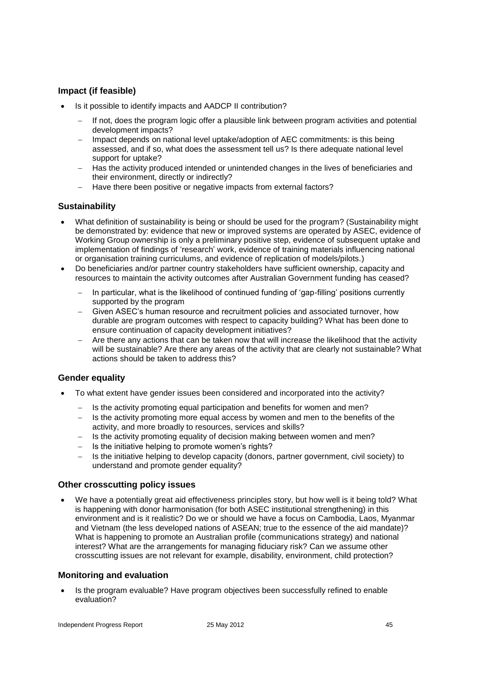# **Impact (if feasible)**

- Is it possible to identify impacts and AADCP II contribution?
	- If not, does the program logic offer a plausible link between program activities and potential development impacts?
	- Impact depends on national level uptake/adoption of AEC commitments: is this being assessed, and if so, what does the assessment tell us? Is there adequate national level support for uptake?
	- Has the activity produced intended or unintended changes in the lives of beneficiaries and their environment, directly or indirectly?
	- Have there been positive or negative impacts from external factors?

### **Sustainability**

- What definition of sustainability is being or should be used for the program? (Sustainability might be demonstrated by: evidence that new or improved systems are operated by ASEC, evidence of Working Group ownership is only a preliminary positive step, evidence of subsequent uptake and implementation of findings of 'research' work, evidence of training materials influencing national or organisation training curriculums, and evidence of replication of models/pilots.)
- Do beneficiaries and/or partner country stakeholders have sufficient ownership, capacity and resources to maintain the activity outcomes after Australian Government funding has ceased?
	- In particular, what is the likelihood of continued funding of 'gap-filling' positions currently supported by the program
	- Given ASEC's human resource and recruitment policies and associated turnover, how durable are program outcomes with respect to capacity building? What has been done to ensure continuation of capacity development initiatives?
	- Are there any actions that can be taken now that will increase the likelihood that the activity will be sustainable? Are there any areas of the activity that are clearly not sustainable? What actions should be taken to address this?

## **Gender equality**

- To what extent have gender issues been considered and incorporated into the activity?
	- $-$  Is the activity promoting equal participation and benefits for women and men?
	- Is the activity promoting more equal access by women and men to the benefits of the activity, and more broadly to resources, services and skills?
	- $-$  Is the activity promoting equality of decision making between women and men?
	- $-$  Is the initiative helping to promote women's rights?
	- Is the initiative helping to develop capacity (donors, partner government, civil society) to understand and promote gender equality?

### **Other crosscutting policy issues**

 We have a potentially great aid effectiveness principles story, but how well is it being told? What is happening with donor harmonisation (for both ASEC institutional strengthening) in this environment and is it realistic? Do we or should we have a focus on Cambodia, Laos, Myanmar and Vietnam (the less developed nations of ASEAN; true to the essence of the aid mandate)? What is happening to promote an Australian profile (communications strategy) and national interest? What are the arrangements for managing fiduciary risk? Can we assume other crosscutting issues are not relevant for example, disability, environment, child protection?

### **Monitoring and evaluation**

 Is the program evaluable? Have program objectives been successfully refined to enable evaluation?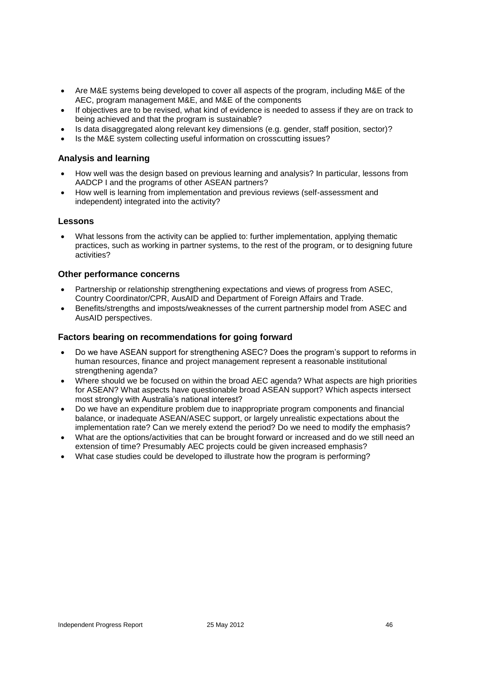- Are M&E systems being developed to cover all aspects of the program, including M&E of the AEC, program management M&E, and M&E of the components
- If objectives are to be revised, what kind of evidence is needed to assess if they are on track to being achieved and that the program is sustainable?
- Is data disaggregated along relevant key dimensions (e.g. gender, staff position, sector)?
- Is the M&E system collecting useful information on crosscutting issues?

### **Analysis and learning**

- How well was the design based on previous learning and analysis? In particular, lessons from AADCP I and the programs of other ASEAN partners?
- How well is learning from implementation and previous reviews (self-assessment and independent) integrated into the activity?

### **Lessons**

 What lessons from the activity can be applied to: further implementation, applying thematic practices, such as working in partner systems, to the rest of the program, or to designing future activities?

### **Other performance concerns**

- Partnership or relationship strengthening expectations and views of progress from ASEC, Country Coordinator/CPR, AusAID and Department of Foreign Affairs and Trade.
- Benefits/strengths and imposts/weaknesses of the current partnership model from ASEC and AusAID perspectives.

### **Factors bearing on recommendations for going forward**

- Do we have ASEAN support for strengthening ASEC? Does the program's support to reforms in human resources, finance and project management represent a reasonable institutional strengthening agenda?
- Where should we be focused on within the broad AEC agenda? What aspects are high priorities for ASEAN? What aspects have questionable broad ASEAN support? Which aspects intersect most strongly with Australia's national interest?
- Do we have an expenditure problem due to inappropriate program components and financial balance, or inadequate ASEAN/ASEC support, or largely unrealistic expectations about the implementation rate? Can we merely extend the period? Do we need to modify the emphasis?
- What are the options/activities that can be brought forward or increased and do we still need an extension of time? Presumably AEC projects could be given increased emphasis?
- What case studies could be developed to illustrate how the program is performing?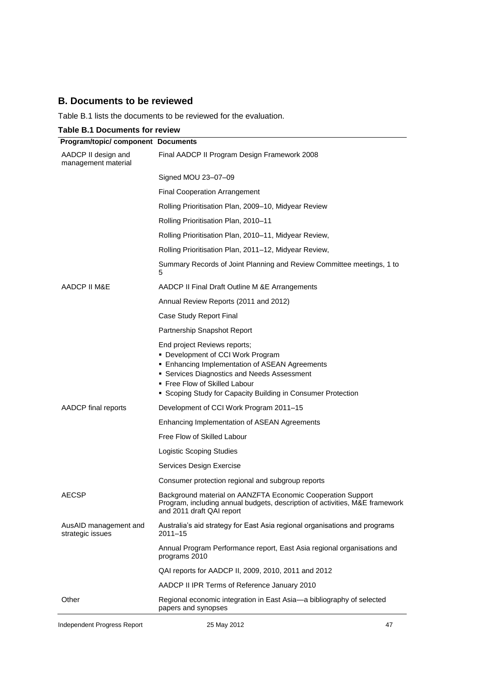# **B. Documents to be reviewed**

Table B.1 lists the documents to be reviewed for the evaluation.

|  | <b>Table B.1 Documents for review</b> |  |
|--|---------------------------------------|--|
|--|---------------------------------------|--|

| <b>Program/topic/ component Documents</b>  |                                                                                                                                                                                                                                                                          |
|--------------------------------------------|--------------------------------------------------------------------------------------------------------------------------------------------------------------------------------------------------------------------------------------------------------------------------|
| AADCP II design and<br>management material | Final AADCP II Program Design Framework 2008                                                                                                                                                                                                                             |
|                                            | Signed MOU 23-07-09                                                                                                                                                                                                                                                      |
|                                            | <b>Final Cooperation Arrangement</b>                                                                                                                                                                                                                                     |
|                                            | Rolling Prioritisation Plan, 2009–10, Midyear Review                                                                                                                                                                                                                     |
|                                            | Rolling Prioritisation Plan, 2010-11                                                                                                                                                                                                                                     |
|                                            | Rolling Prioritisation Plan, 2010–11, Midyear Review,                                                                                                                                                                                                                    |
|                                            | Rolling Prioritisation Plan, 2011-12, Midyear Review,                                                                                                                                                                                                                    |
|                                            | Summary Records of Joint Planning and Review Committee meetings, 1 to<br>5                                                                                                                                                                                               |
| AADCP II M&E                               | AADCP II Final Draft Outline M &E Arrangements                                                                                                                                                                                                                           |
|                                            | Annual Review Reports (2011 and 2012)                                                                                                                                                                                                                                    |
|                                            | Case Study Report Final                                                                                                                                                                                                                                                  |
|                                            | Partnership Snapshot Report                                                                                                                                                                                                                                              |
|                                            | End project Reviews reports;<br>• Development of CCI Work Program<br><b>Enhancing Implementation of ASEAN Agreements</b><br>• Services Diagnostics and Needs Assessment<br>• Free Flow of Skilled Labour<br>• Scoping Study for Capacity Building in Consumer Protection |
| AADCP final reports                        | Development of CCI Work Program 2011-15                                                                                                                                                                                                                                  |
|                                            | Enhancing Implementation of ASEAN Agreements                                                                                                                                                                                                                             |
|                                            | Free Flow of Skilled Labour                                                                                                                                                                                                                                              |
|                                            | Logistic Scoping Studies                                                                                                                                                                                                                                                 |
|                                            | Services Design Exercise                                                                                                                                                                                                                                                 |
|                                            | Consumer protection regional and subgroup reports                                                                                                                                                                                                                        |
| <b>AECSP</b>                               | Background material on AANZFTA Economic Cooperation Support<br>Program, including annual budgets, description of activities, M&E framework<br>and 2011 draft QAI report                                                                                                  |
| AusAID management and<br>strategic issues  | Australia's aid strategy for East Asia regional organisations and programs<br>$2011 - 15$                                                                                                                                                                                |
|                                            | Annual Program Performance report, East Asia regional organisations and<br>programs 2010                                                                                                                                                                                 |
|                                            | QAI reports for AADCP II, 2009, 2010, 2011 and 2012                                                                                                                                                                                                                      |
|                                            | AADCP II IPR Terms of Reference January 2010                                                                                                                                                                                                                             |
| Other                                      | Regional economic integration in East Asia—a bibliography of selected<br>papers and synopses                                                                                                                                                                             |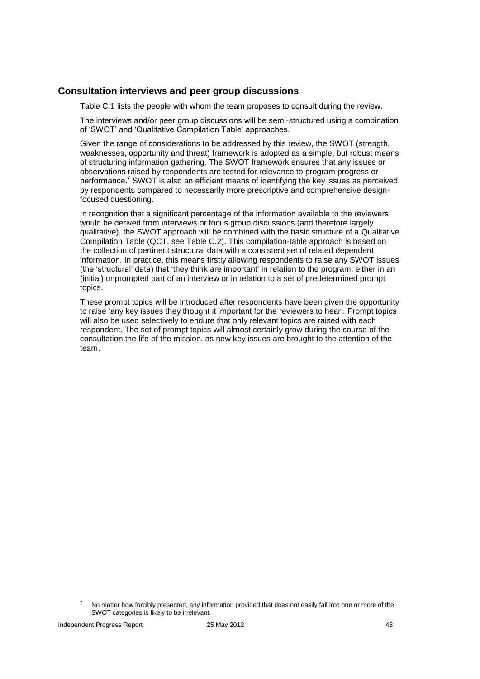### **Consultation interviews and peer group discussions**

Table C.1 lists the people with whom the team proposes to consult during the review.

The interviews and/or peer group discussions will be semi-structured using a combination of 'SWOT' and 'Qualitative Compilation Table' approaches.

Given the range of considerations to be addressed by this review, the SWOT (strength, weaknesses, opportunity and threat) framework is adopted as a simple, but robust means of structuring information gathering. The SWOT framework ensures that any issues or observations raised by respondents are tested for relevance to program progress or performance.<sup>7</sup> SWOT is also an efficient means of identifying the key issues as perceived by respondents compared to necessarily more prescriptive and comprehensive designfocused questioning.

In recognition that a significant percentage of the information available to the reviewers would be derived from interviews or focus group discussions (and therefore largely qualitative), the SWOT approach will be combined with the basic structure of a Qualitative Compilation Table (QCT, see Table C.2). This compilation-table approach is based on the collection of pertinent structural data with a consistent set of related dependent information. In practice, this means firstly allowing respondents to raise any SWOT issues (the 'structural' data) that 'they think are important' in relation to the program: either in an (initial) unprompted part of an interview or in relation to a set of predetermined prompt topics.

These prompt topics will be introduced after respondents have been given the opportunity to raise 'any key issues they thought it important for the reviewers to hear'. Prompt topics will also be used selectively to endure that only relevant topics are raised with each respondent. The set of prompt topics will almost certainly grow during the course of the consultation the life of the mission, as new key issues are brought to the attention of the team.

 $7$  No matter how forcibly presented, any information provided that does not easily fall into one or more of the SWOT categories is likely to be irrelevant.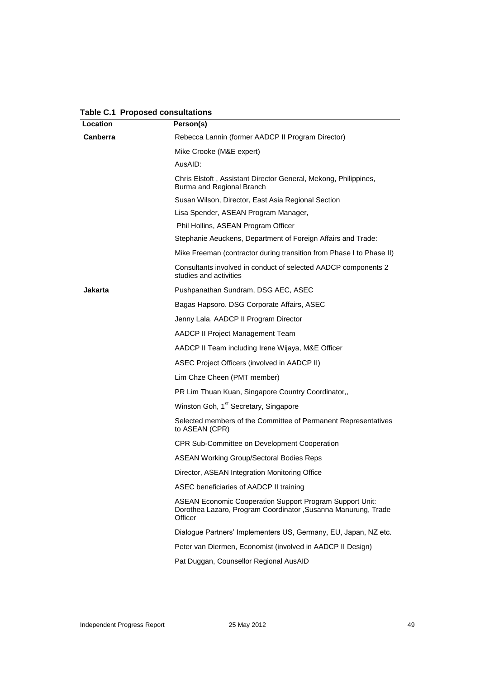| Location        | Person(s)                                                                                                                                   |
|-----------------|---------------------------------------------------------------------------------------------------------------------------------------------|
| <b>Canberra</b> | Rebecca Lannin (former AADCP II Program Director)                                                                                           |
|                 | Mike Crooke (M&E expert)                                                                                                                    |
|                 | AusAID:                                                                                                                                     |
|                 | Chris Elstoft, Assistant Director General, Mekong, Philippines,<br>Burma and Regional Branch                                                |
|                 | Susan Wilson, Director, East Asia Regional Section                                                                                          |
|                 | Lisa Spender, ASEAN Program Manager,                                                                                                        |
|                 | Phil Hollins, ASEAN Program Officer                                                                                                         |
|                 | Stephanie Aeuckens, Department of Foreign Affairs and Trade:                                                                                |
|                 | Mike Freeman (contractor during transition from Phase I to Phase II)                                                                        |
|                 | Consultants involved in conduct of selected AADCP components 2<br>studies and activities                                                    |
| Jakarta         | Pushpanathan Sundram, DSG AEC, ASEC                                                                                                         |
|                 | Bagas Hapsoro. DSG Corporate Affairs, ASEC                                                                                                  |
|                 | Jenny Lala, AADCP II Program Director                                                                                                       |
|                 | AADCP II Project Management Team                                                                                                            |
|                 | AADCP II Team including Irene Wijaya, M&E Officer                                                                                           |
|                 | ASEC Project Officers (involved in AADCP II)                                                                                                |
|                 | Lim Chze Cheen (PMT member)                                                                                                                 |
|                 | PR Lim Thuan Kuan, Singapore Country Coordinator,,                                                                                          |
|                 | Winston Goh, 1 <sup>st</sup> Secretary, Singapore                                                                                           |
|                 | Selected members of the Committee of Permanent Representatives<br>to ASEAN (CPR)                                                            |
|                 | CPR Sub-Committee on Development Cooperation                                                                                                |
|                 | <b>ASEAN Working Group/Sectoral Bodies Reps</b>                                                                                             |
|                 | Director, ASEAN Integration Monitoring Office                                                                                               |
|                 | ASEC beneficiaries of AADCP II training                                                                                                     |
|                 | <b>ASEAN Economic Cooperation Support Program Support Unit:</b><br>Dorothea Lazaro, Program Coordinator, Susanna Manurung, Trade<br>Officer |
|                 | Dialogue Partners' Implementers US, Germany, EU, Japan, NZ etc.                                                                             |
|                 | Peter van Diermen, Economist (involved in AADCP II Design)                                                                                  |
|                 | Pat Duggan, Counsellor Regional AusAID                                                                                                      |

**Table C.1 Proposed consultations**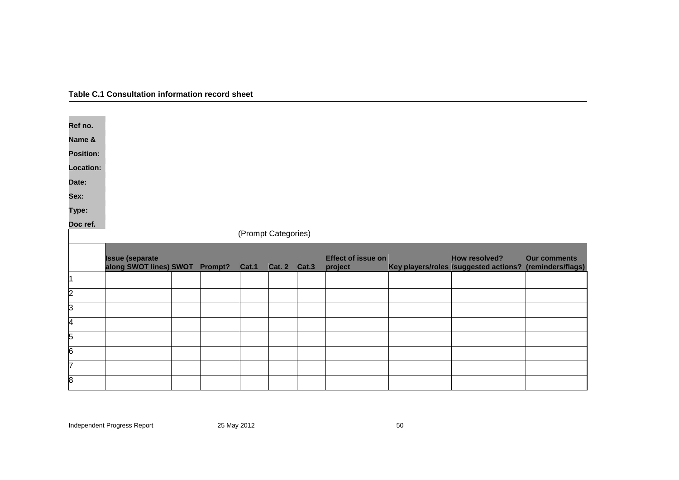| Table C.1 Consultation information record sheet |  |
|-------------------------------------------------|--|
|-------------------------------------------------|--|

| Ref no.          |                        |         |                     |                     |                           |                                       |                     |
|------------------|------------------------|---------|---------------------|---------------------|---------------------------|---------------------------------------|---------------------|
| Name &           |                        |         |                     |                     |                           |                                       |                     |
| <b>Position:</b> |                        |         |                     |                     |                           |                                       |                     |
| <b>Location:</b> |                        |         |                     |                     |                           |                                       |                     |
| Date:            |                        |         |                     |                     |                           |                                       |                     |
| Sex:             |                        |         |                     |                     |                           |                                       |                     |
| Type:            |                        |         |                     |                     |                           |                                       |                     |
| Doc ref.         |                        |         |                     |                     |                           |                                       |                     |
|                  |                        |         | (Prompt Categories) |                     |                           |                                       |                     |
|                  |                        |         |                     |                     |                           |                                       |                     |
|                  | <b>Issue (separate</b> |         |                     |                     | <b>Effect of issue on</b> | How resolved?                         | <b>Our comments</b> |
|                  | along SWOT lines) SWOT | Prompt? | Cat.1               | <b>Cat. 2 Cat.3</b> | project                   | Key players/roles /suggested actions? | (reminders/flags)   |
| l1               |                        |         |                     |                     |                           |                                       |                     |
| $\overline{2}$   |                        |         |                     |                     |                           |                                       |                     |
| $\overline{3}$   |                        |         |                     |                     |                           |                                       |                     |
| 4                |                        |         |                     |                     |                           |                                       |                     |
| 5                |                        |         |                     |                     |                           |                                       |                     |
| 6                |                        |         |                     |                     |                           |                                       |                     |
| 7                |                        |         |                     |                     |                           |                                       |                     |

Independent Progress Report 25 May 2012 10:00 12:00 12:00 12:00 12:00 12:00 13:00 13:00 13:00 13:00 13:00 13:0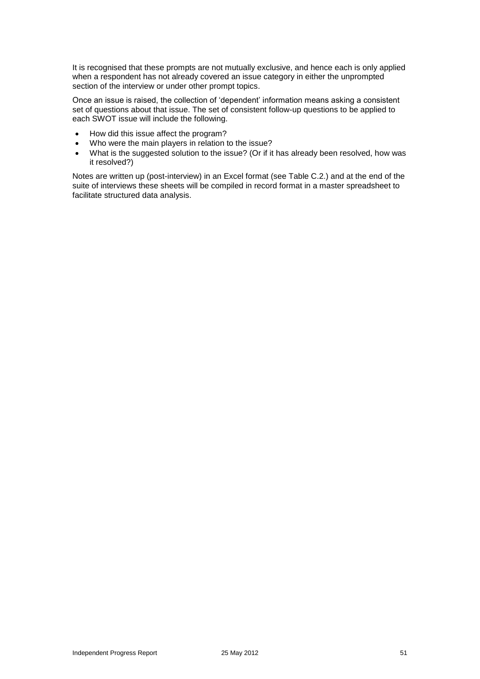It is recognised that these prompts are not mutually exclusive, and hence each is only applied when a respondent has not already covered an issue category in either the unprompted section of the interview or under other prompt topics.

Once an issue is raised, the collection of 'dependent' information means asking a consistent set of questions about that issue. The set of consistent follow-up questions to be applied to each SWOT issue will include the following.

- How did this issue affect the program?
- Who were the main players in relation to the issue?
- What is the suggested solution to the issue? (Or if it has already been resolved, how was it resolved?)

Notes are written up (post-interview) in an Excel format (see Table C.2.) and at the end of the suite of interviews these sheets will be compiled in record format in a master spreadsheet to facilitate structured data analysis.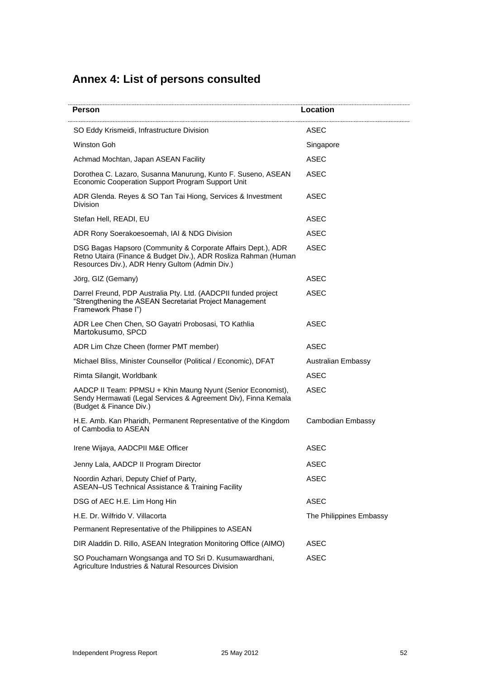# **Annex 4: List of persons consulted**

| Person                                                                                                                                                                            | Location                  |
|-----------------------------------------------------------------------------------------------------------------------------------------------------------------------------------|---------------------------|
| SO Eddy Krismeidi, Infrastructure Division                                                                                                                                        | ASEC                      |
| Winston Goh                                                                                                                                                                       | Singapore                 |
| Achmad Mochtan, Japan ASEAN Facility                                                                                                                                              | <b>ASEC</b>               |
| Dorothea C. Lazaro, Susanna Manurung, Kunto F. Suseno, ASEAN<br>Economic Cooperation Support Program Support Unit                                                                 | <b>ASEC</b>               |
| ADR Glenda. Reyes & SO Tan Tai Hiong, Services & Investment<br><b>Division</b>                                                                                                    | ASEC                      |
| Stefan Hell, READI, EU                                                                                                                                                            | ASEC                      |
| ADR Rony Soerakoesoemah, IAI & NDG Division                                                                                                                                       | <b>ASEC</b>               |
| DSG Bagas Hapsoro (Community & Corporate Affairs Dept.), ADR<br>Retno Utaira (Finance & Budget Div.), ADR Rosliza Rahman (Human<br>Resources Div.), ADR Henry Gultom (Admin Div.) | <b>ASEC</b>               |
| Jörg, GIZ (Gemany)                                                                                                                                                                | ASEC                      |
| Darrel Freund, PDP Australia Pty. Ltd. (AADCPII funded project<br>"Strengthening the ASEAN Secretariat Project Management<br>Framework Phase I")                                  | ASEC                      |
| ADR Lee Chen Chen, SO Gayatri Probosasi, TO Kathlia<br>Martokusumo, SPCD                                                                                                          | <b>ASEC</b>               |
| ADR Lim Chze Cheen (former PMT member)                                                                                                                                            | ASEC                      |
| Michael Bliss, Minister Counsellor (Political / Economic), DFAT                                                                                                                   | <b>Australian Embassy</b> |
| Rimta Silangit, Worldbank                                                                                                                                                         | ASEC                      |
| AADCP II Team: PPMSU + Khin Maung Nyunt (Senior Economist),<br>Sendy Hermawati (Legal Services & Agreement Div), Finna Kemala<br>(Budget & Finance Div.)                          | <b>ASEC</b>               |
| H.E. Amb. Kan Pharidh, Permanent Representative of the Kingdom<br>of Cambodia to ASEAN                                                                                            | Cambodian Embassy         |
| Irene Wijaya, AADCPII M&E Officer                                                                                                                                                 | ASEC                      |
| Jenny Lala, AADCP II Program Director                                                                                                                                             | <b>ASEC</b>               |
| Noordin Azhari, Deputy Chief of Party,<br><b>ASEAN-US Technical Assistance &amp; Training Facility</b>                                                                            | <b>ASEC</b>               |
| DSG of AEC H.E. Lim Hong Hin                                                                                                                                                      | <b>ASEC</b>               |
| H.E. Dr. Wilfrido V. Villacorta                                                                                                                                                   | The Philippines Embassy   |
| Permanent Representative of the Philippines to ASEAN                                                                                                                              |                           |
| DIR Aladdin D. Rillo, ASEAN Integration Monitoring Office (AIMO)                                                                                                                  | ASEC                      |
| SO Pouchamarn Wongsanga and TO Sri D. Kusumawardhani,<br>Agriculture Industries & Natural Resources Division                                                                      | ASEC                      |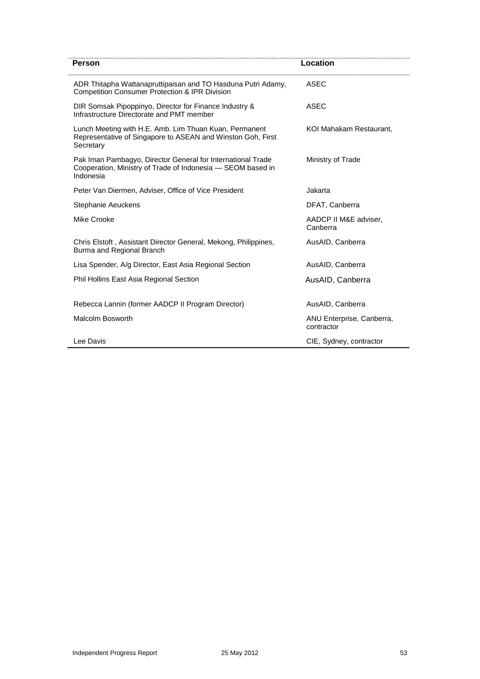| Person                                                                                                                                  | Location                                |
|-----------------------------------------------------------------------------------------------------------------------------------------|-----------------------------------------|
| ADR Thitapha Wattanapruttipaisan and TO Hasduna Putri Adamy,<br><b>Competition Consumer Protection &amp; IPR Division</b>               | ASEC                                    |
| DIR Somsak Pipoppinyo, Director for Finance Industry &<br>Infrastructure Directorate and PMT member                                     | ASEC                                    |
| Lunch Meeting with H.E. Amb. Lim Thuan Kuan, Permanent<br>Representative of Singapore to ASEAN and Winston Goh, First<br>Secretary      | KOI Mahakam Restaurant.                 |
| Pak Iman Pambagyo, Director General for International Trade<br>Cooperation, Ministry of Trade of Indonesia - SEOM based in<br>Indonesia | Ministry of Trade                       |
| Peter Van Diermen, Adviser, Office of Vice President                                                                                    | Jakarta                                 |
| Stephanie Aeuckens                                                                                                                      | DFAT, Canberra                          |
| Mike Crooke                                                                                                                             | AADCP II M&E adviser,<br>Canberra       |
| Chris Elstoft, Assistant Director General, Mekong, Philippines,<br>Burma and Regional Branch                                            | AusAID, Canberra                        |
| Lisa Spender, A/g Director, East Asia Regional Section                                                                                  | AusAID, Canberra                        |
| Phil Hollins East Asia Regional Section                                                                                                 | AusAID, Canberra                        |
| Rebecca Lannin (former AADCP II Program Director)                                                                                       | AusAID, Canberra                        |
| Malcolm Bosworth                                                                                                                        | ANU Enterprise, Canberra,<br>contractor |
| Lee Davis                                                                                                                               | CIE, Sydney, contractor                 |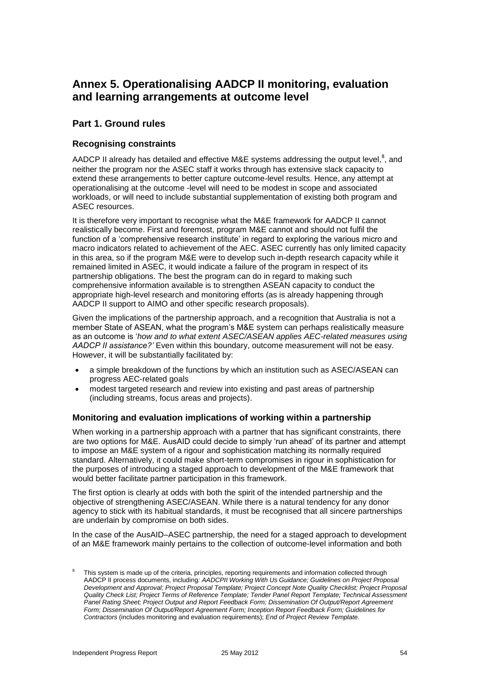# **Annex 5. Operationalising AADCP II monitoring, evaluation and learning arrangements at outcome level**

# **Part 1. Ground rules**

### **Recognising constraints**

AADCP II already has detailed and effective M&E systems addressing the output level,<sup>8</sup>, and neither the program nor the ASEC staff it works through has extensive slack capacity to extend these arrangements to better capture outcome-level results. Hence, any attempt at operationalising at the outcome -level will need to be modest in scope and associated workloads, or will need to include substantial supplementation of existing both program and ASEC resources.

It is therefore very important to recognise what the M&E framework for AADCP II cannot realistically become. First and foremost, program M&E cannot and should not fulfil the function of a 'comprehensive research institute' in regard to exploring the various micro and macro indicators related to achievement of the AEC. ASEC currently has only limited capacity in this area, so if the program M&E were to develop such in-depth research capacity while it remained limited in ASEC, it would indicate a failure of the program in respect of its partnership obligations. The best the program can do in regard to making such comprehensive information available is to strengthen ASEAN capacity to conduct the appropriate high-level research and monitoring efforts (as is already happening through AADCP II support to AIMO and other specific research proposals).

Given the implications of the partnership approach, and a recognition that Australia is not a member State of ASEAN, what the program's M&E system can perhaps realistically measure as an outcome is '*how and to what extent ASEC/ASEAN applies AEC-related measures using AADCP II assistance?'* Even within this boundary, outcome measurement will not be easy. However, it will be substantially facilitated by:

- a simple breakdown of the functions by which an institution such as ASEC/ASEAN can progress AEC-related goals
- modest targeted research and review into existing and past areas of partnership (including streams, focus areas and projects).

### **Monitoring and evaluation implications of working within a partnership**

When working in a partnership approach with a partner that has significant constraints, there are two options for M&E. AusAID could decide to simply 'run ahead' of its partner and attempt to impose an M&E system of a rigour and sophistication matching its normally required standard. Alternatively, it could make short-term compromises in rigour in sophistication for the purposes of introducing a staged approach to development of the M&E framework that would better facilitate partner participation in this framework.

The first option is clearly at odds with both the spirit of the intended partnership and the objective of strengthening ASEC/ASEAN. While there is a natural tendency for any donor agency to stick with its habitual standards, it must be recognised that all sincere partnerships are underlain by compromise on both sides.

In the case of the AusAID–ASEC partnership, the need for a staged approach to development of an M&E framework mainly pertains to the collection of outcome-level information and both

<sup>8</sup> This system is made up of the criteria, principles, reporting requirements and information collected through AADCP II process documents, including*: AADCPII Working With Us Guidance; Guidelines on Project Proposal Development and Approval; Project Proposal Template; Project Concept Note Quality Checklist; Project Proposal Quality Check List; Project Terms of Reference Template; Tender Panel Report Template; Technical Assessment Panel Rating Sheet; Project Output and Report Feedback Form; Dissemination Of Output/Report Agreement Form; Dissemination Of Output/Report Agreement Form; Inception Report Feedback Form; Guidelines for Contractors* (includes monitoring and evaluation requirements); *End of Project Review Template.*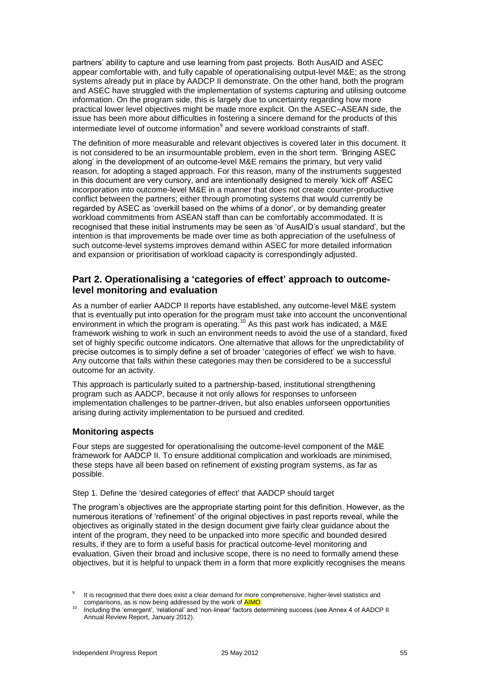partners' ability to capture and use learning from past projects. Both AusAID and ASEC appear comfortable with, and fully capable of operationalising output-level M&E; as the strong systems already put in place by AADCP II demonstrate. On the other hand, both the program and ASEC have struggled with the implementation of systems capturing and utilising outcome information. On the program side, this is largely due to uncertainty regarding how more practical lower level objectives might be made more explicit. On the ASEC–ASEAN side, the issue has been more about difficulties in fostering a sincere demand for the products of this intermediate level of outcome information<sup>9</sup> and severe workload constraints of staff.

The definition of more measurable and relevant objectives is covered later in this document. It is not considered to be an insurmountable problem, even in the short term. 'Bringing ASEC along' in the development of an outcome-level M&E remains the primary, but very valid reason, for adopting a staged approach. For this reason, many of the instruments suggested in this document are very cursory, and are intentionally designed to merely 'kick off' ASEC incorporation into outcome-level M&E in a manner that does not create counter-productive conflict between the partners; either through promoting systems that would currently be regarded by ASEC as 'overkill based on the whims of a donor', or by demanding greater workload commitments from ASEAN staff than can be comfortably accommodated. It is recognised that these initial instruments may be seen as 'of AusAID's usual standard', but the intention is that improvements be made over time as both appreciation of the usefulness of such outcome-level systems improves demand within ASEC for more detailed information and expansion or prioritisation of workload capacity is correspondingly adjusted.

## **Part 2. Operationalising a 'categories of effect' approach to outcomelevel monitoring and evaluation**

As a number of earlier AADCP II reports have established, any outcome-level M&E system that is eventually put into operation for the program must take into account the unconventional environment in which the program is operating.<sup>10</sup> As this past work has indicated, a M&E framework wishing to work in such an environment needs to avoid the use of a standard, fixed set of highly specific outcome indicators. One alternative that allows for the unpredictability of precise outcomes is to simply define a set of broader 'categories of effect' we wish to have. Any outcome that falls within these categories may then be considered to be a successful outcome for an activity.

This approach is particularly suited to a partnership-based, institutional strengthening program such as AADCP, because it not only allows for responses to unforseen implementation challenges to be partner-driven, but also enables unforseen opportunities arising during activity implementation to be pursued and credited.

### **Monitoring aspects**

Four steps are suggested for operationalising the outcome-level component of the M&E framework for AADCP II. To ensure additional complication and workloads are minimised, these steps have all been based on refinement of existing program systems, as far as possible.

Step 1. Define the 'desired categories of effect' that AADCP should target

The program's objectives are the appropriate starting point for this definition. However, as the numerous iterations of 'refinement' of the original objectives in past reports reveal, while the objectives as originally stated in the design document give fairly clear guidance about the intent of the program, they need to be unpacked into more specific and bounded desired results, if they are to form a useful basis for practical outcome-level monitoring and evaluation. Given their broad and inclusive scope, there is no need to formally amend these objectives, but it is helpful to unpack them in a form that more explicitly recognises the means

<sup>9</sup> It is recognised that there does exist a clear demand for more comprehensive, higher-level statistics and comparisons, as is now being addressed by the work of AIMO.

<sup>&</sup>lt;sup>10</sup> Including the 'emergent', 'relational' and 'non-linear' factors determining success (see Annex 4 of AADCP II Annual Review Report, January 2012).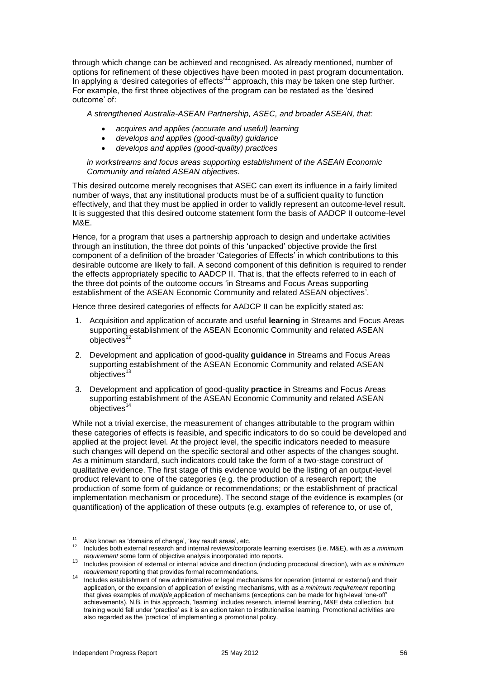through which change can be achieved and recognised. As already mentioned, number of options for refinement of these objectives have been mooted in past program documentation. In applying a 'desired categories of effects'<sup>11</sup> approach, this may be taken one step further. For example, the first three objectives of the program can be restated as the 'desired outcome' of:

*A strengthened Australia-ASEAN Partnership, ASEC, and broader ASEAN, that:* 

- *acquires and applies (accurate and useful) learning*
- *develops and applies (good-quality) guidance*
- *develops and applies (good-quality) practices*

*in workstreams and focus areas supporting establishment of the ASEAN Economic Community and related ASEAN objectives.* 

This desired outcome merely recognises that ASEC can exert its influence in a fairly limited number of ways, that any institutional products must be of a sufficient quality to function effectively, and that they must be applied in order to validly represent an outcome-level result. It is suggested that this desired outcome statement form the basis of AADCP II outcome-level M&E.

Hence, for a program that uses a partnership approach to design and undertake activities through an institution, the three dot points of this 'unpacked' objective provide the first component of a definition of the broader 'Categories of Effects' in which contributions to this desirable outcome are likely to fall. A second component of this definition is required to render the effects appropriately specific to AADCP II. That is, that the effects referred to in each of the three dot points of the outcome occurs 'in Streams and Focus Areas supporting establishment of the ASEAN Economic Community and related ASEAN objectives'.

Hence three desired categories of effects for AADCP II can be explicitly stated as:

- 1. Acquisition and application of accurate and useful **learning** in Streams and Focus Areas supporting establishment of the ASEAN Economic Community and related ASEAN objectives<sup>12</sup>
- 2. Development and application of good-quality **guidance** in Streams and Focus Areas supporting establishment of the ASEAN Economic Community and related ASEAN  $obi$ ectives $^{13}$
- 3. Development and application of good-quality **practice** in Streams and Focus Areas supporting establishment of the ASEAN Economic Community and related ASEAN  $objectives<sup>14</sup>$

While not a trivial exercise, the measurement of changes attributable to the program within these categories of effects is feasible, and specific indicators to do so could be developed and applied at the project level. At the project level, the specific indicators needed to measure such changes will depend on the specific sectoral and other aspects of the changes sought. As a minimum standard, such indicators could take the form of a two-stage construct of qualitative evidence. The first stage of this evidence would be the listing of an output-level product relevant to one of the categories (e.g. the production of a research report; the production of some form of guidance or recommendations; or the establishment of practical implementation mechanism or procedure). The second stage of the evidence is examples (or quantification) of the application of these outputs (e.g. examples of reference to, or use of,

 $11$  Also known as 'domains of change', 'key result areas', etc.

<sup>12</sup> Includes both external research and internal reviews/corporate learning exercises (i.e. M&E), with *as a minimum requirement* some form of objective analysis incorporated into reports.

<sup>13</sup> Includes provision of external or internal advice and direction (including procedural direction), with *as a minimum requirement* reporting that provides formal recommendations.

<sup>14</sup> Includes establishment of new administrative or legal mechanisms for operation (internal or external) and their application, or the expansion of application of existing mechanisms, with *as a minimum requirement* reporting that gives examples of *multiple* application of mechanisms (exceptions can be made for high-level 'one-off' achievements). N.B. in this approach, 'learning' includes research, internal learning, M&E data collection, but training would fall under 'practice' as it is an action taken to institutionalise learning. Promotional activities are also regarded as the 'practice' of implementing a promotional policy.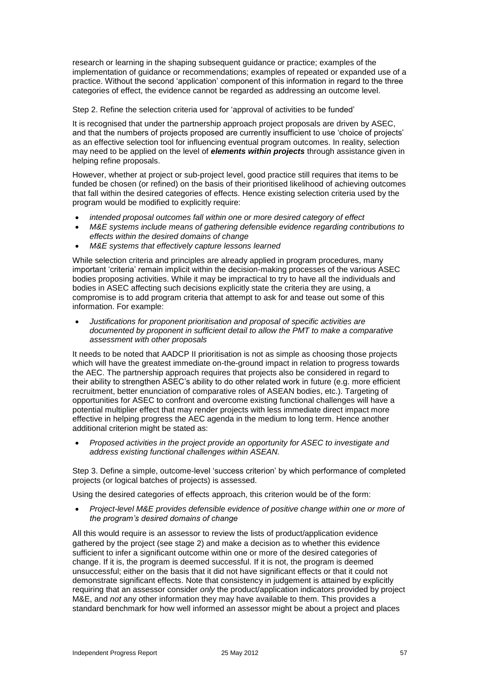research or learning in the shaping subsequent guidance or practice; examples of the implementation of guidance or recommendations; examples of repeated or expanded use of a practice. Without the second 'application' component of this information in regard to the three categories of effect, the evidence cannot be regarded as addressing an outcome level.

Step 2. Refine the selection criteria used for 'approval of activities to be funded'

It is recognised that under the partnership approach project proposals are driven by ASEC, and that the numbers of projects proposed are currently insufficient to use 'choice of projects' as an effective selection tool for influencing eventual program outcomes. In reality, selection may need to be applied on the level of *elements within projects* through assistance given in helping refine proposals.

However, whether at project or sub-project level, good practice still requires that items to be funded be chosen (or refined) on the basis of their prioritised likelihood of achieving outcomes that fall within the desired categories of effects. Hence existing selection criteria used by the program would be modified to explicitly require:

- *intended proposal outcomes fall within one or more desired category of effect*
- *M&E systems include means of gathering defensible evidence regarding contributions to effects within the desired domains of change*
- *M&E systems that effectively capture lessons learned*

While selection criteria and principles are already applied in program procedures, many important 'criteria' remain implicit within the decision-making processes of the various ASEC bodies proposing activities. While it may be impractical to try to have all the individuals and bodies in ASEC affecting such decisions explicitly state the criteria they are using, a compromise is to add program criteria that attempt to ask for and tease out some of this information. For example:

 *Justifications for proponent prioritisation and proposal of specific activities are documented by proponent in sufficient detail to allow the PMT to make a comparative assessment with other proposals*

It needs to be noted that AADCP II prioritisation is not as simple as choosing those projects which will have the greatest immediate on-the-ground impact in relation to progress towards the AEC. The partnership approach requires that projects also be considered in regard to their ability to strengthen ASEC's ability to do other related work in future (e.g. more efficient recruitment, better enunciation of comparative roles of ASEAN bodies, etc.). Targeting of opportunities for ASEC to confront and overcome existing functional challenges will have a potential multiplier effect that may render projects with less immediate direct impact more effective in helping progress the AEC agenda in the medium to long term. Hence another additional criterion might be stated as:

 *Proposed activities in the project provide an opportunity for ASEC to investigate and address existing functional challenges within ASEAN.*

Step 3. Define a simple, outcome-level 'success criterion' by which performance of completed projects (or logical batches of projects) is assessed.

Using the desired categories of effects approach, this criterion would be of the form:

 *Project-level M&E provides defensible evidence of positive change within one or more of the program's desired domains of change*

All this would require is an assessor to review the lists of product/application evidence gathered by the project (see stage 2) and make a decision as to whether this evidence sufficient to infer a significant outcome within one or more of the desired categories of change. If it is, the program is deemed successful. If it is not, the program is deemed unsuccessful; either on the basis that it did not have significant effects or that it could not demonstrate significant effects. Note that consistency in judgement is attained by explicitly requiring that an assessor consider *only* the product/application indicators provided by project M&E, and *not* any other information they may have available to them. This provides a standard benchmark for how well informed an assessor might be about a project and places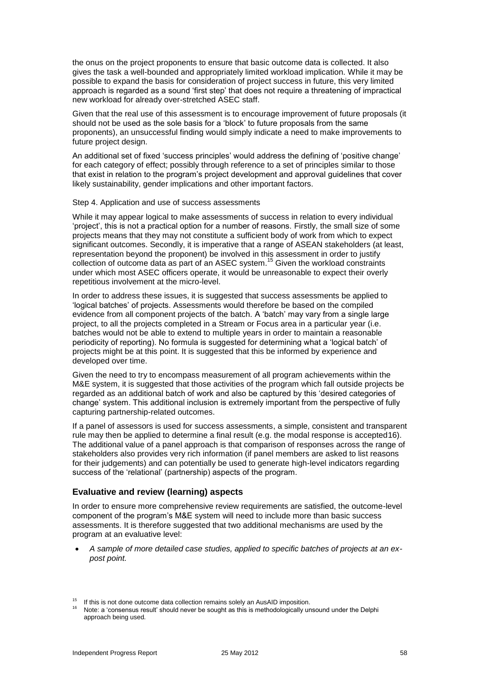the onus on the project proponents to ensure that basic outcome data is collected. It also gives the task a well-bounded and appropriately limited workload implication. While it may be possible to expand the basis for consideration of project success in future, this very limited approach is regarded as a sound 'first step' that does not require a threatening of impractical new workload for already over-stretched ASEC staff.

Given that the real use of this assessment is to encourage improvement of future proposals (it should not be used as the sole basis for a 'block' to future proposals from the same proponents), an unsuccessful finding would simply indicate a need to make improvements to future project design.

An additional set of fixed 'success principles' would address the defining of 'positive change' for each category of effect; possibly through reference to a set of principles similar to those that exist in relation to the program's project development and approval guidelines that cover likely sustainability, gender implications and other important factors.

#### Step 4. Application and use of success assessments

While it may appear logical to make assessments of success in relation to every individual 'project', this is not a practical option for a number of reasons. Firstly, the small size of some projects means that they may not constitute a sufficient body of work from which to expect significant outcomes. Secondly, it is imperative that a range of ASEAN stakeholders (at least, representation beyond the proponent) be involved in this assessment in order to justify collection of outcome data as part of an ASEC system. <sup>15</sup> Given the workload constraints under which most ASEC officers operate, it would be unreasonable to expect their overly repetitious involvement at the micro-level.

In order to address these issues, it is suggested that success assessments be applied to 'logical batches' of projects. Assessments would therefore be based on the compiled evidence from all component projects of the batch. A 'batch' may vary from a single large project, to all the projects completed in a Stream or Focus area in a particular year (i.e. batches would not be able to extend to multiple years in order to maintain a reasonable periodicity of reporting). No formula is suggested for determining what a 'logical batch' of projects might be at this point. It is suggested that this be informed by experience and developed over time.

Given the need to try to encompass measurement of all program achievements within the M&E system, it is suggested that those activities of the program which fall outside projects be regarded as an additional batch of work and also be captured by this 'desired categories of change' system. This additional inclusion is extremely important from the perspective of fully capturing partnership-related outcomes.

If a panel of assessors is used for success assessments, a simple, consistent and transparent rule may then be applied to determine a final result (e.g. the modal response is accepted16). The additional value of a panel approach is that comparison of responses across the range of stakeholders also provides very rich information (if panel members are asked to list reasons for their judgements) and can potentially be used to generate high-level indicators regarding success of the 'relational' (partnership) aspects of the program.

### **Evaluative and review (learning) aspects**

In order to ensure more comprehensive review requirements are satisfied, the outcome-level component of the program's M&E system will need to include more than basic success assessments. It is therefore suggested that two additional mechanisms are used by the program at an evaluative level:

 *A sample of more detailed case studies, applied to specific batches of projects at an expost point.*

<sup>&</sup>lt;sup>15</sup> If this is not done outcome data collection remains solely an AusAID imposition.

Note: a 'consensus result' should never be sought as this is methodologically unsound under the Delphi approach being used.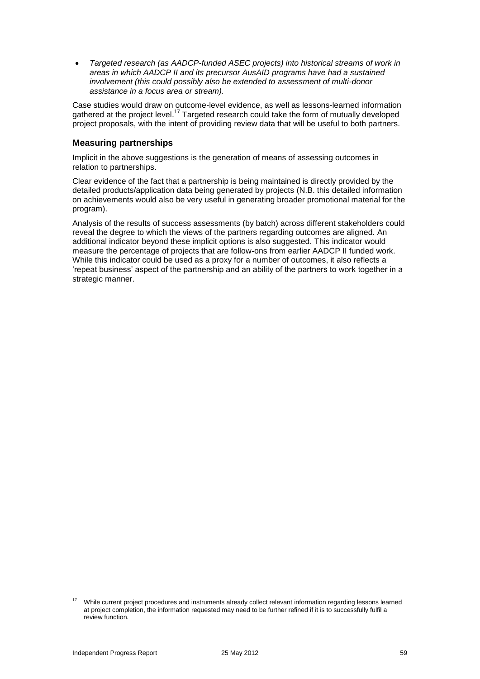*Targeted research (as AADCP-funded ASEC projects) into historical streams of work in areas in which AADCP II and its precursor AusAID programs have had a sustained involvement (this could possibly also be extended to assessment of multi-donor assistance in a focus area or stream).*

Case studies would draw on outcome-level evidence, as well as lessons-learned information gathered at the project level.<sup>17</sup> Targeted research could take the form of mutually developed project proposals, with the intent of providing review data that will be useful to both partners.

### **Measuring partnerships**

Implicit in the above suggestions is the generation of means of assessing outcomes in relation to partnerships.

Clear evidence of the fact that a partnership is being maintained is directly provided by the detailed products/application data being generated by projects (N.B. this detailed information on achievements would also be very useful in generating broader promotional material for the program).

Analysis of the results of success assessments (by batch) across different stakeholders could reveal the degree to which the views of the partners regarding outcomes are aligned. An additional indicator beyond these implicit options is also suggested. This indicator would measure the percentage of projects that are follow-ons from earlier AADCP II funded work. While this indicator could be used as a proxy for a number of outcomes, it also reflects a 'repeat business' aspect of the partnership and an ability of the partners to work together in a strategic manner.

<sup>17</sup> While current project procedures and instruments already collect relevant information regarding lessons learned at project completion, the information requested may need to be further refined if it is to successfully fulfil a review function.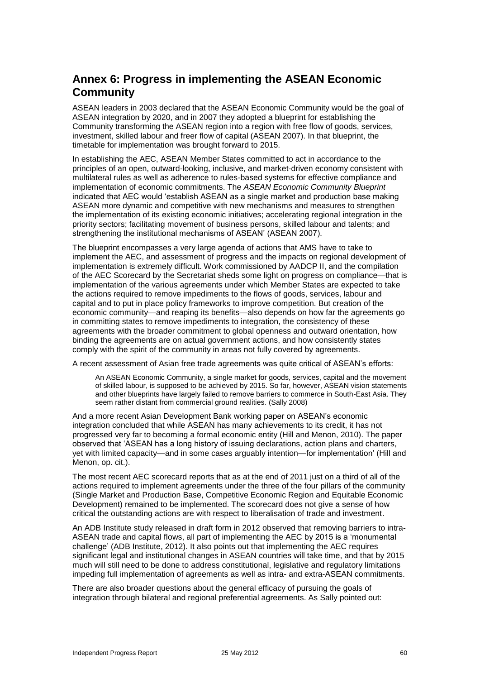# **Annex 6: Progress in implementing the ASEAN Economic Community**

ASEAN leaders in 2003 declared that the ASEAN Economic Community would be the goal of ASEAN integration by 2020, and in 2007 they adopted a blueprint for establishing the Community transforming the ASEAN region into a region with free flow of goods, services, investment, skilled labour and freer flow of capital (ASEAN 2007). In that blueprint, the timetable for implementation was brought forward to 2015.

In establishing the AEC, ASEAN Member States committed to act in accordance to the principles of an open, outward-looking, inclusive, and market-driven economy consistent with multilateral rules as well as adherence to rules-based systems for effective compliance and implementation of economic commitments. The *ASEAN Economic Community Blueprint* indicated that AEC would 'establish ASEAN as a single market and production base making ASEAN more dynamic and competitive with new mechanisms and measures to strengthen the implementation of its existing economic initiatives; accelerating regional integration in the priority sectors; facilitating movement of business persons, skilled labour and talents; and strengthening the institutional mechanisms of ASEAN' (ASEAN 2007).

The blueprint encompasses a very large agenda of actions that AMS have to take to implement the AEC, and assessment of progress and the impacts on regional development of implementation is extremely difficult. Work commissioned by AADCP II, and the compilation of the AEC Scorecard by the Secretariat sheds some light on progress on compliance—that is implementation of the various agreements under which Member States are expected to take the actions required to remove impediments to the flows of goods, services, labour and capital and to put in place policy frameworks to improve competition. But creation of the economic community—and reaping its benefits—also depends on how far the agreements go in committing states to remove impediments to integration, the consistency of these agreements with the broader commitment to global openness and outward orientation, how binding the agreements are on actual government actions, and how consistently states comply with the spirit of the community in areas not fully covered by agreements.

A recent assessment of Asian free trade agreements was quite critical of ASEAN's efforts:

An ASEAN Economic Community, a single market for goods, services, capital and the movement of skilled labour, is supposed to be achieved by 2015. So far, however, ASEAN vision statements and other blueprints have largely failed to remove barriers to commerce in South-East Asia. They seem rather distant from commercial ground realities. (Sally 2008)

And a more recent Asian Development Bank working paper on ASEAN's economic integration concluded that while ASEAN has many achievements to its credit, it has not progressed very far to becoming a formal economic entity (Hill and Menon, 2010). The paper observed that 'ASEAN has a long history of issuing declarations, action plans and charters, yet with limited capacity—and in some cases arguably intention—for implementation' (Hill and Menon, op. cit.).

The most recent AEC scorecard reports that as at the end of 2011 just on a third of all of the actions required to implement agreements under the three of the four pillars of the community (Single Market and Production Base, Competitive Economic Region and Equitable Economic Development) remained to be implemented. The scorecard does not give a sense of how critical the outstanding actions are with respect to liberalisation of trade and investment.

An ADB Institute study released in draft form in 2012 observed that removing barriers to intra-ASEAN trade and capital flows, all part of implementing the AEC by 2015 is a 'monumental challenge' (ADB Institute, 2012). It also points out that implementing the AEC requires significant legal and institutional changes in ASEAN countries will take time, and that by 2015 much will still need to be done to address constitutional, legislative and regulatory limitations impeding full implementation of agreements as well as intra- and extra-ASEAN commitments.

There are also broader questions about the general efficacy of pursuing the goals of integration through bilateral and regional preferential agreements. As Sally pointed out: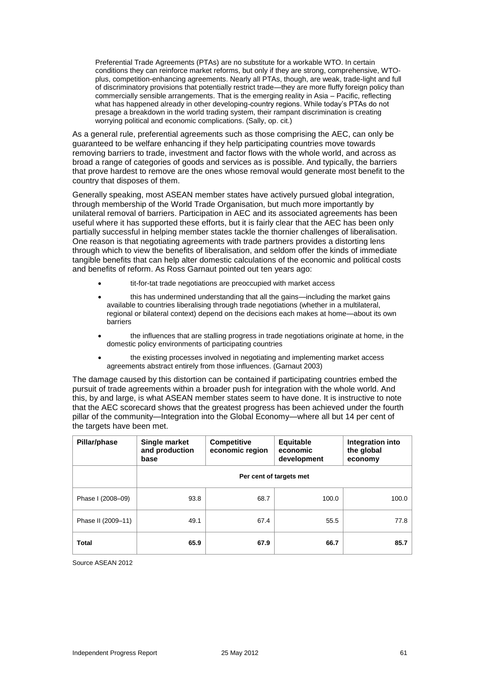Preferential Trade Agreements (PTAs) are no substitute for a workable WTO. In certain conditions they can reinforce market reforms, but only if they are strong, comprehensive, WTOplus, competition-enhancing agreements. Nearly all PTAs, though, are weak, trade-light and full of discriminatory provisions that potentially restrict trade—they are more fluffy foreign policy than commercially sensible arrangements. That is the emerging reality in Asia – Pacific, reflecting what has happened already in other developing-country regions. While today's PTAs do not presage a breakdown in the world trading system, their rampant discrimination is creating worrying political and economic complications. (Sally, op. cit.)

As a general rule, preferential agreements such as those comprising the AEC, can only be guaranteed to be welfare enhancing if they help participating countries move towards removing barriers to trade, investment and factor flows with the whole world, and across as broad a range of categories of goods and services as is possible. And typically, the barriers that prove hardest to remove are the ones whose removal would generate most benefit to the country that disposes of them.

Generally speaking, most ASEAN member states have actively pursued global integration, through membership of the World Trade Organisation, but much more importantly by unilateral removal of barriers. Participation in AEC and its associated agreements has been useful where it has supported these efforts, but it is fairly clear that the AEC has been only partially successful in helping member states tackle the thornier challenges of liberalisation. One reason is that negotiating agreements with trade partners provides a distorting lens through which to view the benefits of liberalisation, and seldom offer the kinds of immediate tangible benefits that can help alter domestic calculations of the economic and political costs and benefits of reform. As Ross Garnaut pointed out ten years ago:

- tit-for-tat trade negotiations are preoccupied with market access
- this has undermined understanding that all the gains—including the market gains available to countries liberalising through trade negotiations (whether in a multilateral, regional or bilateral context) depend on the decisions each makes at home—about its own barriers
- the influences that are stalling progress in trade negotiations originate at home, in the domestic policy environments of participating countries
- the existing processes involved in negotiating and implementing market access agreements abstract entirely from those influences. (Garnaut 2003)

The damage caused by this distortion can be contained if participating countries embed the pursuit of trade agreements within a broader push for integration with the whole world. And this, by and large, is what ASEAN member states seem to have done. It is instructive to note that the AEC scorecard shows that the greatest progress has been achieved under the fourth pillar of the community—Integration into the Global Economy—where all but 14 per cent of the targets have been met.

| Pillar/phase       | Single market<br>and production<br>base | <b>Competitive</b><br>economic region | <b>Equitable</b><br>economic<br>development | Integration into<br>the global<br>economy |
|--------------------|-----------------------------------------|---------------------------------------|---------------------------------------------|-------------------------------------------|
|                    |                                         |                                       | Per cent of targets met                     |                                           |
| Phase I (2008-09)  | 93.8                                    | 68.7                                  | 100.0                                       | 100.0                                     |
| Phase II (2009-11) | 49.1                                    | 67.4                                  | 55.5                                        | 77.8                                      |
| Total              | 65.9                                    | 67.9                                  | 66.7                                        | 85.7                                      |

Source ASEAN 2012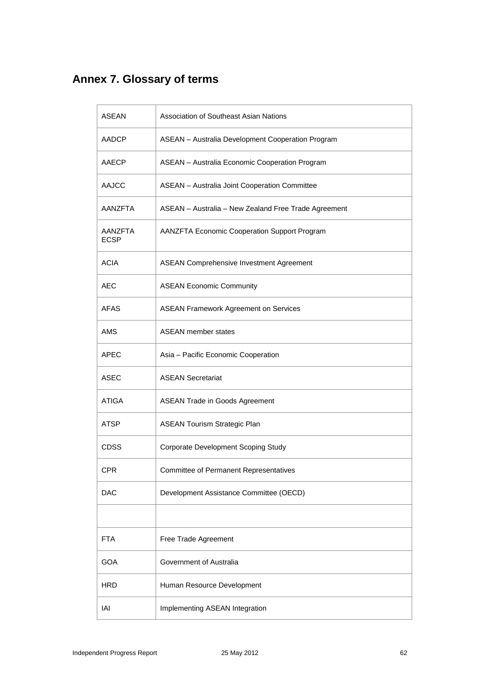# **Annex 7. Glossary of terms**

| <b>ASEAN</b>           | <b>Association of Southeast Asian Nations</b>        |
|------------------------|------------------------------------------------------|
| <b>AADCP</b>           | ASEAN - Australia Development Cooperation Program    |
| AAECP                  | ASEAN - Australia Economic Cooperation Program       |
| <b>AAJCC</b>           | <b>ASEAN</b> - Australia Joint Cooperation Committee |
| AANZFTA                | ASEAN - Australia - New Zealand Free Trade Agreement |
| AANZFTA<br><b>ECSP</b> | AANZFTA Economic Cooperation Support Program         |
| <b>ACIA</b>            | <b>ASEAN Comprehensive Investment Agreement</b>      |
| AEC                    | <b>ASEAN Economic Community</b>                      |
| AFAS                   | <b>ASEAN Framework Agreement on Services</b>         |
| <b>AMS</b>             | <b>ASEAN member states</b>                           |
| APEC                   | Asia - Pacific Economic Cooperation                  |
| <b>ASEC</b>            | <b>ASEAN Secretariat</b>                             |
| ATIGA                  | <b>ASEAN Trade in Goods Agreement</b>                |
| ATSP                   | <b>ASEAN Tourism Strategic Plan</b>                  |
| CDSS                   | Corporate Development Scoping Study                  |
| CPR                    | <b>Committee of Permanent Representatives</b>        |
| DAC                    | Development Assistance Committee (OECD)              |
|                        |                                                      |
| <b>FTA</b>             | Free Trade Agreement                                 |
| GOA                    | Government of Australia                              |
| <b>HRD</b>             | Human Resource Development                           |
| IAI                    | Implementing ASEAN Integration                       |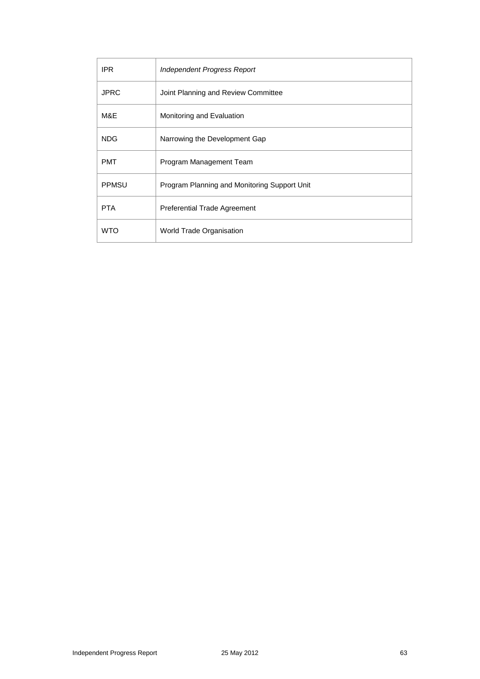| IPR.         | Independent Progress Report                  |
|--------------|----------------------------------------------|
| <b>JPRC</b>  | Joint Planning and Review Committee          |
| M&E          | Monitoring and Evaluation                    |
| <b>NDG</b>   | Narrowing the Development Gap                |
| <b>PMT</b>   | Program Management Team                      |
| <b>PPMSU</b> | Program Planning and Monitoring Support Unit |
| <b>PTA</b>   | <b>Preferential Trade Agreement</b>          |
| <b>WTO</b>   | World Trade Organisation                     |